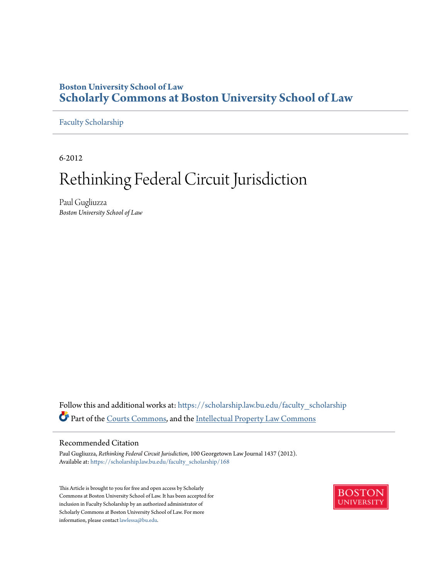## **Boston University School of Law [Scholarly Commons at Boston University School of Law](https://scholarship.law.bu.edu?utm_source=scholarship.law.bu.edu%2Ffaculty_scholarship%2F168&utm_medium=PDF&utm_campaign=PDFCoverPages)**

[Faculty Scholarship](https://scholarship.law.bu.edu/faculty_scholarship?utm_source=scholarship.law.bu.edu%2Ffaculty_scholarship%2F168&utm_medium=PDF&utm_campaign=PDFCoverPages)

6-2012

# Rethinking Federal Circuit Jurisdiction

Paul Gugliuzza *Boston University School of Law*

Follow this and additional works at: [https://scholarship.law.bu.edu/faculty\\_scholarship](https://scholarship.law.bu.edu/faculty_scholarship?utm_source=scholarship.law.bu.edu%2Ffaculty_scholarship%2F168&utm_medium=PDF&utm_campaign=PDFCoverPages) Part of the [Courts Commons](http://network.bepress.com/hgg/discipline/839?utm_source=scholarship.law.bu.edu%2Ffaculty_scholarship%2F168&utm_medium=PDF&utm_campaign=PDFCoverPages), and the [Intellectual Property Law Commons](http://network.bepress.com/hgg/discipline/896?utm_source=scholarship.law.bu.edu%2Ffaculty_scholarship%2F168&utm_medium=PDF&utm_campaign=PDFCoverPages)

#### Recommended Citation

Paul Gugliuzza, *Rethinking Federal Circuit Jurisdiction*, 100 Georgetown Law Journal 1437 (2012). Available at: [https://scholarship.law.bu.edu/faculty\\_scholarship/168](https://scholarship.law.bu.edu/faculty_scholarship/168?utm_source=scholarship.law.bu.edu%2Ffaculty_scholarship%2F168&utm_medium=PDF&utm_campaign=PDFCoverPages)

This Article is brought to you for free and open access by Scholarly Commons at Boston University School of Law. It has been accepted for inclusion in Faculty Scholarship by an authorized administrator of Scholarly Commons at Boston University School of Law. For more information, please contact [lawlessa@bu.edu.](mailto:lawlessa@bu.edu)

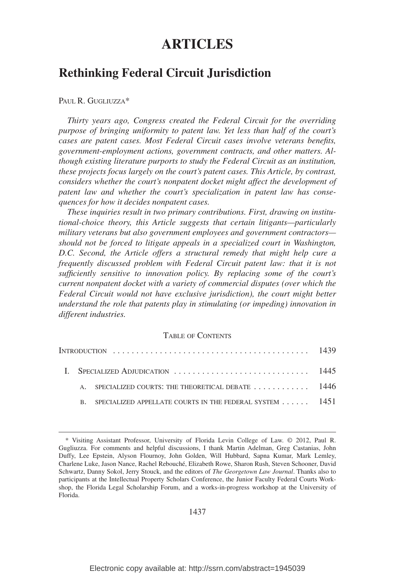# **ARTICLES**

### **Rethinking Federal Circuit Jurisdiction**

#### PAUL R. GUGLIUZZA\*

*Thirty years ago, Congress created the Federal Circuit for the overriding purpose of bringing uniformity to patent law. Yet less than half of the court's cases are patent cases. Most Federal Circuit cases involve veterans benefits, government-employment actions, government contracts, and other matters. Although existing literature purports to study the Federal Circuit as an institution, these projects focus largely on the court's patent cases. This Article, by contrast, considers whether the court's nonpatent docket might affect the development of patent law and whether the court's specialization in patent law has consequences for how it decides nonpatent cases.*

*These inquiries result in two primary contributions. First, drawing on institutional-choice theory, this Article suggests that certain litigants—particularly military veterans but also government employees and government contractors should not be forced to litigate appeals in a specialized court in Washington, D.C. Second, the Article offers a structural remedy that might help cure a frequently discussed problem with Federal Circuit patent law: that it is not sufficiently sensitive to innovation policy. By replacing some of the court's current nonpatent docket with a variety of commercial disputes (over which the Federal Circuit would not have exclusive jurisdiction), the court might better understand the role that patents play in stimulating (or impeding) innovation in different industries.*

#### TABLE OF CONTENTS

|  | A. SPECIALIZED COURTS: THE THEORETICAL DEBATE  1446     |  |
|--|---------------------------------------------------------|--|
|  | SPECIALIZED APPELLATE COURTS IN THE FEDERAL SYSTEM 1451 |  |

1437

<sup>\*</sup> Visiting Assistant Professor, University of Florida Levin College of Law. © 2012, Paul R. Gugliuzza. For comments and helpful discussions, I thank Martin Adelman, Greg Castanias, John Duffy, Lee Epstein, Alyson Flournoy, John Golden, Will Hubbard, Sapna Kumar, Mark Lemley, Charlene Luke, Jason Nance, Rachel Rebouche´, Elizabeth Rowe, Sharon Rush, Steven Schooner, David Schwartz, Danny Sokol, Jerry Stouck, and the editors of *The Georgetown Law Journal*. Thanks also to participants at the Intellectual Property Scholars Conference, the Junior Faculty Federal Courts Workshop, the Florida Legal Scholarship Forum, and a works-in-progress workshop at the University of Florida.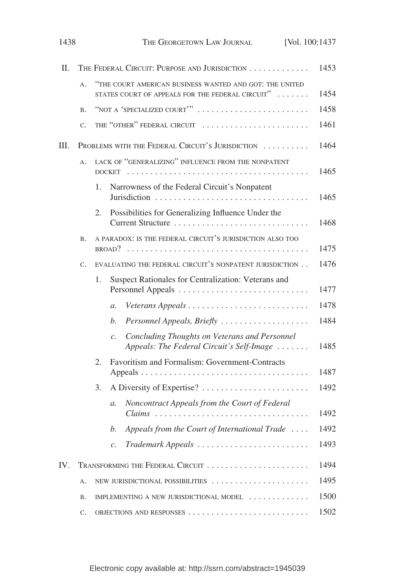| 1438 |             | THE GEORGETOWN LAW JOURNAL<br>[Vol. 100:1437                                                                                |      |
|------|-------------|-----------------------------------------------------------------------------------------------------------------------------|------|
| Π.   |             | THE FEDERAL CIRCUIT: PURPOSE AND JURISDICTION                                                                               | 1453 |
|      | $A$ .       | "THE COURT AMERICAN BUSINESS WANTED AND GOT: THE UNITED<br>STATES COURT OF APPEALS FOR THE FEDERAL CIRCUIT" $\ldots \ldots$ | 1454 |
|      | <b>B.</b>   | "NOT A 'SPECIALIZED COURT'"                                                                                                 | 1458 |
|      | $C_{\star}$ | THE "OTHER" FEDERAL CIRCUIT                                                                                                 | 1461 |
| III. |             | PROBLEMS WITH THE FEDERAL CIRCUIT'S JURISDICTION                                                                            | 1464 |
|      | $A$ .       | LACK OF "GENERALIZING" INFLUENCE FROM THE NONPATENT<br><b>DOCKET</b>                                                        | 1465 |
|      |             | Narrowness of the Federal Circuit's Nonpatent<br>1.                                                                         | 1465 |
|      |             | Possibilities for Generalizing Influence Under the<br>2.<br>Current Structure                                               | 1468 |
|      | <b>B.</b>   | A PARADOX: IS THE FEDERAL CIRCUIT'S JURISDICTION ALSO TOO                                                                   | 1475 |
|      | C.          | EVALUATING THE FEDERAL CIRCUIT'S NONPATENT JURISDICTION                                                                     | 1476 |
|      |             | Suspect Rationales for Centralization: Veterans and<br>1.                                                                   | 1477 |
|      |             | $\mathfrak{a}.$                                                                                                             | 1478 |
|      |             | Personnel Appeals, Briefly<br>b.                                                                                            | 1484 |
|      |             | Concluding Thoughts on Veterans and Personnel<br>$\mathcal{C}$ .<br>Appeals: The Federal Circuit's Self-Image               | 1485 |
|      |             | Favoritism and Formalism: Government-Contracts<br>2.                                                                        | 1487 |
|      |             | 3.                                                                                                                          | 1492 |
|      |             | Noncontract Appeals from the Court of Federal<br>$a$ .<br>Claims                                                            | 1492 |
|      |             | Appeals from the Court of International Trade<br>b.                                                                         | 1492 |
|      |             | Trademark Appeals<br>$\mathcal{C}$ .                                                                                        | 1493 |
| IV.  |             |                                                                                                                             | 1494 |
|      | Α.          | NEW JURISDICTIONAL POSSIBILITIES                                                                                            | 1495 |
|      | B.          | IMPLEMENTING A NEW JURISDICTIONAL MODEL                                                                                     | 1500 |
|      | C.          |                                                                                                                             | 1502 |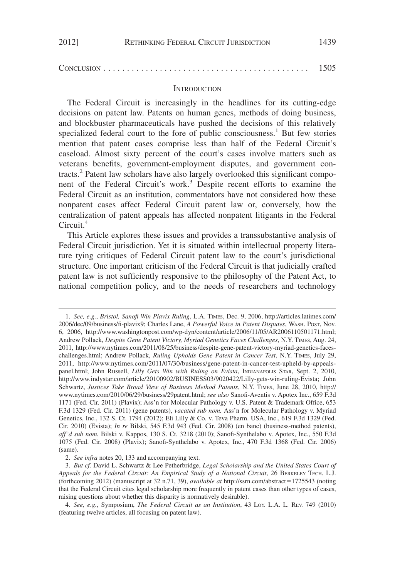|  | 1505 |  |  |  |  |
|--|------|--|--|--|--|
|--|------|--|--|--|--|

#### **INTRODUCTION**

The Federal Circuit is increasingly in the headlines for its cutting-edge decisions on patent law. Patents on human genes, methods of doing business, and blockbuster pharmaceuticals have pushed the decisions of this relatively specialized federal court to the fore of public consciousness.<sup>1</sup> But few stories mention that patent cases comprise less than half of the Federal Circuit's caseload. Almost sixty percent of the court's cases involve matters such as veterans benefits, government-employment disputes, and government contracts.2 Patent law scholars have also largely overlooked this significant component of the Federal Circuit's work.<sup>3</sup> Despite recent efforts to examine the Federal Circuit as an institution, commentators have not considered how these nonpatent cases affect Federal Circuit patent law or, conversely, how the centralization of patent appeals has affected nonpatent litigants in the Federal Circuit.<sup>4</sup>

This Article explores these issues and provides a transsubstantive analysis of Federal Circuit jurisdiction. Yet it is situated within intellectual property literature tying critiques of Federal Circuit patent law to the court's jurisdictional structure. One important criticism of the Federal Circuit is that judicially crafted patent law is not sufficiently responsive to the philosophy of the Patent Act, to national competition policy, and to the needs of researchers and technology

<sup>1.</sup> *See, e.g.*, *Bristol, Sanofi Win Plavix Ruling*, L.A. TIMES, Dec. 9, 2006, http://articles.latimes.com/ 2006/dec/09/business/fi-plavix9; Charles Lane, *A Powerful Voice in Patent Disputes*, WASH. POST, Nov. 6, 2006, http://www.washingtonpost.com/wp-dyn/content/article/2006/11/05/AR2006110501171.html; Andrew Pollack, *Despite Gene Patent Victory, Myriad Genetics Faces Challenges*, N.Y. TIMES, Aug. 24, 2011, http://www.nytimes.com/2011/08/25/business/despite-gene-patent-victory-myriad-genetics-faceschallenges.html; Andrew Pollack, *Ruling Upholds Gene Patent in Cancer Test*, N.Y. TIMES, July 29, 2011, http://www.nytimes.com/2011/07/30/business/gene-patent-in-cancer-test-upheld-by-appealspanel.html; John Russell, *Lilly Gets Win with Ruling on Evista*, INDIANAPOLIS STAR, Sept. 2, 2010, http://www.indystar.com/article/20100902/BUSINESS03/9020422/Lilly-gets-win-ruling-Evista; John Schwartz, *Justices Take Broad View of Business Method Patents*, N.Y. TIMES, June 28, 2010, http:// www.nytimes.com/2010/06/29/business/29patent.html; *see also* Sanofi-Aventis v. Apotex Inc., 659 F.3d 1171 (Fed. Cir. 2011) (Plavix); Ass'n for Molecular Pathology v. U.S. Patent & Trademark Office, 653 F.3d 1329 (Fed. Cir. 2011) (gene patents), *vacated sub nom.* Ass'n for Molecular Pathology v. Myriad Genetics, Inc., 132 S. Ct. 1794 (2012); Eli Lilly & Co. v. Teva Pharm. USA, Inc., 619 F.3d 1329 (Fed. Cir. 2010) (Evista); *In re* Bilski, 545 F.3d 943 (Fed. Cir. 2008) (en banc) (business-method patents), *aff'd sub nom.* Bilski v. Kappos, 130 S. Ct. 3218 (2010); Sanofi-Synthelabo v. Apotex, Inc., 550 F.3d 1075 (Fed. Cir. 2008) (Plavix); Sanofi-Synthelabo v. Apotex, Inc., 470 F.3d 1368 (Fed. Cir. 2006) (same).

<sup>2.</sup> *See infra* notes 20, 133 and accompanying text.

<sup>3.</sup> *But cf.* David L. Schwartz & Lee Petherbridge, *Legal Scholarship and the United States Court of Appeals for the Federal Circuit: An Empirical Study of a National Circuit*, 26 BERKELEY TECH. L.J. (forthcoming 2012) (manuscript at 32 n.71, 39), *available at* http://ssrn.com/abstract=1725543 (noting that the Federal Circuit cites legal scholarship more frequently in patent cases than other types of cases, raising questions about whether this disparity is normatively desirable).

<sup>4.</sup> *See, e.g.*, Symposium, *The Federal Circuit as an Institution*, 43 LOY. L.A. L. REV. 749 (2010) (featuring twelve articles, all focusing on patent law).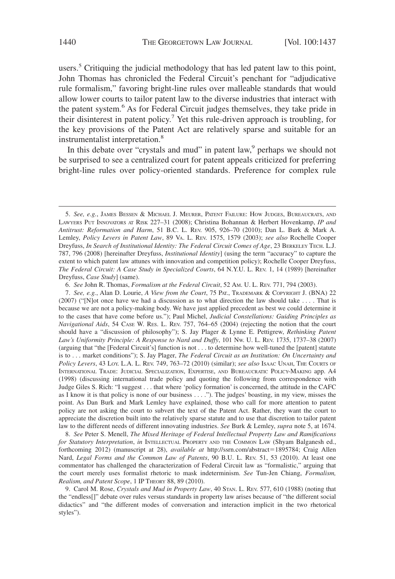users.<sup>5</sup> Critiquing the judicial methodology that has led patent law to this point, John Thomas has chronicled the Federal Circuit's penchant for "adjudicative rule formalism," favoring bright-line rules over malleable standards that would allow lower courts to tailor patent law to the diverse industries that interact with the patent system.<sup>6</sup> As for Federal Circuit judges themselves, they take pride in their disinterest in patent policy.<sup>7</sup> Yet this rule-driven approach is troubling, for the key provisions of the Patent Act are relatively sparse and suitable for an instrumentalist interpretation.<sup>8</sup>

In this debate over "crystals and mud" in patent law, <sup>9</sup> perhaps we should not be surprised to see a centralized court for patent appeals criticized for preferring bright-line rules over policy-oriented standards. Preference for complex rule

7. *See, e.g.*, Alan D. Lourie, *A View from the Court*, 75 PAT., TRADEMARK & COPYRIGHT J. (BNA) 22 (2007) ("[N]ot once have we had a discussion as to what direction the law should take . . . . That is because we are not a policy-making body. We have just applied precedent as best we could determine it to the cases that have come before us."); Paul Michel, *Judicial Constellations: Guiding Principles as Navigational Aids*, 54 CASE W. RES. L. REV. 757, 764–65 (2004) (rejecting the notion that the court should have a "discussion of philosophy"); S. Jay Plager & Lynne E. Pettigrew, *Rethinking Patent Law's Uniformity Principle: A Response to Nard and Duffy*, 101 NW. U. L. REV. 1735, 1737–38 (2007) (arguing that "the [Federal Circuit's] function is not . . . to determine how well-tuned the [patent] statute is to . . . market conditions"); S. Jay Plager, *The Federal Circuit as an Institution: On Uncertainty and Policy Levers*, 43 LOY. L.A. L. REV. 749, 763–72 (2010) (similar); *see also* ISAAC UNAH, THE COURTS OF INTERNATIONAL TRADE: JUDICIAL SPECIALIZATION, EXPERTISE, AND BUREAUCRATIC POLICY-MAKING app. A4 (1998) (discussing international trade policy and quoting the following from correspondence with Judge Giles S. Rich: "I suggest . . . that where 'policy formation' is concerned, the attitude in the CAFC as I know it is that policy is none of our business . . . ."). The judges' boasting, in my view, misses the point. As Dan Burk and Mark Lemley have explained, those who call for more attention to patent policy are not asking the court to subvert the text of the Patent Act. Rather, they want the court to appreciate the discretion built into the relatively sparse statute and to use that discretion to tailor patent law to the different needs of different innovating industries. *See* Burk & Lemley, *supra* note 5, at 1674.

8. *See* Peter S. Menell, *The Mixed Heritage of Federal Intellectual Property Law and Ramifications for Statutory Interpretation*, *in* INTELLECTUAL PROPERTY AND THE COMMON LAW (Shyam Balganesh ed., forthcoming 2012) (manuscript at 28), *available at* http://ssrn.com/abstract=1895784; Craig Allen Nard, *Legal Forms and the Common Law of Patents*, 90 B.U. L. REV. 51, 53 (2010). At least one commentator has challenged the characterization of Federal Circuit law as "formalistic," arguing that the court merely uses formalist rhetoric to mask indeterminism. *See* Tun-Jen Chiang, *Formalism, Realism, and Patent Scope*, 1 IP THEORY 88, 89 (2010).

9. Carol M. Rose, *Crystals and Mud in Property Law*, 40 STAN. L. REV. 577, 610 (1988) (noting that the "endless[]" debate over rules versus standards in property law arises because of "the different social didactics" and "the different modes of conversation and interaction implicit in the two rhetorical styles").

<sup>5.</sup> *See, e.g.*, JAMES BESSEN & MICHAEL J. MEURER, PATENT FAILURE: HOW JUDGES, BUREAUCRATS, AND LAWYERS PUT INNOVATORS AT RISK 227–31 (2008); Christina Bohannan & Herbert Hovenkamp, *IP and Antitrust: Reformation and Harm*, 51 B.C. L. REV. 905, 926–70 (2010); Dan L. Burk & Mark A. Lemley, *Policy Levers in Patent Law*, 89 VA. L. REV. 1575, 1579 (2003); *see also* Rochelle Cooper Dreyfuss, *In Search of Institutional Identity: The Federal Circuit Comes of Age*, 23 BERKELEY TECH. L.J. 787, 796 (2008) [hereinafter Dreyfuss, *Institutional Identity*] (using the term "accuracy" to capture the extent to which patent law attunes with innovation and competition policy); Rochelle Cooper Dreyfuss, *The Federal Circuit: A Case Study in Specialized Courts*, 64 N.Y.U. L. REV. 1, 14 (1989) [hereinafter Dreyfuss, *Case Study*] (same).

<sup>6.</sup> *See* John R. Thomas, *Formalism at the Federal Circuit*, 52 AM. U. L. REV. 771, 794 (2003).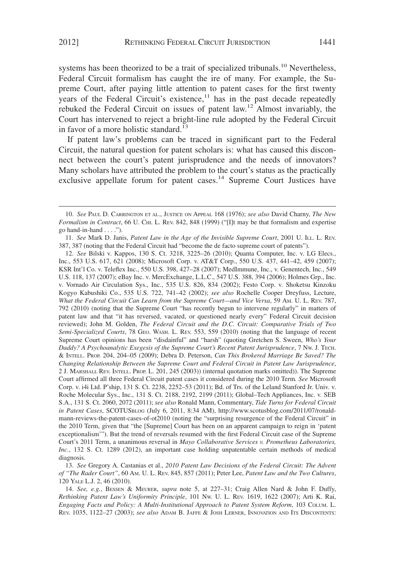systems has been theorized to be a trait of specialized tribunals.<sup>10</sup> Nevertheless, Federal Circuit formalism has caught the ire of many. For example, the Supreme Court, after paying little attention to patent cases for the first twenty years of the Federal Circuit's existence, $11$  has in the past decade repeatedly rebuked the Federal Circuit on issues of patent law.12 Almost invariably, the Court has intervened to reject a bright-line rule adopted by the Federal Circuit in favor of a more holistic standard.<sup>13</sup>

If patent law's problems can be traced in significant part to the Federal Circuit, the natural question for patent scholars is: what has caused this disconnect between the court's patent jurisprudence and the needs of innovators? Many scholars have attributed the problem to the court's status as the practically exclusive appellate forum for patent cases.<sup>14</sup> Supreme Court Justices have

<sup>10.</sup> *See* PAUL D. CARRINGTON ET AL., JUSTICE ON APPEAL 168 (1976); *see also* David Charny, *The New Formalism in Contract*, 66 U. CHI. L. REV. 842, 848 (1999) ("Ilt may be that formalism and expertise go hand-in-hand  $\dots$ .").

<sup>11.</sup> *See* Mark D. Janis, *Patent Law in the Age of the Invisible Supreme Court*, 2001 U. ILL. L. REV. 387, 387 (noting that the Federal Circuit had "become the de facto supreme court of patents").

<sup>12.</sup> *See* Bilski v. Kappos, 130 S. Ct. 3218, 3225–26 (2010); Quanta Computer, Inc. v. LG Elecs., Inc., 553 U.S. 617, 621 (2008); Microsoft Corp. v. AT&T Corp., 550 U.S. 437, 441–42, 459 (2007); KSR Int'l Co. v. Teleflex Inc., 550 U.S. 398, 427–28 (2007); MedImmune, Inc., v. Genentech, Inc., 549 U.S. 118, 137 (2007); eBay Inc. v. MercExchange, L.L.C., 547 U.S. 388, 394 (2006); Holmes Grp., Inc. v. Vornado Air Circulation Sys., Inc., 535 U.S. 826, 834 (2002); Festo Corp. v. Shoketsu Kinzoku Kogyo Kabushiki Co., 535 U.S. 722, 741–42 (2002); *see also* Rochelle Cooper Dreyfuss, Lecture, *What the Federal Circuit Can Learn from the Supreme Court—and Vice Versa*, 59 AM. U. L. REV. 787, 792 (2010) (noting that the Supreme Court "has recently begun to intervene regularly" in matters of patent law and that "it has reversed, vacated, or questioned nearly every" Federal Circuit decision reviewed); John M. Golden, *The Federal Circuit and the D.C. Circuit: Comparative Trials of Two Semi-Specialized Courts*, 78 GEO. WASH. L. REV. 553, 559 (2010) (noting that the language of recent Supreme Court opinions has been "disdainful" and "harsh" (quoting Gretchen S. Sween, *Who's Your Daddy? A Psychoanalytic Exegesis of the Supreme Court's Recent Patent Jurisprudence*,7NW. J. TECH. & INTELL. PROP. 204, 204–05 (2009); Debra D. Peterson, *Can This Brokered Marriage Be Saved? The Changing Relationship Between the Supreme Court and Federal Circuit in Patent Law Jurisprudence*, 2 J. MARSHALL REV. INTELL. PROP. L. 201, 245 (2003)) (internal quotation marks omitted)). The Supreme Court affirmed all three Federal Circuit patent cases it considered during the 2010 Term*. See* Microsoft Corp. v. i4i Ltd. P'ship, 131 S. Ct. 2238, 2252–53 (2011); Bd. of Trs. of the Leland Stanford Jr. Univ. v. Roche Molecular Sys., Inc., 131 S. Ct. 2188, 2192, 2199 (2011); Global–Tech Appliances, Inc. v. SEB S.A., 131 S. Ct. 2060, 2072 (2011); *see also* Ronald Mann, Commentary, *Tide Turns for Federal Circuit in Patent Cases*, SCOTUSBLOG (July 6, 2011, 8:34 AM), http://www.scotusblog.com/2011/07/ronaldmann-reviews-the-patent-cases-of-ot2010 (noting the "surprising resurgence of the Federal Circuit" in the 2010 Term, given that "the [Supreme] Court has been on an apparent campaign to reign in 'patent exceptionalism'"). But the trend of reversals resumed with the first Federal Circuit case of the Supreme Court's 2011 Term, a unanimous reversal in *Mayo Collaborative Services v. Prometheus Laboratories, Inc.*, 132 S. Ct. 1289 (2012), an important case holding unpatentable certain methods of medical diagnosis.

<sup>13.</sup> *See* Gregory A. Castanias et al., *2010 Patent Law Decisions of the Federal Circuit: The Advent of "The Rader Court"*, 60 AM. U. L. REV. 845, 857 (2011); Peter Lee, *Patent Law and the Two Cultures*, 120 YALE L.J. 2, 46 (2010).

<sup>14.</sup> *See, e.g.*, BESSEN & MEURER, *supra* note 5, at 227–31; Craig Allen Nard & John F. Duffy, *Rethinking Patent Law's Uniformity Principle*, 101 NW. U. L. REV. 1619, 1622 (2007); Arti K. Rai, *Engaging Facts and Policy: A Multi-Institutional Approach to Patent System Reform*, 103 COLUM. L. REV. 1035, 1122–27 (2003); *see also* ADAM B. JAFFE & JOSH LERNER, INNOVATION AND ITS DISCONTENTS: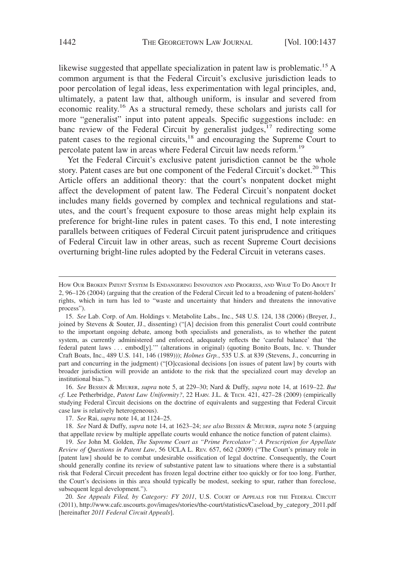likewise suggested that appellate specialization in patent law is problematic.<sup>15</sup> A common argument is that the Federal Circuit's exclusive jurisdiction leads to poor percolation of legal ideas, less experimentation with legal principles, and, ultimately, a patent law that, although uniform, is insular and severed from economic reality.<sup>16</sup> As a structural remedy, these scholars and jurists call for more "generalist" input into patent appeals. Specific suggestions include: en banc review of the Federal Circuit by generalist judges,  $17$  redirecting some patent cases to the regional circuits,<sup>18</sup> and encouraging the Supreme Court to percolate patent law in areas where Federal Circuit law needs reform.19

Yet the Federal Circuit's exclusive patent jurisdiction cannot be the whole story. Patent cases are but one component of the Federal Circuit's docket.<sup>20</sup> This Article offers an additional theory: that the court's nonpatent docket might affect the development of patent law. The Federal Circuit's nonpatent docket includes many fields governed by complex and technical regulations and statutes, and the court's frequent exposure to those areas might help explain its preference for bright-line rules in patent cases. To this end, I note interesting parallels between critiques of Federal Circuit patent jurisprudence and critiques of Federal Circuit law in other areas, such as recent Supreme Court decisions overturning bright-line rules adopted by the Federal Circuit in veterans cases.

16. *See* BESSEN & MEURER, *supra* note 5, at 229–30; Nard & Duffy, *supra* note 14, at 1619–22. *But cf.* Lee Petherbridge, *Patent Law Uniformity?*, 22 HARV. J.L. & TECH. 421, 427–28 (2009) (empirically studying Federal Circuit decisions on the doctrine of equivalents and suggesting that Federal Circuit case law is relatively heterogeneous).

17. *See* Rai, *supra* note 14, at 1124–25.

18. *See* Nard & Duffy, *supra* note 14, at 1623–24; *see also* BESSEN & MEURER, *supra* note 5 (arguing that appellate review by multiple appellate courts would enhance the notice function of patent claims).

19. *See* John M. Golden, *The Supreme Court as "Prime Percolator": A Prescription for Appellate Review of Questions in Patent Law*, 56 UCLA L. REV. 657, 662 (2009) ("The Court's primary role in [patent law] should be to combat undesirable ossification of legal doctrine. Consequently, the Court should generally confine its review of substantive patent law to situations where there is a substantial risk that Federal Circuit precedent has frozen legal doctrine either too quickly or for too long. Further, the Court's decisions in this area should typically be modest, seeking to spur, rather than foreclose, subsequent legal development.").

20. *See Appeals Filed, by Category: FY 2011*, U.S. COURT OF APPEALS FOR THE FEDERAL CIRCUIT (2011), http://www.cafc.uscourts.gov/images/stories/the-court/statistics/Caseload\_by\_category\_2011.pdf [hereinafter *2011 Federal Circuit Appeals*].

HOW OUR BROKEN PATENT SYSTEM IS ENDANGERING INNOVATION AND PROGRESS, AND WHAT TO DO ABOUT IT 2, 96–126 (2004) (arguing that the creation of the Federal Circuit led to a broadening of patent-holders' rights, which in turn has led to "waste and uncertainty that hinders and threatens the innovative process").

<sup>15.</sup> *See* Lab. Corp. of Am. Holdings v. Metabolite Labs., Inc., 548 U.S. 124, 138 (2006) (Breyer, J., joined by Stevens & Souter, JJ., dissenting) ("[A] decision from this generalist Court could contribute to the important ongoing debate, among both specialists and generalists, as to whether the patent system, as currently administered and enforced, adequately reflects the 'careful balance' that 'the federal patent laws . . . embod[y].'" (alterations in original) (quoting Bonito Boats, Inc. v. Thunder Craft Boats, Inc., 489 U.S. 141, 146 (1989))); *Holmes Grp.*, 535 U.S. at 839 (Stevens, J., concurring in part and concurring in the judgment) ("[O]ccasional decisions [on issues of patent law] by courts with broader jurisdiction will provide an antidote to the risk that the specialized court may develop an institutional bias.").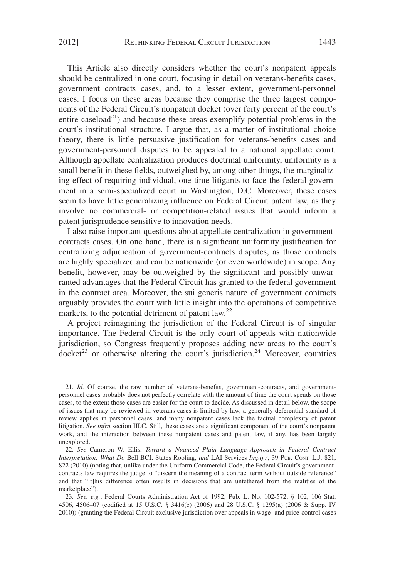This Article also directly considers whether the court's nonpatent appeals should be centralized in one court, focusing in detail on veterans-benefits cases, government contracts cases, and, to a lesser extent, government-personnel cases. I focus on these areas because they comprise the three largest components of the Federal Circuit's nonpatent docket (over forty percent of the court's entire caseload<sup>21</sup>) and because these areas exemplify potential problems in the court's institutional structure. I argue that, as a matter of institutional choice theory, there is little persuasive justification for veterans-benefits cases and government-personnel disputes to be appealed to a national appellate court. Although appellate centralization produces doctrinal uniformity, uniformity is a small benefit in these fields, outweighed by, among other things, the marginalizing effect of requiring individual, one-time litigants to face the federal government in a semi-specialized court in Washington, D.C. Moreover, these cases seem to have little generalizing influence on Federal Circuit patent law, as they involve no commercial- or competition-related issues that would inform a patent jurisprudence sensitive to innovation needs.

I also raise important questions about appellate centralization in governmentcontracts cases. On one hand, there is a significant uniformity justification for centralizing adjudication of government-contracts disputes, as those contracts are highly specialized and can be nationwide (or even worldwide) in scope. Any benefit, however, may be outweighed by the significant and possibly unwarranted advantages that the Federal Circuit has granted to the federal government in the contract area. Moreover, the sui generis nature of government contracts arguably provides the court with little insight into the operations of competitive markets, to the potential detriment of patent law.<sup>22</sup>

A project reimagining the jurisdiction of the Federal Circuit is of singular importance. The Federal Circuit is the only court of appeals with nationwide jurisdiction, so Congress frequently proposes adding new areas to the court's docket<sup>23</sup> or otherwise altering the court's jurisdiction.<sup>24</sup> Moreover, countries

<sup>21.</sup> *Id.* Of course, the raw number of veterans-benefits, government-contracts, and governmentpersonnel cases probably does not perfectly correlate with the amount of time the court spends on those cases, to the extent those cases are easier for the court to decide. As discussed in detail below, the scope of issues that may be reviewed in veterans cases is limited by law, a generally deferential standard of review applies in personnel cases, and many nonpatent cases lack the factual complexity of patent litigation. *See infra* section III.C. Still, these cases are a significant component of the court's nonpatent work, and the interaction between these nonpatent cases and patent law, if any, has been largely unexplored.

<sup>22.</sup> *See* Cameron W. Ellis, *Toward a Nuanced Plain Language Approach in Federal Contract Interpretation: What Do* Bell BCI, States Roofing, *and* LAI Services *Imply?*, 39 PUB. CONT. L.J. 821, 822 (2010) (noting that, unlike under the Uniform Commercial Code, the Federal Circuit's governmentcontracts law requires the judge to "discern the meaning of a contract term without outside reference" and that "[t]his difference often results in decisions that are untethered from the realities of the marketplace").

<sup>23.</sup> *See, e.g.*, Federal Courts Administration Act of 1992, Pub. L. No. 102-572, § 102, 106 Stat. 4506, 4506–07 (codified at 15 U.S.C. § 3416(c) (2006) and 28 U.S.C. § 1295(a) (2006 & Supp. IV 2010)) (granting the Federal Circuit exclusive jurisdiction over appeals in wage- and price-control cases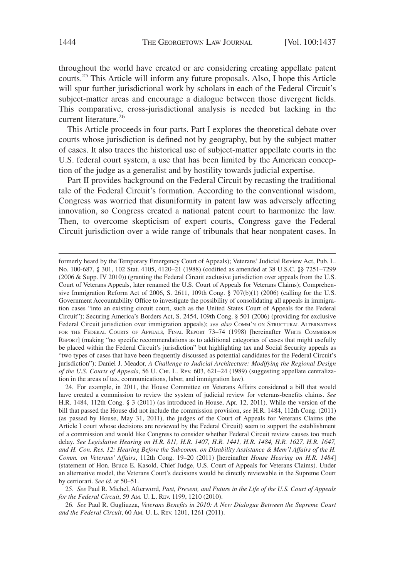throughout the world have created or are considering creating appellate patent courts.<sup>25</sup> This Article will inform any future proposals. Also, I hope this Article will spur further jurisdictional work by scholars in each of the Federal Circuit's subject-matter areas and encourage a dialogue between those divergent fields. This comparative, cross-jurisdictional analysis is needed but lacking in the current literature.<sup>26</sup>

This Article proceeds in four parts. Part I explores the theoretical debate over courts whose jurisdiction is defined not by geography, but by the subject matter of cases. It also traces the historical use of subject-matter appellate courts in the U.S. federal court system, a use that has been limited by the American conception of the judge as a generalist and by hostility towards judicial expertise.

Part II provides background on the Federal Circuit by recasting the traditional tale of the Federal Circuit's formation. According to the conventional wisdom, Congress was worried that disuniformity in patent law was adversely affecting innovation, so Congress created a national patent court to harmonize the law. Then, to overcome skepticism of expert courts, Congress gave the Federal Circuit jurisdiction over a wide range of tribunals that hear nonpatent cases. In

24. For example, in 2011, the House Committee on Veterans Affairs considered a bill that would have created a commission to review the system of judicial review for veterans-benefits claims. *See* H.R. 1484, 112th Cong. § 3 (2011) (as introduced in House, Apr. 12, 2011). While the version of the bill that passed the House did not include the commission provision, *see* H.R. 1484, 112th Cong. (2011) (as passed by House, May 31, 2011), the judges of the Court of Appeals for Veterans Claims (the Article I court whose decisions are reviewed by the Federal Circuit) seem to support the establishment of a commission and would like Congress to consider whether Federal Circuit review causes too much delay. *See Legislative Hearing on H.R. 811, H.R. 1407, H.R. 1441, H.R. 1484, H.R. 1627, H.R. 1647, and H. Con. Res. 12: Hearing Before the Subcomm. on Disability Assistance & Mem'l Affairs of the H. Comm. on Veterans' Affairs*, 112th Cong. 19–20 (2011) [hereinafter *House Hearing on H.R. 1484*] (statement of Hon. Bruce E. Kasold, Chief Judge, U.S. Court of Appeals for Veterans Claims). Under an alternative model, the Veterans Court's decisions would be directly reviewable in the Supreme Court by certiorari. *See id.* at 50–51.

25. *See* Paul R. Michel, Afterword, *Past, Present, and Future in the Life of the U.S. Court of Appeals for the Federal Circuit*, 59 AM. U. L. REV. 1199, 1210 (2010).

26. *See* Paul R. Gugliuzza, *Veterans Benefits in 2010: A New Dialogue Between the Supreme Court and the Federal Circuit*, 60 AM. U. L. REV. 1201, 1261 (2011).

formerly heard by the Temporary Emergency Court of Appeals); Veterans' Judicial Review Act, Pub. L. No. 100-687, § 301, 102 Stat. 4105, 4120–21 (1988) (codified as amended at 38 U.S.C. §§ 7251–7299 (2006 & Supp. IV 2010)) (granting the Federal Circuit exclusive jurisdiction over appeals from the U.S. Court of Veterans Appeals, later renamed the U.S. Court of Appeals for Veterans Claims); Comprehensive Immigration Reform Act of 2006, S. 2611, 109th Cong. § 707(b)(1) (2006) (calling for the U.S. Government Accountability Office to investigate the possibility of consolidating all appeals in immigration cases "into an existing circuit court, such as the United States Court of Appeals for the Federal Circuit"); Securing America's Borders Act, S. 2454, 109th Cong. § 501 (2006) (providing for exclusive Federal Circuit jurisdiction over immigration appeals); *see also* COMM'N ON STRUCTURAL ALTERNATIVES FOR THE FEDERAL COURTS OF APPEALS, FINAL REPORT 73-74 (1998) [hereinafter WHITE COMMISSION REPORT] (making "no specific recommendations as to additional categories of cases that might usefully be placed within the Federal Circuit's jurisdiction" but highlighting tax and Social Security appeals as "two types of cases that have been frequently discussed as potential candidates for the Federal Circuit's jurisdiction"); Daniel J. Meador, *A Challenge to Judicial Architecture: Modifying the Regional Design of the U.S. Courts of Appeals*, 56 U. CHI. L. REV. 603, 621–24 (1989) (suggesting appellate centralization in the areas of tax, communications, labor, and immigration law).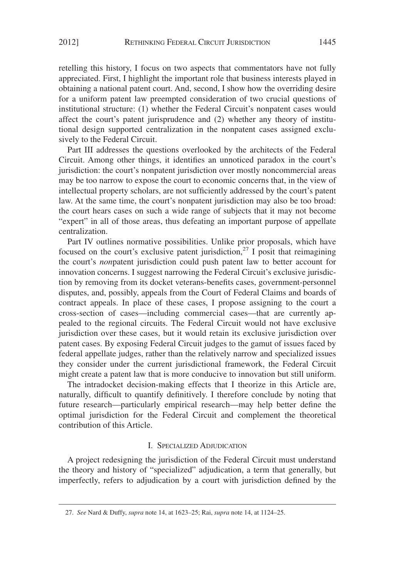retelling this history, I focus on two aspects that commentators have not fully appreciated. First, I highlight the important role that business interests played in obtaining a national patent court. And, second, I show how the overriding desire for a uniform patent law preempted consideration of two crucial questions of institutional structure: (1) whether the Federal Circuit's nonpatent cases would affect the court's patent jurisprudence and (2) whether any theory of institutional design supported centralization in the nonpatent cases assigned exclusively to the Federal Circuit.

Part III addresses the questions overlooked by the architects of the Federal Circuit. Among other things, it identifies an unnoticed paradox in the court's jurisdiction: the court's nonpatent jurisdiction over mostly noncommercial areas may be too narrow to expose the court to economic concerns that, in the view of intellectual property scholars, are not sufficiently addressed by the court's patent law. At the same time, the court's nonpatent jurisdiction may also be too broad: the court hears cases on such a wide range of subjects that it may not become "expert" in all of those areas, thus defeating an important purpose of appellate centralization.

Part IV outlines normative possibilities. Unlike prior proposals, which have focused on the court's exclusive patent jurisdiction,<sup>27</sup> I posit that reimagining the court's *non*patent jurisdiction could push patent law to better account for innovation concerns. I suggest narrowing the Federal Circuit's exclusive jurisdiction by removing from its docket veterans-benefits cases, government-personnel disputes, and, possibly, appeals from the Court of Federal Claims and boards of contract appeals. In place of these cases, I propose assigning to the court a cross-section of cases—including commercial cases—that are currently appealed to the regional circuits. The Federal Circuit would not have exclusive jurisdiction over these cases, but it would retain its exclusive jurisdiction over patent cases. By exposing Federal Circuit judges to the gamut of issues faced by federal appellate judges, rather than the relatively narrow and specialized issues they consider under the current jurisdictional framework, the Federal Circuit might create a patent law that is more conducive to innovation but still uniform.

The intradocket decision-making effects that I theorize in this Article are, naturally, difficult to quantify definitively. I therefore conclude by noting that future research—particularly empirical research—may help better define the optimal jurisdiction for the Federal Circuit and complement the theoretical contribution of this Article.

#### I. SPECIALIZED ADJUDICATION

A project redesigning the jurisdiction of the Federal Circuit must understand the theory and history of "specialized" adjudication, a term that generally, but imperfectly, refers to adjudication by a court with jurisdiction defined by the

<sup>27.</sup> *See* Nard & Duffy, *supra* note 14, at 1623–25; Rai, *supra* note 14, at 1124–25.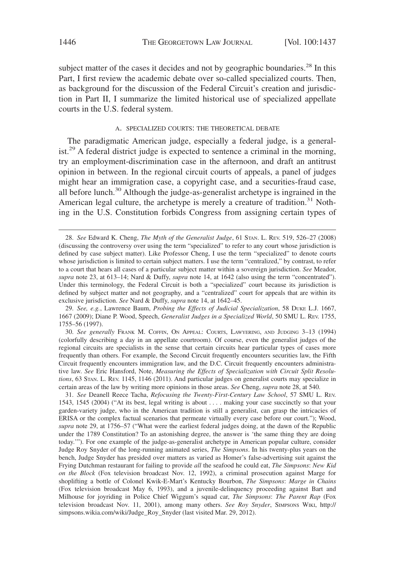subject matter of the cases it decides and not by geographic boundaries.<sup>28</sup> In this Part, I first review the academic debate over so-called specialized courts. Then, as background for the discussion of the Federal Circuit's creation and jurisdiction in Part II, I summarize the limited historical use of specialized appellate courts in the U.S. federal system.

#### A. SPECIALIZED COURTS: THE THEORETICAL DEBATE

The paradigmatic American judge, especially a federal judge, is a generalist.<sup>29</sup> A federal district judge is expected to sentence a criminal in the morning, try an employment-discrimination case in the afternoon, and draft an antitrust opinion in between. In the regional circuit courts of appeals, a panel of judges might hear an immigration case, a copyright case, and a securities-fraud case, all before lunch.30 Although the judge-as-generalist archetype is ingrained in the American legal culture, the archetype is merely a creature of tradition.<sup>31</sup> Nothing in the U.S. Constitution forbids Congress from assigning certain types of

31. *See* Deanell Reece Tacha, *Refocusing the Twenty-First-Century Law School*, 57 SMU L. REV. 1543, 1545 (2004) ("At its best, legal writing is about . . . . making your case succinctly so that your garden-variety judge, who in the American tradition is still a generalist, can grasp the intricacies of ERISA or the complex factual scenarios that permeate virtually every case before our court."); Wood, *supra* note 29, at 1756–57 ("What were the earliest federal judges doing, at the dawn of the Republic under the 1789 Constitution? To an astonishing degree, the answer is 'the same thing they are doing today.'"). For one example of the judge-as-generalist archetype in American popular culture, consider Judge Roy Snyder of the long-running animated series, *The Simpsons*. In his twenty-plus years on the bench, Judge Snyder has presided over matters as varied as Homer's false-advertising suit against the Frying Dutchman restaurant for failing to provide *all* the seafood he could eat, *The Simpsons*: *New Kid on the Block* (Fox television broadcast Nov. 12, 1992), a criminal prosecution against Marge for shoplifting a bottle of Colonel Kwik-E-Mart's Kentucky Bourbon, *The Simpsons*: *Marge in Chains* (Fox television broadcast May 6, 1993), and a juvenile-delinquency proceeding against Bart and Milhouse for joyriding in Police Chief Wiggum's squad car, *The Simpsons*: *The Parent Rap* (Fox television broadcast Nov. 11, 2001), among many others. *See Roy Snyder*, SIMPSONS WIKI, http:// simpsons.wikia.com/wiki/Judge\_Roy\_Snyder (last visited Mar. 29, 2012).

<sup>28.</sup> *See* Edward K. Cheng, *The Myth of the Generalist Judge*, 61 STAN. L. REV. 519, 526–27 (2008) (discussing the controversy over using the term "specialized" to refer to any court whose jurisdiction is defined by case subject matter). Like Professor Cheng, I use the term "specialized" to denote courts whose jurisdiction is limited to certain subject matters. I use the term "centralized," by contrast, to refer to a court that hears all cases of a particular subject matter within a sovereign jurisdiction. *See* Meador, *supra* note 23, at 613–14; Nard & Duffy, *supra* note 14, at 1642 (also using the term "concentrated"). Under this terminology, the Federal Circuit is both a "specialized" court because its jurisdiction is defined by subject matter and not geography, and a "centralized" court for appeals that are within its exclusive jurisdiction. *See* Nard & Duffy, *supra* note 14, at 1642–45.

<sup>29.</sup> *See, e.g.*, Lawrence Baum, *Probing the Effects of Judicial Specialization*, 58 DUKE L.J. 1667, 1667 (2009); Diane P. Wood, Speech, *Generalist Judges in a Specialized World*, 50 SMU L. REV. 1755, 1755–56 (1997).

<sup>30.</sup> *See generally* FRANK M. COFFIN, ON APPEAL: COURTS, LAWYERING, AND JUDGING 3–13 (1994) (colorfully describing a day in an appellate courtroom). Of course, even the generalist judges of the regional circuits are specialists in the sense that certain circuits hear particular types of cases more frequently than others. For example, the Second Circuit frequently encounters securities law, the Fifth Circuit frequently encounters immigration law, and the D.C. Circuit frequently encounters administrative law. *See* Eric Hansford, Note, *Measuring the Effects of Specialization with Circuit Split Resolutions*, 63 STAN. L. REV. 1145, 1146 (2011). And particular judges on generalist courts may specialize in certain areas of the law by writing more opinions in those areas. *See* Cheng, *supra* note 28, at 540.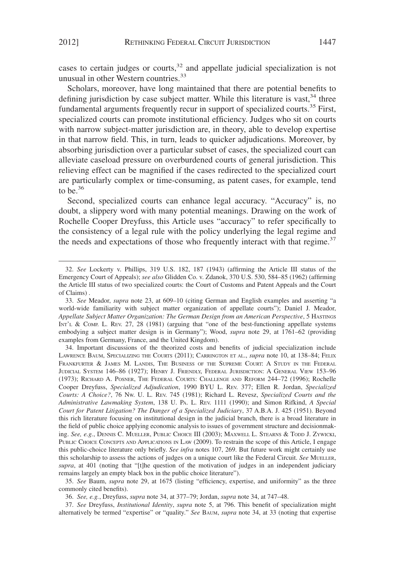cases to certain judges or courts, $32$  and appellate judicial specialization is not unusual in other Western countries.<sup>33</sup>

Scholars, moreover, have long maintained that there are potential benefits to defining jurisdiction by case subject matter. While this literature is vast,<sup>34</sup> three fundamental arguments frequently recur in support of specialized courts.<sup>35</sup> First, specialized courts can promote institutional efficiency. Judges who sit on courts with narrow subject-matter jurisdiction are, in theory, able to develop expertise in that narrow field. This, in turn, leads to quicker adjudications. Moreover, by absorbing jurisdiction over a particular subset of cases, the specialized court can alleviate caseload pressure on overburdened courts of general jurisdiction. This relieving effect can be magnified if the cases redirected to the specialized court are particularly complex or time-consuming, as patent cases, for example, tend to be.<sup>36</sup>

Second, specialized courts can enhance legal accuracy. "Accuracy" is, no doubt, a slippery word with many potential meanings. Drawing on the work of Rochelle Cooper Dreyfuss, this Article uses "accuracy" to refer specifically to the consistency of a legal rule with the policy underlying the legal regime and the needs and expectations of those who frequently interact with that regime.<sup>37</sup>

34. Important discussions of the theorized costs and benefits of judicial specialization include LAWRENCE BAUM, SPECIALIZING THE COURTS (2011); CARRINGTON ET AL., *supra* note 10, at 138–84; FELIX FRANKFURTER & JAMES M. LANDIS, THE BUSINESS OF THE SUPREME COURT: A STUDY IN THE FEDERAL JUDICIAL SYSTEM 146–86 (1927); HENRY J. FRIENDLY, FEDERAL JURISDICTION:AGENERAL VIEW 153–96 (1973); RICHARD A. POSNER, THE FEDERAL COURTS: CHALLENGE AND REFORM 244–72 (1996); Rochelle Cooper Dreyfuss, *Specialized Adjudication*, 1990 BYU L. REV. 377; Ellen R. Jordan, *Specialized Courts: A Choice?*, 76 NW. U. L. REV. 745 (1981); Richard L. Revesz, *Specialized Courts and the Administrative Lawmaking System*, 138 U. PA. L. REV. 1111 (1990); and Simon Rifkind, *A Special Court for Patent Litigation? The Danger of a Specialized Judiciary*, 37 A.B.A. J. 425 (1951). Beyond this rich literature focusing on institutional design in the judicial branch, there is a broad literature in the field of public choice applying economic analysis to issues of government structure and decisionmaking. *See, e.g.*, DENNIS C. MUELLER, PUBLIC CHOICE III (2003); MAXWELL L. STEARNS & TODD J. ZYWICKI, PUBLIC CHOICE CONCEPTS AND APPLICATIONS IN LAW (2009). To restrain the scope of this Article, I engage this public-choice literature only briefly. *See infra* notes 107, 269. But future work might certainly use this scholarship to assess the actions of judges on a unique court like the Federal Circuit. *See* MUELLER, *supra*, at 401 (noting that "[t]he question of the motivation of judges in an independent judiciary remains largely an empty black box in the public choice literature").

35. *See* Baum, *supra* note 29, at 1675 (listing "efficiency, expertise, and uniformity" as the three commonly cited benefits).

36. *See, e.g.*, Dreyfuss, *supra* note 34, at 377–79; Jordan, *supra* note 34, at 747–48.

37. *See* Dreyfuss, *Institutional Identity*, *supra* note 5, at 796. This benefit of specialization might alternatively be termed "expertise" or "quality." *See* BAUM, *supra* note 34, at 33 (noting that expertise

<sup>32.</sup> *See* Lockerty v. Phillips, 319 U.S. 182, 187 (1943) (affirming the Article III status of the Emergency Court of Appeals); *see also* Glidden Co. v. Zdanok, 370 U.S. 530, 584–85 (1962) (affirming the Article III status of two specialized courts: the Court of Customs and Patent Appeals and the Court of Claims) .

<sup>33.</sup> *See* Meador, *supra* note 23, at 609–10 (citing German and English examples and asserting "a world-wide familiarity with subject matter organization of appellate courts"); Daniel J. Meador, *Appellate Subject Matter Organization: The German Design from an American Perspective*,5HASTINGS INT'L & COMP. L. REV. 27, 28 (1981) (arguing that "one of the best-functioning appellate systems embodying a subject matter design is in Germany"); Wood, *supra* note 29, at 1761–62 (providing examples from Germany, France, and the United Kingdom).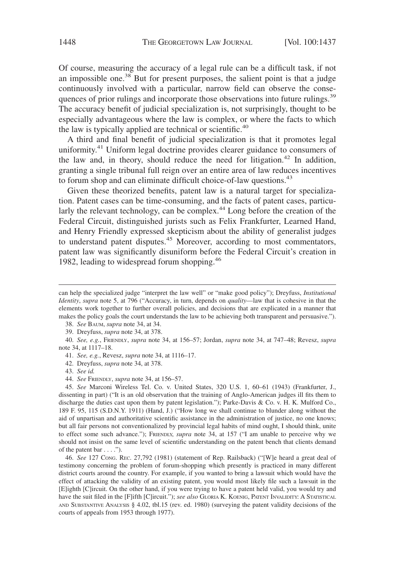Of course, measuring the accuracy of a legal rule can be a difficult task, if not an impossible one.<sup>38</sup> But for present purposes, the salient point is that a judge continuously involved with a particular, narrow field can observe the consequences of prior rulings and incorporate those observations into future rulings.<sup>39</sup> The accuracy benefit of judicial specialization is, not surprisingly, thought to be especially advantageous where the law is complex, or where the facts to which the law is typically applied are technical or scientific.<sup>40</sup>

A third and final benefit of judicial specialization is that it promotes legal uniformity.<sup>41</sup> Uniform legal doctrine provides clearer guidance to consumers of the law and, in theory, should reduce the need for litigation.<sup>42</sup> In addition, granting a single tribunal full reign over an entire area of law reduces incentives to forum shop and can eliminate difficult choice-of-law questions.<sup>43</sup>

Given these theorized benefits, patent law is a natural target for specialization. Patent cases can be time-consuming, and the facts of patent cases, particularly the relevant technology, can be complex.<sup>44</sup> Long before the creation of the Federal Circuit, distinguished jurists such as Felix Frankfurter, Learned Hand, and Henry Friendly expressed skepticism about the ability of generalist judges to understand patent disputes.<sup>45</sup> Moreover, according to most commentators, patent law was significantly disuniform before the Federal Circuit's creation in 1982, leading to widespread forum shopping.<sup>46</sup>

38. *See* BAUM, *supra* note 34, at 34.

39. Dreyfuss, *supra* note 34, at 378.

40. *See, e.g.*, FRIENDLY, *supra* note 34, at 156–57; Jordan, *supra* note 34, at 747–48; Revesz, *supra* note 34, at 1117–18.

41. *See, e.g.*, Revesz, *supra* note 34, at 1116–17.

42. Dreyfuss, *supra* note 34, at 378.

43. *See id.*

44. *See* FRIENDLY, *supra* note 34, at 156–57.

45. *See* Marconi Wireless Tel. Co. v. United States, 320 U.S. 1, 60–61 (1943) (Frankfurter, J., dissenting in part) ("It is an old observation that the training of Anglo-American judges ill fits them to discharge the duties cast upon them by patent legislation."); Parke-Davis & Co. v. H. K. Mulford Co., 189 F. 95, 115 (S.D.N.Y. 1911) (Hand, J.) ("How long we shall continue to blunder along without the aid of unpartisan and authoritative scientific assistance in the administration of justice, no one knows; but all fair persons not conventionalized by provincial legal habits of mind ought, I should think, unite to effect some such advance."); FRIENDLY, *supra* note 34, at 157 ("I am unable to perceive why we should not insist on the same level of scientific understanding on the patent bench that clients demand of the patent bar  $\dots$  .").

46. *See* 127 CONG. REC. 27,792 (1981) (statement of Rep. Railsback) ("[W]e heard a great deal of testimony concerning the problem of forum-shopping which presently is practiced in many different district courts around the country. For example, if you wanted to bring a lawsuit which would have the effect of attacking the validity of an existing patent, you would most likely file such a lawsuit in the [E]ighth [C]ircuit. On the other hand, if you were trying to have a patent held valid, you would try and have the suit filed in the [F]ifth [C]ircuit."); *see also* GLORIA K. KOENIG, PATENT INVALIDITY: A STATISTICAL AND SUBSTANTIVE ANALYSIS § 4.02, tbl.15 (rev. ed. 1980) (surveying the patent validity decisions of the courts of appeals from 1953 through 1977).

can help the specialized judge "interpret the law well" or "make good policy"); Dreyfuss, *Institutional Identity*, *supra* note 5, at 796 ("Accuracy, in turn, depends on *quality*—law that is cohesive in that the elements work together to further overall policies, and decisions that are explicated in a manner that makes the policy goals the court understands the law to be achieving both transparent and persuasive.").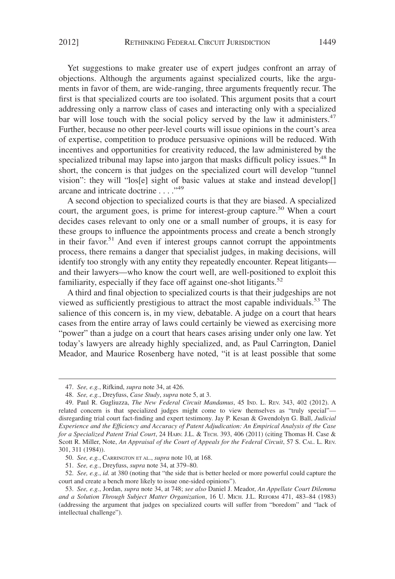Yet suggestions to make greater use of expert judges confront an array of objections. Although the arguments against specialized courts, like the arguments in favor of them, are wide-ranging, three arguments frequently recur. The first is that specialized courts are too isolated. This argument posits that a court addressing only a narrow class of cases and interacting only with a specialized bar will lose touch with the social policy served by the law it administers. $47$ Further, because no other peer-level courts will issue opinions in the court's area of expertise, competition to produce persuasive opinions will be reduced. With incentives and opportunities for creativity reduced, the law administered by the specialized tribunal may lapse into jargon that masks difficult policy issues.<sup>48</sup> In short, the concern is that judges on the specialized court will develop "tunnel vision": they will "los[e] sight of basic values at stake and instead develop[] arcane and intricate doctrine . . . ."<sup>49</sup>

A second objection to specialized courts is that they are biased. A specialized court, the argument goes, is prime for interest-group capture.<sup>50</sup> When a court decides cases relevant to only one or a small number of groups, it is easy for these groups to influence the appointments process and create a bench strongly in their favor.<sup>51</sup> And even if interest groups cannot corrupt the appointments process, there remains a danger that specialist judges, in making decisions, will identify too strongly with any entity they repeatedly encounter. Repeat litigants and their lawyers—who know the court well, are well-positioned to exploit this familiarity, especially if they face off against one-shot litigants.<sup>52</sup>

A third and final objection to specialized courts is that their judgeships are not viewed as sufficiently prestigious to attract the most capable individuals.<sup>53</sup> The salience of this concern is, in my view, debatable. A judge on a court that hears cases from the entire array of laws could certainly be viewed as exercising more "power" than a judge on a court that hears cases arising under only one law. Yet today's lawyers are already highly specialized, and, as Paul Carrington, Daniel Meador, and Maurice Rosenberg have noted, "it is at least possible that some

51. *See, e.g.*, Dreyfuss, *supra* note 34, at 379–80.

<sup>47.</sup> *See, e.g.*, Rifkind, *supra* note 34, at 426.

<sup>48.</sup> *See, e.g.*, Dreyfuss, *Case Study*, *supra* note 5, at 3.

<sup>49.</sup> Paul R. Gugliuzza, *The New Federal Circuit Mandamus*, 45 IND. L. REV. 343, 402 (2012). A related concern is that specialized judges might come to view themselves as "truly special" disregarding trial court fact-finding and expert testimony. Jay P. Kesan & Gwendolyn G. Ball, *Judicial Experience and the Efficiency and Accuracy of Patent Adjudication: An Empirical Analysis of the Case for a Specialized Patent Trial Court*, 24 HARV. J.L. & TECH. 393, 406 (2011) (citing Thomas H. Case & Scott R. Miller, Note, *An Appraisal of the Court of Appeals for the Federal Circuit*, 57 S. CAL. L. REV. 301, 311 (1984)).

<sup>50.</sup> *See, e.g.*, CARRINGTON ET AL., *supra* note 10, at 168.

<sup>52.</sup> *See, e.g.*, *id.* at 380 (noting that "the side that is better heeled or more powerful could capture the court and create a bench more likely to issue one-sided opinions").

<sup>53.</sup> *See, e.g.*, Jordan, *supra* note 34, at 748; *see also* Daniel J. Meador, *An Appellate Court Dilemma and a Solution Through Subject Matter Organization*, 16 U. MICH. J.L. REFORM 471, 483–84 (1983) (addressing the argument that judges on specialized courts will suffer from "boredom" and "lack of intellectual challenge").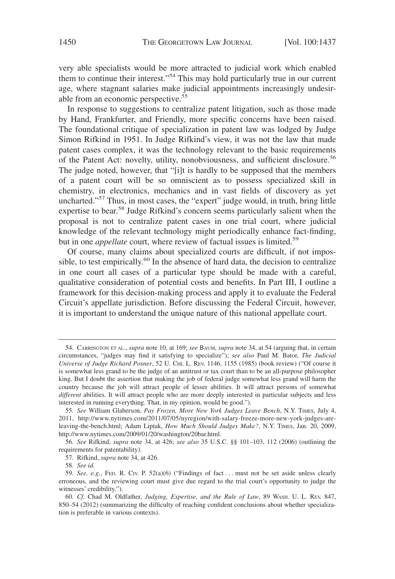very able specialists would be more attracted to judicial work which enabled them to continue their interest."54 This may hold particularly true in our current age, where stagnant salaries make judicial appointments increasingly undesirable from an economic perspective. $55$ 

In response to suggestions to centralize patent litigation, such as those made by Hand, Frankfurter, and Friendly, more specific concerns have been raised. The foundational critique of specialization in patent law was lodged by Judge Simon Rifkind in 1951. In Judge Rifkind's view, it was not the law that made patent cases complex, it was the technology relevant to the basic requirements of the Patent Act: novelty, utility, nonobviousness, and sufficient disclosure.<sup>56</sup> The judge noted, however, that "[i]t is hardly to be supposed that the members of a patent court will be so omniscient as to possess specialized skill in chemistry, in electronics, mechanics and in vast fields of discovery as yet uncharted."<sup>57</sup> Thus, in most cases, the "expert" judge would, in truth, bring little expertise to bear.58 Judge Rifkind's concern seems particularly salient when the proposal is not to centralize patent cases in one trial court, where judicial knowledge of the relevant technology might periodically enhance fact-finding, but in one *appellate* court, where review of factual issues is limited.<sup>59</sup>

Of course, many claims about specialized courts are difficult, if not impossible, to test empirically.<sup>60</sup> In the absence of hard data, the decision to centralize in one court all cases of a particular type should be made with a careful, qualitative consideration of potential costs and benefits. In Part III, I outline a framework for this decision-making process and apply it to evaluate the Federal Circuit's appellate jurisdiction. Before discussing the Federal Circuit, however, it is important to understand the unique nature of this national appellate court.

58. *See id.*

<sup>54.</sup> CARRINGTON ET AL., *supra* note 10, at 169; *see* BAUM, *supra* note 34, at 54 (arguing that, in certain circumstances, "judges may find it satisfying to specialize"); *see also* Paul M. Bator, *The Judicial Universe of Judge Richard Posner*, 52 U. CHI. L. REV. 1146, 1155 (1985) (book review) ("Of course it is somewhat less grand to be the judge of an antitrust or tax court than to be an all-purpose philosopher king. But I doubt the assertion that making the job of federal judge somewhat less grand will harm the country because the job will attract people of lesser abilities. It will attract persons of somewhat *different* abilities. It will attract people who are more deeply interested in particular subjects and less interested in running everything. That, in my opinion, would be good.").

<sup>55.</sup> *See* William Glaberson, *Pay Frozen, More New York Judges Leave Bench*, N.Y. TIMES, July 4, 2011, http://www.nytimes.com/2011/07/05/nyregion/with-salary-freeze-more-new-york-judges-areleaving-the-bench.html; Adam Liptak, *How Much Should Judges Make?*, N.Y. TIMES, Jan. 20, 2009, http://www.nytimes.com/2009/01/20/washington/20bar.html.

<sup>56.</sup> *See* Rifkind, *supra* note 34, at 426; *see also* 35 U.S.C. §§ 101–103, 112 (2006) (outlining the requirements for patentability).

<sup>57.</sup> Rifkind, *supra* note 34, at 426.

<sup>59.</sup> *See, e.g.*, FED. R. CIV. P. 52(a)(6) ("Findings of fact... must not be set aside unless clearly erroneous, and the reviewing court must give due regard to the trial court's opportunity to judge the witnesses' credibility.").

<sup>60.</sup> *Cf.* Chad M. Oldfather, *Judging, Expertise, and the Rule of Law*, 89 WASH. U. L. REV. 847, 850–54 (2012) (summarizing the difficulty of reaching confident conclusions about whether specialization is preferable in various contexts).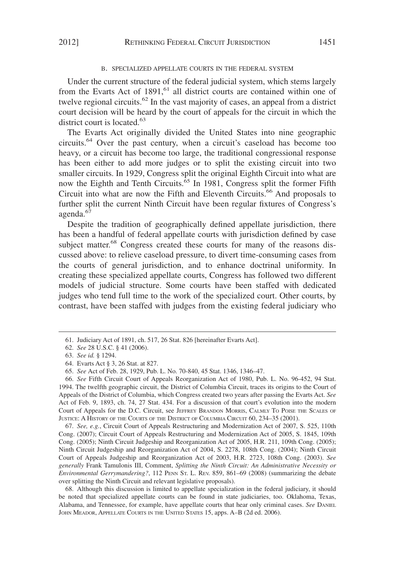#### B. SPECIALIZED APPELLATE COURTS IN THE FEDERAL SYSTEM

Under the current structure of the federal judicial system, which stems largely from the Evarts Act of  $1891$ ,<sup>61</sup> all district courts are contained within one of twelve regional circuits.<sup>62</sup> In the vast majority of cases, an appeal from a district court decision will be heard by the court of appeals for the circuit in which the district court is located.<sup>63</sup>

The Evarts Act originally divided the United States into nine geographic circuits.<sup>64</sup> Over the past century, when a circuit's caseload has become too heavy, or a circuit has become too large, the traditional congressional response has been either to add more judges or to split the existing circuit into two smaller circuits. In 1929, Congress split the original Eighth Circuit into what are now the Eighth and Tenth Circuits.<sup> $\delta$ 5</sup> In 1981, Congress split the former Fifth Circuit into what are now the Fifth and Eleventh Circuits.<sup>66</sup> And proposals to further split the current Ninth Circuit have been regular fixtures of Congress's agenda.<sup>67</sup>

Despite the tradition of geographically defined appellate jurisdiction, there has been a handful of federal appellate courts with jurisdiction defined by case subject matter.<sup>68</sup> Congress created these courts for many of the reasons discussed above: to relieve caseload pressure, to divert time-consuming cases from the courts of general jurisdiction, and to enhance doctrinal uniformity. In creating these specialized appellate courts, Congress has followed two different models of judicial structure. Some courts have been staffed with dedicated judges who tend full time to the work of the specialized court. Other courts, by contrast, have been staffed with judges from the existing federal judiciary who

67. *See, e.g.*, Circuit Court of Appeals Restructuring and Modernization Act of 2007, S. 525, 110th Cong. (2007); Circuit Court of Appeals Restructuring and Modernization Act of 2005, S. 1845, 109th Cong. (2005); Ninth Circuit Judgeship and Reorganization Act of 2005, H.R. 211, 109th Cong. (2005); Ninth Circuit Judgeship and Reorganization Act of 2004, S. 2278, 108th Cong. (2004); Ninth Circuit Court of Appeals Judgeship and Reorganization Act of 2003, H.R. 2723, 108th Cong. (2003). *See generally* Frank Tamulonis III, Comment, *Splitting the Ninth Circuit: An Administrative Necessity or Environmental Gerrymandering?*, 112 PENN ST. L. REV. 859, 861–69 (2008) (summarizing the debate over splitting the Ninth Circuit and relevant legislative proposals).

68. Although this discussion is limited to appellate specialization in the federal judiciary, it should be noted that specialized appellate courts can be found in state judiciaries, too. Oklahoma, Texas, Alabama, and Tennessee, for example, have appellate courts that hear only criminal cases. *See* DANIEL JOHN MEADOR, APPELLATE COURTS IN THE UNITED STATES 15, apps. A–B (2d ed. 2006).

<sup>61.</sup> Judiciary Act of 1891, ch. 517, 26 Stat. 826 [hereinafter Evarts Act].

<sup>62.</sup> *See* 28 U.S.C. § 41 (2006).

<sup>63.</sup> *See id.* § 1294.

<sup>64.</sup> Evarts Act § 3, 26 Stat. at 827.

<sup>65.</sup> *See* Act of Feb. 28, 1929, Pub. L. No. 70-840, 45 Stat. 1346, 1346–47.

<sup>66.</sup> *See* Fifth Circuit Court of Appeals Reorganization Act of 1980, Pub. L. No. 96-452, 94 Stat. 1994. The twelfth geographic circuit, the District of Columbia Circuit, traces its origins to the Court of Appeals of the District of Columbia, which Congress created two years after passing the Evarts Act. *See* Act of Feb. 9, 1893, ch. 74, 27 Stat. 434. For a discussion of that court's evolution into the modern Court of Appeals for the D.C. Circuit, see JEFFREY BRANDON MORRIS, CALMLY TO POISE THE SCALES OF JUSTICE:AHISTORY OF THE COURTS OF THE DISTRICT OF COLUMBIA CIRCUIT 60, 234–35 (2001).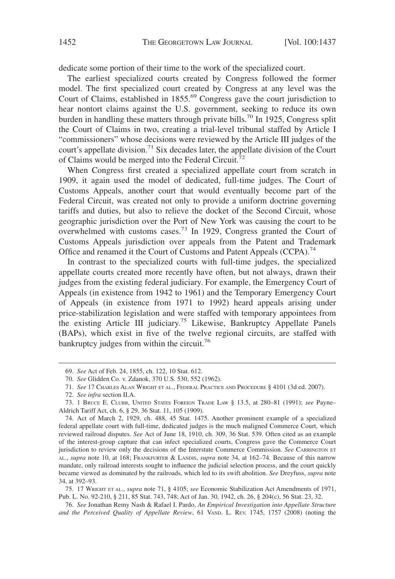dedicate some portion of their time to the work of the specialized court.

The earliest specialized courts created by Congress followed the former model. The first specialized court created by Congress at any level was the Court of Claims, established in 1855.<sup>69</sup> Congress gave the court jurisdiction to hear nontort claims against the U.S. government, seeking to reduce its own burden in handling these matters through private bills.<sup>70</sup> In 1925, Congress split the Court of Claims in two, creating a trial-level tribunal staffed by Article I "commissioners" whose decisions were reviewed by the Article III judges of the court's appellate division.<sup>71</sup> Six decades later, the appellate division of the Court of Claims would be merged into the Federal Circuit.72

When Congress first created a specialized appellate court from scratch in 1909, it again used the model of dedicated, full-time judges. The Court of Customs Appeals, another court that would eventually become part of the Federal Circuit, was created not only to provide a uniform doctrine governing tariffs and duties, but also to relieve the docket of the Second Circuit, whose geographic jurisdiction over the Port of New York was causing the court to be overwhelmed with customs cases.<sup>73</sup> In 1929, Congress granted the Court of Customs Appeals jurisdiction over appeals from the Patent and Trademark Office and renamed it the Court of Customs and Patent Appeals (CCPA).<sup>74</sup>

In contrast to the specialized courts with full-time judges, the specialized appellate courts created more recently have often, but not always, drawn their judges from the existing federal judiciary. For example, the Emergency Court of Appeals (in existence from 1942 to 1961) and the Temporary Emergency Court of Appeals (in existence from 1971 to 1992) heard appeals arising under price-stabilization legislation and were staffed with temporary appointees from the existing Article III judiciary.<sup>75</sup> Likewise, Bankruptcy Appellate Panels (BAPs), which exist in five of the twelve regional circuits, are staffed with bankruptcy judges from within the circuit.<sup>76</sup>

75. 17 WRIGHT ET AL., *supra* note 71, § 4105; *see* Economic Stabilization Act Amendments of 1971, Pub. L. No. 92-210, § 211, 85 Stat. 743, 748; Act of Jan. 30, 1942, ch. 26, § 204(c), 56 Stat. 23, 32.

76. *See* Jonathan Remy Nash & Rafael I. Pardo, *An Empirical Investigation into Appellate Structure and the Perceived Quality of Appellate Review*, 61 VAND. L. REV. 1745, 1757 (2008) (noting the

<sup>69.</sup> *See* Act of Feb. 24, 1855, ch. 122, 10 Stat. 612.

<sup>70.</sup> *See* Glidden Co. v. Zdanok, 370 U.S. 530, 552 (1962).

<sup>71.</sup> *See* 17 CHARLES ALAN WRIGHT ET AL., FEDERAL PRACTICE AND PROCEDURE § 4101 (3d ed. 2007).

<sup>72.</sup> *See infra* section II.A.

<sup>73. 1</sup> BRUCE E. CLUBB, UNITED STATES FOREIGN TRADE LAW § 13.5, at 280–81 (1991); *see* Payne– Aldrich Tariff Act, ch. 6, § 29, 36 Stat. 11, 105 (1909).

<sup>74.</sup> Act of March 2, 1929, ch. 488, 45 Stat. 1475. Another prominent example of a specialized federal appellate court with full-time, dedicated judges is the much maligned Commerce Court, which reviewed railroad disputes. *See* Act of June 18, 1910, ch. 309, 36 Stat. 539. Often cited as an example of the interest-group capture that can infect specialized courts, Congress gave the Commerce Court jurisdiction to review only the decisions of the Interstate Commerce Commission. *See* CARRINGTON ET AL., *supra* note 10, at 168; FRANKFURTER & LANDIS, *supra* note 34, at 162–74. Because of this narrow mandate, only railroad interests sought to influence the judicial selection process, and the court quickly became viewed as dominated by the railroads, which led to its swift abolition. *See* Dreyfuss, *supra* note 34, at 392–93.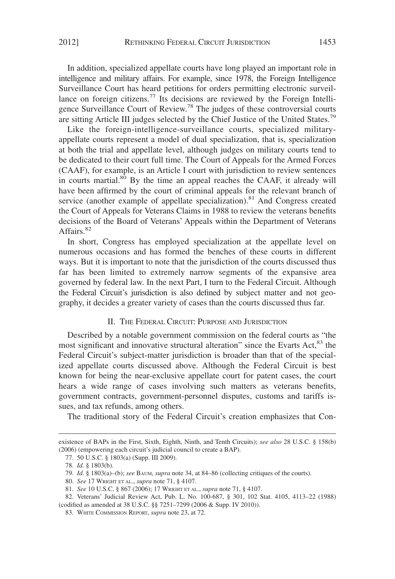In addition, specialized appellate courts have long played an important role in intelligence and military affairs. For example, since 1978, the Foreign Intelligence Surveillance Court has heard petitions for orders permitting electronic surveillance on foreign citizens.<sup>77</sup> Its decisions are reviewed by the Foreign Intelligence Surveillance Court of Review.<sup>78</sup> The judges of these controversial courts are sitting Article III judges selected by the Chief Justice of the United States.<sup>79</sup>

Like the foreign-intelligence-surveillance courts, specialized militaryappellate courts represent a model of dual specialization, that is, specialization at both the trial and appellate level, although judges on military courts tend to be dedicated to their court full time. The Court of Appeals for the Armed Forces (CAAF), for example, is an Article I court with jurisdiction to review sentences in courts martial.<sup>80</sup> By the time an appeal reaches the CAAF, it already will have been affirmed by the court of criminal appeals for the relevant branch of service (another example of appellate specialization).<sup>81</sup> And Congress created the Court of Appeals for Veterans Claims in 1988 to review the veterans benefits decisions of the Board of Veterans' Appeals within the Department of Veterans Affairs.<sup>82</sup>

In short, Congress has employed specialization at the appellate level on numerous occasions and has formed the benches of these courts in different ways. But it is important to note that the jurisdiction of the courts discussed thus far has been limited to extremely narrow segments of the expansive area governed by federal law. In the next Part, I turn to the Federal Circuit. Although the Federal Circuit's jurisdiction is also defined by subject matter and not geography, it decides a greater variety of cases than the courts discussed thus far.

#### II. THE FEDERAL CIRCUIT: PURPOSE AND JURISDICTION

Described by a notable government commission on the federal courts as "the most significant and innovative structural alteration" since the Evarts Act,<sup>83</sup> the Federal Circuit's subject-matter jurisdiction is broader than that of the specialized appellate courts discussed above. Although the Federal Circuit is best known for being the near-exclusive appellate court for patent cases, the court hears a wide range of cases involving such matters as veterans benefits, government contracts, government-personnel disputes, customs and tariffs issues, and tax refunds, among others.

The traditional story of the Federal Circuit's creation emphasizes that Con-

existence of BAPs in the First, Sixth, Eighth, Ninth, and Tenth Circuits); *see also* 28 U.S.C. § 158(b) (2006) (empowering each circuit's judicial council to create a BAP).

<sup>77. 50</sup> U.S.C. § 1803(a) (Supp. III 2009).

<sup>78.</sup> *Id.* § 1803(b).

<sup>79.</sup> *Id.* § 1803(a)–(b); *see* BAUM, *supra* note 34, at 84–86 (collecting critiques of the courts).

<sup>80.</sup> *See* 17 WRIGHT ET AL., *supra* note 71, § 4107.

<sup>81.</sup> *See* 10 U.S.C. § 867 (2006); 17 WRIGHT ET AL., *supra* note 71, § 4107.

<sup>82.</sup> Veterans' Judicial Review Act, Pub. L. No. 100-687, § 301, 102 Stat. 4105, 4113–22 (1988) (codified as amended at 38 U.S.C. §§ 7251–7299 (2006 & Supp. IV 2010)).

<sup>83.</sup> WHITE COMMISSION REPORT, *supra* note 23, at 72.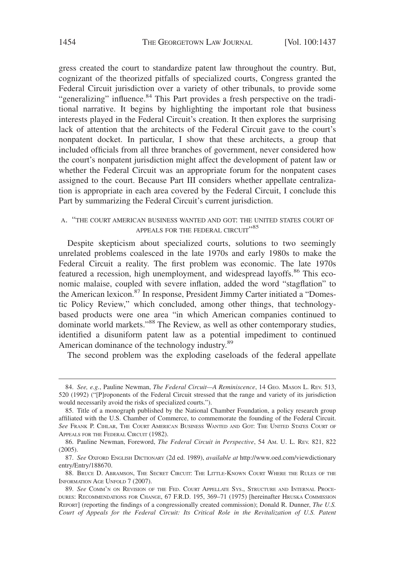gress created the court to standardize patent law throughout the country. But, cognizant of the theorized pitfalls of specialized courts, Congress granted the Federal Circuit jurisdiction over a variety of other tribunals, to provide some "generalizing" influence.<sup>84</sup> This Part provides a fresh perspective on the traditional narrative. It begins by highlighting the important role that business interests played in the Federal Circuit's creation. It then explores the surprising lack of attention that the architects of the Federal Circuit gave to the court's nonpatent docket. In particular, I show that these architects, a group that included officials from all three branches of government, never considered how the court's nonpatent jurisdiction might affect the development of patent law or whether the Federal Circuit was an appropriate forum for the nonpatent cases assigned to the court. Because Part III considers whether appellate centralization is appropriate in each area covered by the Federal Circuit, I conclude this Part by summarizing the Federal Circuit's current jurisdiction.

#### A. "THE COURT AMERICAN BUSINESS WANTED AND GOT: THE UNITED STATES COURT OF APPEALS FOR THE FEDERAL CIRCUIT"<sup>85</sup>

Despite skepticism about specialized courts, solutions to two seemingly unrelated problems coalesced in the late 1970s and early 1980s to make the Federal Circuit a reality. The first problem was economic. The late 1970s featured a recession, high unemployment, and widespread layoffs.<sup>86</sup> This economic malaise, coupled with severe inflation, added the word "stagflation" to the American lexicon.87 In response, President Jimmy Carter initiated a "Domestic Policy Review," which concluded, among other things, that technologybased products were one area "in which American companies continued to dominate world markets."<sup>88</sup> The Review, as well as other contemporary studies, identified a disuniform patent law as a potential impediment to continued American dominance of the technology industry.<sup>89</sup>

The second problem was the exploding caseloads of the federal appellate

<sup>84.</sup> *See, e.g.*, Pauline Newman, *The Federal Circuit—A Reminiscence*, 14 GEO. MASON L. REV. 513, 520 (1992) ("[P]roponents of the Federal Circuit stressed that the range and variety of its jurisdiction would necessarily avoid the risks of specialized courts.").

<sup>85.</sup> Title of a monograph published by the National Chamber Foundation, a policy research group affiliated with the U.S. Chamber of Commerce, to commemorate the founding of the Federal Circuit. *See* FRANK P. CIHLAR, THE COURT AMERICAN BUSINESS WANTED AND GOT: THE UNITED STATES COURT OF APPEALS FOR THE FEDERAL CIRCUIT (1982).

<sup>86.</sup> Pauline Newman, Foreword, *The Federal Circuit in Perspective*, 54 AM. U. L. REV. 821, 822 (2005).

<sup>87.</sup> *See* OXFORD ENGLISH DICTIONARY (2d ed. 1989), *available at* http://www.oed.com/viewdictionary entry/Entry/188670.

<sup>88.</sup> BRUCE D. ABRAMSON, THE SECRET CIRCUIT: THE LITTLE-KNOWN COURT WHERE THE RULES OF THE INFORMATION AGE UNFOLD 7 (2007).

<sup>89.</sup> *See* COMM'N ON REVISION OF THE FED. COURT APPELLATE SYS., STRUCTURE AND INTERNAL PROCE-DURES: RECOMMENDATIONS FOR CHANGE, 67 F.R.D. 195, 369–71 (1975) [hereinafter HRUSKA COMMISSION REPORT] (reporting the findings of a congressionally created commission); Donald R. Dunner, *The U.S. Court of Appeals for the Federal Circuit: Its Critical Role in the Revitalization of U.S. Patent*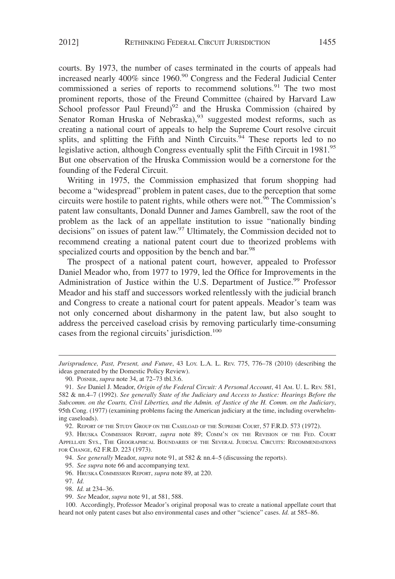courts. By 1973, the number of cases terminated in the courts of appeals had increased nearly  $400\%$  since  $1960$ .<sup>90</sup> Congress and the Federal Judicial Center commissioned a series of reports to recommend solutions.<sup>91</sup> The two most prominent reports, those of the Freund Committee (chaired by Harvard Law School professor Paul Freund)<sup>92</sup> and the Hruska Commission (chaired by Senator Roman Hruska of Nebraska),<sup>93</sup> suggested modest reforms, such as creating a national court of appeals to help the Supreme Court resolve circuit splits, and splitting the Fifth and Ninth Circuits.<sup>94</sup> These reports led to no legislative action, although Congress eventually split the Fifth Circuit in 1981.<sup>95</sup> But one observation of the Hruska Commission would be a cornerstone for the founding of the Federal Circuit.

Writing in 1975, the Commission emphasized that forum shopping had become a "widespread" problem in patent cases, due to the perception that some circuits were hostile to patent rights, while others were not.<sup>96</sup> The Commission's patent law consultants, Donald Dunner and James Gambrell, saw the root of the problem as the lack of an appellate institution to issue "nationally binding decisions" on issues of patent law.<sup>97</sup> Ultimately, the Commission decided not to recommend creating a national patent court due to theorized problems with specialized courts and opposition by the bench and bar.<sup>98</sup>

The prospect of a national patent court, however, appealed to Professor Daniel Meador who, from 1977 to 1979, led the Office for Improvements in the Administration of Justice within the U.S. Department of Justice.<sup>99</sup> Professor Meador and his staff and successors worked relentlessly with the judicial branch and Congress to create a national court for patent appeals. Meador's team was not only concerned about disharmony in the patent law, but also sought to address the perceived caseload crisis by removing particularly time-consuming cases from the regional circuits' jurisdiction.<sup>100</sup>

92. REPORT OF THE STUDY GROUP ON THE CASELOAD OF THE SUPREME COURT, 57 F.R.D. 573 (1972).

95. *See supra* note 66 and accompanying text.

96. HRUSKA COMMISSION REPORT, *supra* note 89, at 220.

97. *Id.*

*Jurisprudence, Past, Present, and Future*, 43 LOY. L.A. L. REV. 775, 776–78 (2010) (describing the ideas generated by the Domestic Policy Review).

<sup>90.</sup> POSNER, *supra* note 34, at 72–73 tbl.3.6.

<sup>91.</sup> *See* Daniel J. Meador, *Origin of the Federal Circuit: A Personal Account*, 41 AM. U. L. REV. 581, 582 & nn.4–7 (1992). *See generally State of the Judiciary and Access to Justice: Hearings Before the Subcomm. on the Courts, Civil Liberties, and the Admin. of Justice of the H. Comm. on the Judiciary*, 95th Cong. (1977) (examining problems facing the American judiciary at the time, including overwhelming caseloads).

<sup>93.</sup> HRUSKA COMMISSION REPORT, *supra* note 89; COMM'N ON THE REVISION OF THE FED. COURT APPELLATE SYS., THE GEOGRAPHICAL BOUNDARIES OF THE SEVERAL JUDICIAL CIRCUITS: RECOMMENDATIONS FOR CHANGE, 62 F.R.D. 223 (1973).

<sup>94.</sup> *See generally* Meador, *supra* note 91, at 582 & nn.4–5 (discussing the reports).

<sup>98.</sup> *Id.* at 234–36.

<sup>99.</sup> *See* Meador, *supra* note 91, at 581, 588.

<sup>100.</sup> Accordingly, Professor Meador's original proposal was to create a national appellate court that heard not only patent cases but also environmental cases and other "science" cases. *Id.* at 585–86.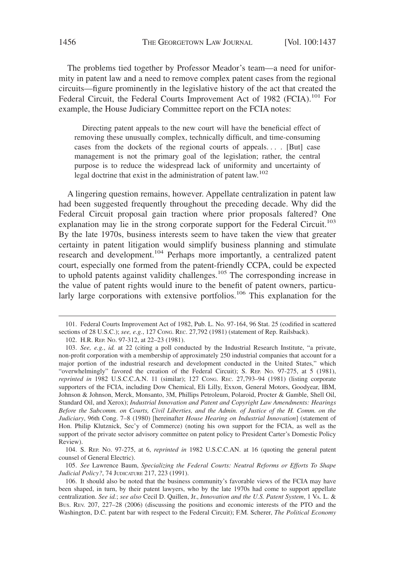The problems tied together by Professor Meador's team—a need for uniformity in patent law and a need to remove complex patent cases from the regional circuits—figure prominently in the legislative history of the act that created the Federal Circuit, the Federal Courts Improvement Act of 1982 (FCIA).<sup>101</sup> For example, the House Judiciary Committee report on the FCIA notes:

Directing patent appeals to the new court will have the beneficial effect of removing these unusually complex, technically difficult, and time-consuming cases from the dockets of the regional courts of appeals... . [But] case management is not the primary goal of the legislation; rather, the central purpose is to reduce the widespread lack of uniformity and uncertainty of legal doctrine that exist in the administration of patent law.<sup>102</sup>

A lingering question remains, however. Appellate centralization in patent law had been suggested frequently throughout the preceding decade. Why did the Federal Circuit proposal gain traction where prior proposals faltered? One explanation may lie in the strong corporate support for the Federal Circuit.<sup>103</sup> By the late 1970s, business interests seem to have taken the view that greater certainty in patent litigation would simplify business planning and stimulate research and development.<sup>104</sup> Perhaps more importantly, a centralized patent court, especially one formed from the patent-friendly CCPA, could be expected to uphold patents against validity challenges.<sup>105</sup> The corresponding increase in the value of patent rights would inure to the benefit of patent owners, particularly large corporations with extensive portfolios.<sup>106</sup> This explanation for the

105. *See* Lawrence Baum, *Specializing the Federal Courts: Neutral Reforms or Efforts To Shape Judicial Policy?*, 74 JUDICATURE 217, 223 (1991).

<sup>101.</sup> Federal Courts Improvement Act of 1982, Pub. L. No. 97-164, 96 Stat. 25 (codified in scattered sections of 28 U.S.C.); *see, e.g.*, 127 CONG. REC. 27,792 (1981) (statement of Rep. Railsback).

<sup>102.</sup> H.R. REP. NO. 97-312, at 22–23 (1981).

<sup>103.</sup> *See, e.g.*, *id.* at 22 (citing a poll conducted by the Industrial Research Institute, "a private, non-profit corporation with a membership of approximately 250 industrial companies that account for a major portion of the industrial research and development conducted in the United States," which "overwhelmingly" favored the creation of the Federal Circuit); S. REP. NO. 97-275, at 5 (1981), *reprinted in* 1982 U.S.C.C.A.N. 11 (similar); 127 CONG. REC. 27,793–94 (1981) (listing corporate supporters of the FCIA, including Dow Chemical, Eli Lilly, Exxon, General Motors, Goodyear, IBM, Johnson & Johnson, Merck, Monsanto, 3M, Phillips Petroleum, Polaroid, Procter & Gamble, Shell Oil, Standard Oil, and Xerox); *Industrial Innovation and Patent and Copyright Law Amendments: Hearings Before the Subcomm. on Courts, Civil Liberties, and the Admin. of Justice of the H. Comm. on the Judiciary*, 96th Cong. 7–8 (1980) [hereinafter *House Hearing on Industrial Innovation*] (statement of Hon. Philip Klutznick, Sec'y of Commerce) (noting his own support for the FCIA, as well as the support of the private sector advisory committee on patent policy to President Carter's Domestic Policy Review).

<sup>104.</sup> S. REP. NO. 97-275, at 6, *reprinted in* 1982 U.S.C.C.AN. at 16 (quoting the general patent counsel of General Electric).

<sup>106.</sup> It should also be noted that the business community's favorable views of the FCIA may have been shaped, in turn, by their patent lawyers, who by the late 1970s had come to support appellate centralization. *See id.*; *see also* Cecil D. Quillen, Jr., *Innovation and the U.S. Patent System*,1VA. L. & BUS. REV. 207, 227–28 (2006) (discussing the positions and economic interests of the PTO and the Washington, D.C. patent bar with respect to the Federal Circuit); F.M. Scherer, *The Political Economy*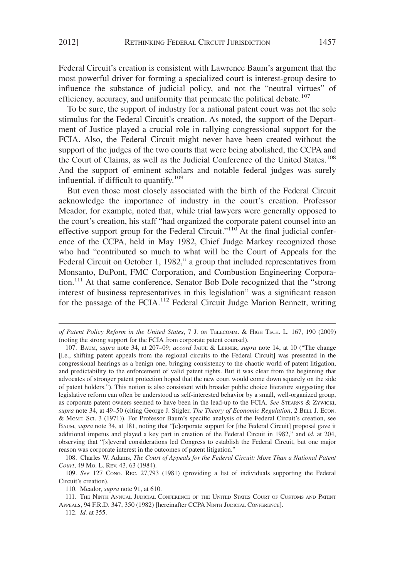Federal Circuit's creation is consistent with Lawrence Baum's argument that the most powerful driver for forming a specialized court is interest-group desire to influence the substance of judicial policy, and not the "neutral virtues" of efficiency, accuracy, and uniformity that permeate the political debate.<sup>107</sup>

To be sure, the support of industry for a national patent court was not the sole stimulus for the Federal Circuit's creation. As noted, the support of the Department of Justice played a crucial role in rallying congressional support for the FCIA. Also, the Federal Circuit might never have been created without the support of the judges of the two courts that were being abolished, the CCPA and the Court of Claims, as well as the Judicial Conference of the United States.<sup>108</sup> And the support of eminent scholars and notable federal judges was surely influential, if difficult to quantify.<sup>109</sup>

But even those most closely associated with the birth of the Federal Circuit acknowledge the importance of industry in the court's creation. Professor Meador, for example, noted that, while trial lawyers were generally opposed to the court's creation, his staff "had organized the corporate patent counsel into an effective support group for the Federal Circuit."<sup>110</sup> At the final judicial conference of the CCPA, held in May 1982, Chief Judge Markey recognized those who had "contributed so much to what will be the Court of Appeals for the Federal Circuit on October 1, 1982," a group that included representatives from Monsanto, DuPont, FMC Corporation, and Combustion Engineering Corporation.<sup>111</sup> At that same conference, Senator Bob Dole recognized that the "strong interest of business representatives in this legislation" was a significant reason for the passage of the FCIA.<sup>112</sup> Federal Circuit Judge Marion Bennett, writing

*of Patent Policy Reform in the United States*, 7 J. ON TELECOMM.&HIGH TECH. L. 167, 190 (2009) (noting the strong support for the FCIA from corporate patent counsel).

<sup>107.</sup> BAUM, *supra* note 34, at 207–09; *accord* JAFFE & LERNER, *supra* note 14, at 10 ("The change [i.e., shifting patent appeals from the regional circuits to the Federal Circuit] was presented in the congressional hearings as a benign one, bringing consistency to the chaotic world of patent litigation, and predictability to the enforcement of valid patent rights. But it was clear from the beginning that advocates of stronger patent protection hoped that the new court would come down squarely on the side of patent holders."). This notion is also consistent with broader public choice literature suggesting that legislative reform can often be understood as self-interested behavior by a small, well-organized group, as corporate patent owners seemed to have been in the lead-up to the FCIA. *See* STEARNS & ZYWICKI, *supra* note 34, at 49–50 (citing George J. Stigler, *The Theory of Economic Regulation*,2BELL J. ECON. & MGMT. SCI. 3 (1971)). For Professor Baum's specific analysis of the Federal Circuit's creation, see BAUM, *supra* note 34, at 181, noting that "[c]orporate support for [the Federal Circuit] proposal gave it additional impetus and played a key part in creation of the Federal Circuit in 1982," and *id.* at 204, observing that "[s]everal considerations led Congress to establish the Federal Circuit, but one major reason was corporate interest in the outcomes of patent litigation."

<sup>108.</sup> Charles W. Adams, *The Court of Appeals for the Federal Circuit: More Than a National Patent Court*, 49 MO. L. REV. 43, 63 (1984).

<sup>109.</sup> *See* 127 CONG. REC. 27,793 (1981) (providing a list of individuals supporting the Federal Circuit's creation).

<sup>110.</sup> Meador, *supra* note 91, at 610.

<sup>111.</sup> THE NINTH ANNUAL JUDICIAL CONFERENCE OF THE UNITED STATES COURT OF CUSTOMS AND PATENT APPEALS, 94 F.R.D. 347, 350 (1982) [hereinafter CCPA NINTH JUDICIAL CONFERENCE].

<sup>112.</sup> *Id.* at 355.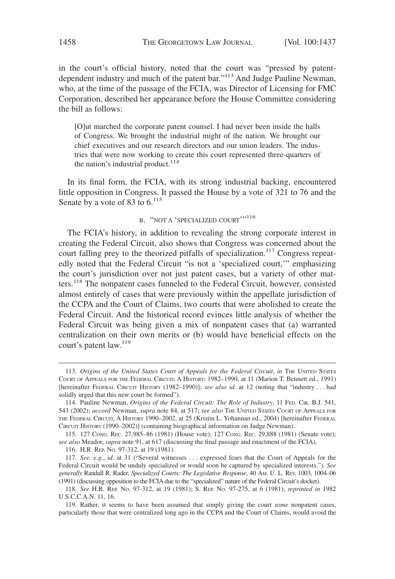in the court's official history, noted that the court was "pressed by patentdependent industry and much of the patent bar."<sup>113</sup> And Judge Pauline Newman, who, at the time of the passage of the FCIA, was Director of Licensing for FMC Corporation, described her appearance before the House Committee considering the bill as follows:

[O]ut marched the corporate patent counsel. I had never been inside the halls of Congress. We brought the industrial might of the nation. We brought our chief executives and our research directors and our union leaders. The industries that were now working to create this court represented three-quarters of the nation's industrial product. $114$ 

In its final form, the FCIA, with its strong industrial backing, encountered little opposition in Congress. It passed the House by a vote of 321 to 76 and the Senate by a vote of 83 to  $6^{115}$ 

#### B. "NOT A 'SPECIALIZED COURT'"<sup>116</sup>

The FCIA's history, in addition to revealing the strong corporate interest in creating the Federal Circuit, also shows that Congress was concerned about the court falling prey to the theorized pitfalls of specialization.<sup>117</sup> Congress repeatedly noted that the Federal Circuit "is not a 'specialized court,'" emphasizing the court's jurisdiction over not just patent cases, but a variety of other matters.<sup>118</sup> The nonpatent cases funneled to the Federal Circuit, however, consisted almost entirely of cases that were previously within the appellate jurisdiction of the CCPA and the Court of Claims, two courts that were abolished to create the Federal Circuit. And the historical record evinces little analysis of whether the Federal Circuit was being given a mix of nonpatent cases that (a) warranted centralization on their own merits or (b) would have beneficial effects on the court's patent law.<sup>119</sup>

116. H.R. REP. NO. 97-312, at 19 (1981).

<sup>113.</sup> *Origins of the United States Court of Appeals for the Federal Circuit*, *in* THE UNITED STATES COURT OF APPEALS FOR THE FEDERAL CIRCUIT, A HISTORY: 1982-1990, at 11 (Marion T. Bennett ed., 1991) [hereinafter FEDERAL CIRCUIT HISTORY (1982–1990)]; *see also id.* at 12 (noting that "industry . . . had solidly urged that this new court be formed").

<sup>114.</sup> Pauline Newman, *Origins of the Federal Circuit: The Role of Industry*, 11 FED. CIR. B.J. 541, 543 (2002); *accord* Newman, *supra* note 84, at 517; *see also* THE UNITED STATES COURT OF APPEALS FOR THE FEDERAL CIRCUIT,AHISTORY 1990–2002, at 25 (Kristin L. Yohannan ed., 2004) [hereinafter FEDERAL CIRCUIT HISTORY (1990–2002)] (containing biographical information on Judge Newman).

<sup>115. 127</sup> CONG. REC. 27,985–86 (1981) (House vote); 127 CONG. REC. 29,888 (1981) (Senate vote); *see also* Meador, *supra* note 91, at 617 (discussing the final passage and enactment of the FCIA).

<sup>117.</sup> *See, e.g.*, *id.* at 31 ("Several witnesses . . . expressed fears that the Court of Appeals for the Federal Circuit would be unduly specialized or would soon be captured by specialized interests."). *See generally* Randall R. Rader, *Specialized Courts: The Legislative Response*, 40 AM. U. L. REV. 1003, 1004–06 (1991) (discussing opposition to the FCIA due to the "specialized" nature of the Federal Circuit's docket).

<sup>118.</sup> *See* H.R. REP. NO. 97-312, at 19 (1981); S. REP. NO. 97-275, at 6 (1981), *reprinted in* 1982 U.S.C.C.A.N. 11, 16.

<sup>119.</sup> Rather, it seems to have been assumed that simply giving the court *some* nonpatent cases, particularly those that were centralized long ago in the CCPA and the Court of Claims, would avoid the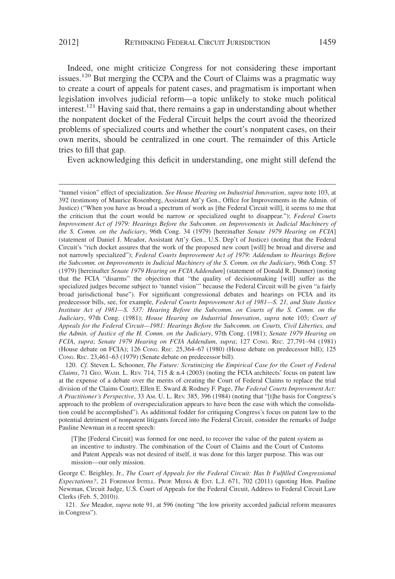Indeed, one might criticize Congress for not considering these important issues.<sup>120</sup> But merging the CCPA and the Court of Claims was a pragmatic way to create a court of appeals for patent cases, and pragmatism is important when legislation involves judicial reform—a topic unlikely to stoke much political interest.<sup>121</sup> Having said that, there remains a gap in understanding about whether the nonpatent docket of the Federal Circuit helps the court avoid the theorized problems of specialized courts and whether the court's nonpatent cases, on their own merits, should be centralized in one court. The remainder of this Article tries to fill that gap.

Even acknowledging this deficit in understanding, one might still defend the

120. *Cf.* Steven L. Schooner, *The Future: Scrutinizing the Empirical Case for the Court of Federal Claims*, 71 GEO. WASH. L. REV. 714, 715 & n.4 (2003) (noting the FCIA architects' focus on patent law at the expense of a debate over the merits of creating the Court of Federal Claims to replace the trial division of the Claims Court); Ellen E. Sward & Rodney F. Page, *The Federal Courts Improvement Act: A Practitioner's Perspective*, 33 AM. U. L. REV. 385, 396 (1984) (noting that "[t]he basis for Congress's approach to the problem of overspecialization appears to have been the ease with which the consolidation could be accomplished"). As additional fodder for critiquing Congress's focus on patent law to the potential detriment of nonpatent litigants forced into the Federal Circuit, consider the remarks of Judge Pauline Newman in a recent speech:

[T]he [Federal Circuit] was formed for one need, to recover the value of the patent system as an incentive to industry. The combination of the Court of Claims and the Court of Customs and Patent Appeals was not desired of itself, it was done for this larger purpose. This was our mission—our only mission.

George C. Beighley, Jr., *The Court of Appeals for the Federal Circuit: Has It Fulfilled Congressional Expectations?*, 21 FORDHAM INTELL. PROP. MEDIA & ENT. L.J. 671, 702 (2011) (quoting Hon. Pauline Newman, Circuit Judge, U.S. Court of Appeals for the Federal Circuit, Address to Federal Circuit Law Clerks (Feb. 5, 2010)).

121. *See* Meador, *supra* note 91, at 596 (noting "the low priority accorded judicial reform measures in Congress").

<sup>&</sup>quot;tunnel vision" effect of specialization. *See House Hearing on Industrial Innovation*, *supra* note 103, at 392 (testimony of Maurice Rosenberg, Assistant Att'y Gen., Office for Improvements in the Admin. of Justice) ("When you have as broad a spectrum of work as [the Federal Circuit will], it seems to me that the criticism that the court would be narrow or specialized ought to disappear."); *Federal Courts Improvement Act of 1979: Hearings Before the Subcomm. on Improvements in Judicial Machinery of the S. Comm. on the Judiciary*, 96th Cong. 34 (1979) [hereinafter *Senate 1979 Hearing on FCIA*] (statement of Daniel J. Meador, Assistant Att'y Gen., U.S. Dep't of Justice) (noting that the Federal Circuit's "rich docket assures that the work of the proposed new court [will] be broad and diverse and not narrowly specialized"); *Federal Courts Improvement Act of 1979: Addendum to Hearings Before the Subcomm. on Improvements in Judicial Machinery of the S. Comm. on the Judiciary*, 96th Cong. 57 (1979) [hereinafter *Senate 1979 Hearing on FCIA Addendum*] (statement of Donald R. Dunner) (noting that the FCIA "disarms" the objection that "the quality of decisionmaking [will] suffer as the specialized judges become subject to 'tunnel vision'" because the Federal Circuit will be given "a fairly broad jurisdictional base"). For significant congressional debates and hearings on FCIA and its predecessor bills, see, for example, *Federal Courts Improvement Act of 1981—S. 21, and State Justice Institute Act of 1981—S. 537: Hearing Before the Subcomm. on Courts of the S. Comm. on the Judiciary*, 97th Cong. (1981); *House Hearing on Industrial Innovation*, *supra* note 103; *Court of Appeals for the Federal Circuit—1981: Hearings Before the Subcomm. on Courts, Civil Liberties, and the Admin. of Justice of the H. Comm. on the Judiciary*, 97th Cong. (1981); *Senate 1979 Hearing on FCIA*, *supra*; *Senate 1979 Hearing on FCIA Addendum*, *supra*; 127 CONG. REC. 27,791–94 (1981) (House debate on FCIA); 126 CONG. REC. 25,364–67 (1980) (House debate on predecessor bill); 125 CONG. REC. 23,461–63 (1979) (Senate debate on predecessor bill).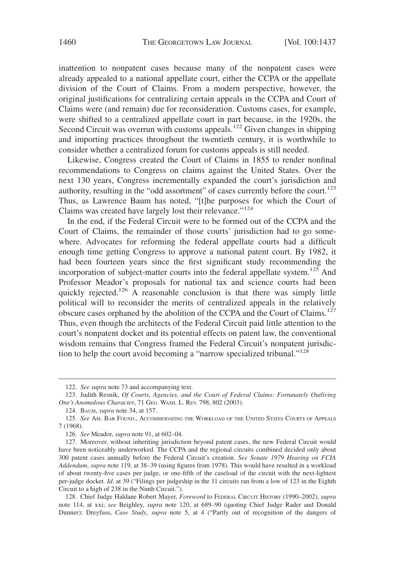inattention to nonpatent cases because many of the nonpatent cases were already appealed to a national appellate court, either the CCPA or the appellate division of the Court of Claims. From a modern perspective, however, the original justifications for centralizing certain appeals in the CCPA and Court of Claims were (and remain) due for reconsideration. Customs cases, for example, were shifted to a centralized appellate court in part because, in the 1920s, the Second Circuit was overrun with customs appeals.<sup>122</sup> Given changes in shipping and importing practices throughout the twentieth century, it is worthwhile to consider whether a centralized forum for customs appeals is still needed.

Likewise, Congress created the Court of Claims in 1855 to render nonfinal recommendations to Congress on claims against the United States. Over the next 130 years, Congress incrementally expanded the court's jurisdiction and authority, resulting in the "odd assortment" of cases currently before the court.<sup>123</sup> Thus, as Lawrence Baum has noted, "[t]he purposes for which the Court of Claims was created have largely lost their relevance."<sup>124</sup>

In the end, if the Federal Circuit were to be formed out of the CCPA and the Court of Claims, the remainder of those courts' jurisdiction had to go somewhere. Advocates for reforming the federal appellate courts had a difficult enough time getting Congress to approve a national patent court. By 1982, it had been fourteen years since the first significant study recommending the incorporation of subject-matter courts into the federal appellate system.<sup>125</sup> And Professor Meador's proposals for national tax and science courts had been quickly rejected.<sup>126</sup> A reasonable conclusion is that there was simply little political will to reconsider the merits of centralized appeals in the relatively obscure cases orphaned by the abolition of the CCPA and the Court of Claims.<sup>127</sup> Thus, even though the architects of the Federal Circuit paid little attention to the court's nonpatent docket and its potential effects on patent law, the conventional wisdom remains that Congress framed the Federal Circuit's nonpatent jurisdiction to help the court avoid becoming a "narrow specialized tribunal."<sup>128</sup>

<sup>122.</sup> *See supra* note 73 and accompanying text.

<sup>123.</sup> Judith Resnik, *Of Courts, Agencies, and the Court of Federal Claims: Fortunately Outliving One's Anomalous Character*, 71 GEO. WASH. L. REV. 798, 802 (2003).

<sup>124.</sup> BAUM, *supra* note 34, at 157.

<sup>125.</sup> *See* AM. BAR FOUND., ACCOMMODATING THE WORKLOAD OF THE UNITED STATES COURTS OF APPEALS 7 (1968).

<sup>126.</sup> *See* Meador, *supra* note 91, at 602–04.

<sup>127.</sup> Moreover, without inheriting jurisdiction beyond patent cases, the new Federal Circuit would have been noticeably underworked. The CCPA and the regional circuits combined decided only about 300 patent cases annually before the Federal Circuit's creation. *See Senate 1979 Hearing on FCIA Addendum*, *supra* note 119, at 38–39 (using figures from 1978). This would have resulted in a workload of about twenty-five cases per judge, or one-fifth of the caseload of the circuit with the next-lightest per-judge docket. *Id.* at 39 ("Filings per judgeship in the 11 circuits ran from a low of 123 in the Eighth Circuit to a high of 238 in the Ninth Circuit.").

<sup>128.</sup> Chief Judge Haldane Robert Mayer, *Foreword* to FEDERAL CIRCUIT HISTORY (1990–2002), *supra* note 114, at xxi; *see* Beighley, *supra* note 120, at 689–90 (quoting Chief Judge Rader and Donald Dunner); Dreyfuss, *Case Study*, *supra* note 5, at 4 ("Partly out of recognition of the dangers of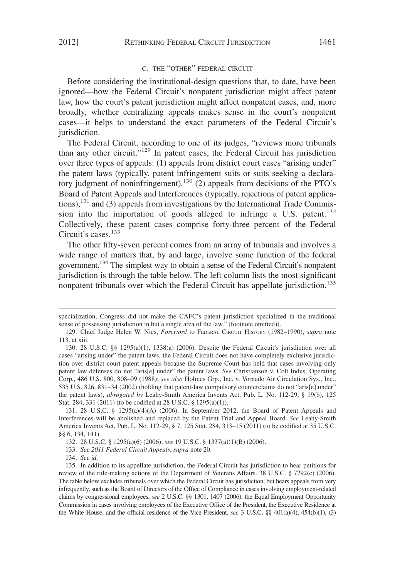#### C. THE "OTHER" FEDERAL CIRCUIT

Before considering the institutional-design questions that, to date, have been ignored—how the Federal Circuit's nonpatent jurisdiction might affect patent law, how the court's patent jurisdiction might affect nonpatent cases, and, more broadly, whether centralizing appeals makes sense in the court's nonpatent cases—it helps to understand the exact parameters of the Federal Circuit's jurisdiction.

The Federal Circuit, according to one of its judges, "reviews more tribunals than any other circuit."129 In patent cases, the Federal Circuit has jurisdiction over three types of appeals: (1) appeals from district court cases "arising under" the patent laws (typically, patent infringement suits or suits seeking a declaratory judgment of noninfringement),<sup>130</sup> (2) appeals from decisions of the PTO's Board of Patent Appeals and Interferences (typically, rejections of patent applications), $^{131}$  and (3) appeals from investigations by the International Trade Commission into the importation of goods alleged to infringe a U.S. patent.<sup>132</sup> Collectively, these patent cases comprise forty-three percent of the Federal Circuit's cases.<sup>133</sup>

The other fifty-seven percent comes from an array of tribunals and involves a wide range of matters that, by and large, involve some function of the federal government.134 The simplest way to obtain a sense of the Federal Circuit's nonpatent jurisdiction is through the table below. The left column lists the most significant nonpatent tribunals over which the Federal Circuit has appellate jurisdiction.<sup>135</sup>

specialization, Congress did not make the CAFC's patent jurisdiction specialized in the traditional sense of possessing jurisdiction in but a single area of the law." (footnote omitted)).

<sup>129.</sup> Chief Judge Helen W. Nies, *Foreword* to FEDERAL CIRCUIT HISTORY (1982–1990), *supra* note 113, at xiii.

<sup>130. 28</sup> U.S.C. §§ 1295(a)(1), 1338(a) (2006). Despite the Federal Circuit's jurisdiction over all cases "arising under" the patent laws, the Federal Circuit does not have completely exclusive jurisdiction over district court patent appeals because the Supreme Court has held that cases involving only patent law defenses do not "aris[e] under" the patent laws. *See* Christianson v. Colt Indus. Operating Corp., 486 U.S. 800, 808–09 (1988); *see also* Holmes Grp., Inc. v. Vornado Air Circulation Sys., Inc., 535 U.S. 826, 831–34 (2002) (holding that patent-law compulsory counterclaims do not "aris[e] under" the patent laws), *abrogated by* Leahy-Smith America Invents Act, Pub. L. No. 112-29, § 19(b), 125 Stat. 284, 331 (2011) (to be codified at 28 U.S.C. § 1295(a)(1)).

<sup>131. 28</sup> U.S.C. § 1295(a)(4)(A) (2006). In September 2012, the Board of Patent Appeals and Interferences will be abolished and replaced by the Patent Trial and Appeal Board. *See* Leahy-Smith America Invents Act, Pub. L. No. 112-29, § 7, 125 Stat. 284, 313–15 (2011) (to be codified at 35 U.S.C. §§ 6, 134, 141).

<sup>132. 28</sup> U.S.C. § 1295(a)(6) (2006); *see* 19 U.S.C. § 1337(a)(1)(B) (2006).

<sup>133.</sup> *See 2011 Federal Circuit Appeals*, *supra* note 20.

<sup>134.</sup> *See id.*

<sup>135.</sup> In addition to its appellate jurisdiction, the Federal Circuit has jurisdiction to hear petitions for review of the rule-making actions of the Department of Veterans Affairs. 38 U.S.C. § 7292(c) (2006). The table below excludes tribunals over which the Federal Circuit has jurisdiction, but hears appeals from very infrequently, such as the Board of Directors of the Office of Compliance in cases involving employment-related claims by congressional employees, *see* 2 U.S.C. §§ 1301, 1407 (2006), the Equal Employment Opportunity Commission in cases involving employees of the Executive Office of the President, the Executive Residence at the White House, and the official residence of the Vice President, *see* 3 U.S.C. §§ 401(a)(4), 454(b)(1), (3)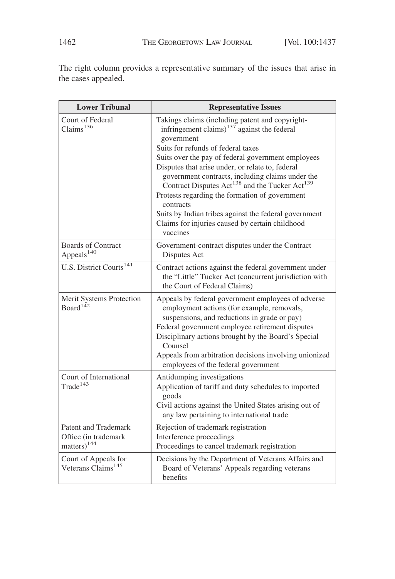The right column provides a representative summary of the issues that arise in the cases appealed.

| <b>Lower Tribunal</b>                                                          | <b>Representative Issues</b>                                                                                                                                                                                                                                                                                                                                                                                                                                                                                                                                                                               |  |  |  |  |
|--------------------------------------------------------------------------------|------------------------------------------------------------------------------------------------------------------------------------------------------------------------------------------------------------------------------------------------------------------------------------------------------------------------------------------------------------------------------------------------------------------------------------------------------------------------------------------------------------------------------------------------------------------------------------------------------------|--|--|--|--|
| Court of Federal<br>Claims <sup>136</sup>                                      | Takings claims (including patent and copyright-<br>infringement claims) <sup><math>137</math></sup> against the federal<br>government<br>Suits for refunds of federal taxes<br>Suits over the pay of federal government employees<br>Disputes that arise under, or relate to, federal<br>government contracts, including claims under the<br>Contract Disputes Act <sup>138</sup> and the Tucker Act <sup>139</sup><br>Protests regarding the formation of government<br>contracts<br>Suits by Indian tribes against the federal government<br>Claims for injuries caused by certain childhood<br>vaccines |  |  |  |  |
| <b>Boards of Contract</b><br>Appeals <sup>140</sup>                            | Government-contract disputes under the Contract<br>Disputes Act                                                                                                                                                                                                                                                                                                                                                                                                                                                                                                                                            |  |  |  |  |
| U.S. District Courts <sup>141</sup>                                            | Contract actions against the federal government under<br>the "Little" Tucker Act (concurrent jurisdiction with<br>the Court of Federal Claims)                                                                                                                                                                                                                                                                                                                                                                                                                                                             |  |  |  |  |
| Merit Systems Protection<br>Board <sup>142</sup>                               | Appeals by federal government employees of adverse<br>employment actions (for example, removals,<br>suspensions, and reductions in grade or pay)<br>Federal government employee retirement disputes<br>Disciplinary actions brought by the Board's Special<br>Counsel<br>Appeals from arbitration decisions involving unionized<br>employees of the federal government                                                                                                                                                                                                                                     |  |  |  |  |
| Court of International<br>Trade <sup>143</sup>                                 | Antidumping investigations<br>Application of tariff and duty schedules to imported<br>goods<br>Civil actions against the United States arising out of<br>any law pertaining to international trade                                                                                                                                                                                                                                                                                                                                                                                                         |  |  |  |  |
| <b>Patent and Trademark</b><br>Office (in trademark<br>matters) <sup>144</sup> | Rejection of trademark registration<br>Interference proceedings<br>Proceedings to cancel trademark registration                                                                                                                                                                                                                                                                                                                                                                                                                                                                                            |  |  |  |  |
| Court of Appeals for<br>Veterans Claims <sup>145</sup>                         | Decisions by the Department of Veterans Affairs and<br>Board of Veterans' Appeals regarding veterans<br>benefits                                                                                                                                                                                                                                                                                                                                                                                                                                                                                           |  |  |  |  |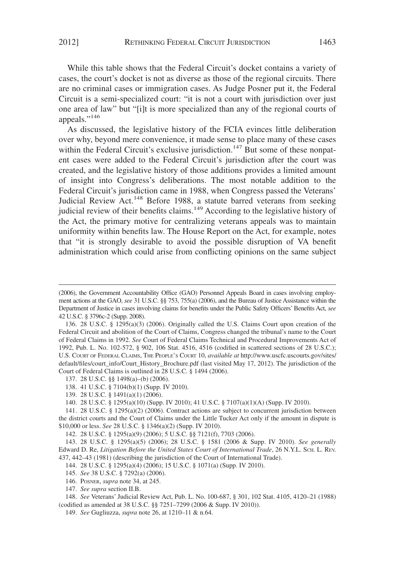While this table shows that the Federal Circuit's docket contains a variety of cases, the court's docket is not as diverse as those of the regional circuits. There are no criminal cases or immigration cases. As Judge Posner put it, the Federal Circuit is a semi-specialized court: "it is not a court with jurisdiction over just one area of law" but "[i]t is more specialized than any of the regional courts of appeals."<sup>146</sup>

As discussed, the legislative history of the FCIA evinces little deliberation over why, beyond mere convenience, it made sense to place many of these cases within the Federal Circuit's exclusive jurisdiction.<sup>147</sup> But some of these nonpatent cases were added to the Federal Circuit's jurisdiction after the court was created, and the legislative history of those additions provides a limited amount of insight into Congress's deliberations. The most notable addition to the Federal Circuit's jurisdiction came in 1988, when Congress passed the Veterans' Judicial Review Act.<sup>148</sup> Before 1988, a statute barred veterans from seeking judicial review of their benefits claims.<sup>149</sup> According to the legislative history of the Act, the primary motive for centralizing veterans appeals was to maintain uniformity within benefits law. The House Report on the Act, for example, notes that "it is strongly desirable to avoid the possible disruption of VA benefit administration which could arise from conflicting opinions on the same subject

- 138. 41 U.S.C. § 7104(b)(1) (Supp. IV 2010).
- 139. 28 U.S.C. § 1491(a)(1) (2006).

140. 28 U.S.C. § 1295(a)(10) (Supp. IV 2010); 41 U.S.C. § 7107(a)(1)(A) (Supp. IV 2010).

141. 28 U.S.C. § 1295(a)(2) (2006). Contract actions are subject to concurrent jurisdiction between the district courts and the Court of Claims under the Little Tucker Act only if the amount in dispute is \$10,000 or less. *See* 28 U.S.C. § 1346(a)(2) (Supp. IV 2010).

142. 28 U.S.C. § 1295(a)(9) (2006); 5 U.S.C. §§ 7121(f), 7703 (2006).

143. 28 U.S.C. § 1295(a)(5) (2006); 28 U.S.C. § 1581 (2006 & Supp. IV 2010). *See generally* Edward D. Re, *Litigation Before the United States Court of International Trade*, 26 N.Y.L. SCH. L. REV. 437, 442–43 (1981) (describing the jurisdiction of the Court of International Trade).

144. 28 U.S.C. § 1295(a)(4) (2006); 15 U.S.C. § 1071(a) (Supp. IV 2010).

145. *See* 38 U.S.C. § 7292(a) (2006).

146. POSNER, *supra* note 34, at 245.

147. *See supra* section II.B.

148. *See* Veterans' Judicial Review Act, Pub. L. No. 100-687, § 301, 102 Stat. 4105, 4120–21 (1988) (codified as amended at 38 U.S.C. §§ 7251–7299 (2006 & Supp. IV 2010)).

149. *See* Gugliuzza, *supra* note 26, at 1210–11 & n.64.

<sup>(2006),</sup> the Government Accountability Office (GAO) Personnel Appeals Board in cases involving employment actions at the GAO, *see* 31 U.S.C. §§ 753, 755(a) (2006), and the Bureau of Justice Assistance within the Department of Justice in cases involving claims for benefits under the Public Safety Officers' Benefits Act, *see* 42 U.S.C. § 3796c-2 (Supp. 2008).

<sup>136. 28</sup> U.S.C. § 1295(a)(3) (2006). Originally called the U.S. Claims Court upon creation of the Federal Circuit and abolition of the Court of Claims, Congress changed the tribunal's name to the Court of Federal Claims in 1992. *See* Court of Federal Claims Technical and Procedural Improvements Act of 1992, Pub. L. No. 102-572, § 902, 106 Stat. 4516, 4516 (codified in scattered sections of 28 U.S.C.); U.S. COURT OF FEDERAL CLAIMS, THE PEOPLE'S COURT 10, *available at* http://www.uscfc.uscourts.gov/sites/ default/files/court\_info/Court\_History\_Brochure.pdf (last visited May 17, 2012). The jurisdiction of the Court of Federal Claims is outlined in 28 U.S.C. § 1494 (2006).

<sup>137. 28</sup> U.S.C. §§ 1498(a)–(b) (2006).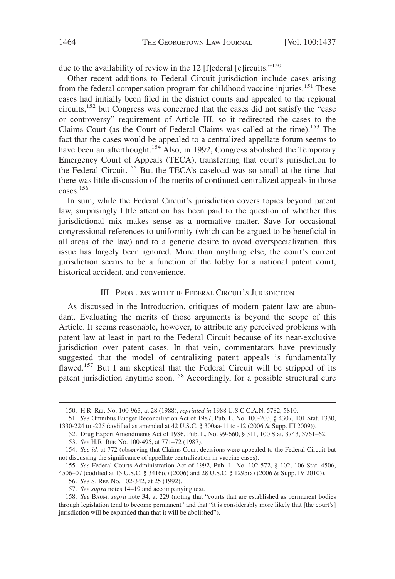due to the availability of review in the 12 [f]ederal [c]ircuits."<sup>150</sup>

Other recent additions to Federal Circuit jurisdiction include cases arising from the federal compensation program for childhood vaccine injuries.<sup>151</sup> These cases had initially been filed in the district courts and appealed to the regional circuits,<sup>152</sup> but Congress was concerned that the cases did not satisfy the "case or controversy" requirement of Article III, so it redirected the cases to the Claims Court (as the Court of Federal Claims was called at the time).<sup>153</sup> The fact that the cases would be appealed to a centralized appellate forum seems to have been an afterthought.<sup>154</sup> Also, in 1992, Congress abolished the Temporary Emergency Court of Appeals (TECA), transferring that court's jurisdiction to the Federal Circuit.<sup>155</sup> But the TECA's caseload was so small at the time that there was little discussion of the merits of continued centralized appeals in those cases.156

In sum, while the Federal Circuit's jurisdiction covers topics beyond patent law, surprisingly little attention has been paid to the question of whether this jurisdictional mix makes sense as a normative matter. Save for occasional congressional references to uniformity (which can be argued to be beneficial in all areas of the law) and to a generic desire to avoid overspecialization, this issue has largely been ignored. More than anything else, the court's current jurisdiction seems to be a function of the lobby for a national patent court, historical accident, and convenience.

#### III. PROBLEMS WITH THE FEDERAL CIRCUIT'S JURISDICTION

As discussed in the Introduction, critiques of modern patent law are abundant. Evaluating the merits of those arguments is beyond the scope of this Article. It seems reasonable, however, to attribute any perceived problems with patent law at least in part to the Federal Circuit because of its near-exclusive jurisdiction over patent cases. In that vein, commentators have previously suggested that the model of centralizing patent appeals is fundamentally flawed.<sup>157</sup> But I am skeptical that the Federal Circuit will be stripped of its patent jurisdiction anytime soon.<sup>158</sup> Accordingly, for a possible structural cure

<sup>150.</sup> H.R. REP. NO. 100-963, at 28 (1988), *reprinted in* 1988 U.S.C.C.A.N. 5782, 5810.

<sup>151.</sup> *See* Omnibus Budget Reconciliation Act of 1987, Pub. L. No. 100-203, § 4307, 101 Stat. 1330, 1330-224 to -225 (codified as amended at 42 U.S.C. § 300aa-11 to -12 (2006 & Supp. III 2009)).

<sup>152.</sup> Drug Export Amendments Act of 1986, Pub. L. No. 99-660, § 311, 100 Stat. 3743, 3761–62.

<sup>153.</sup> *See* H.R. REP. NO. 100-495, at 771–72 (1987).

<sup>154.</sup> *See id.* at 772 (observing that Claims Court decisions were appealed to the Federal Circuit but not discussing the significance of appellate centralization in vaccine cases).

<sup>155.</sup> *See* Federal Courts Administration Act of 1992, Pub. L. No. 102-572, § 102, 106 Stat. 4506, 4506–07 (codified at 15 U.S.C. § 3416(c) (2006) and 28 U.S.C. § 1295(a) (2006 & Supp. IV 2010)).

<sup>156.</sup> *See* S. REP. NO. 102-342, at 25 (1992).

<sup>157.</sup> *See supra* notes 14–19 and accompanying text.

<sup>158.</sup> *See* BAUM, *supra* note 34, at 229 (noting that "courts that are established as permanent bodies through legislation tend to become permanent" and that "it is considerably more likely that [the court's] jurisdiction will be expanded than that it will be abolished").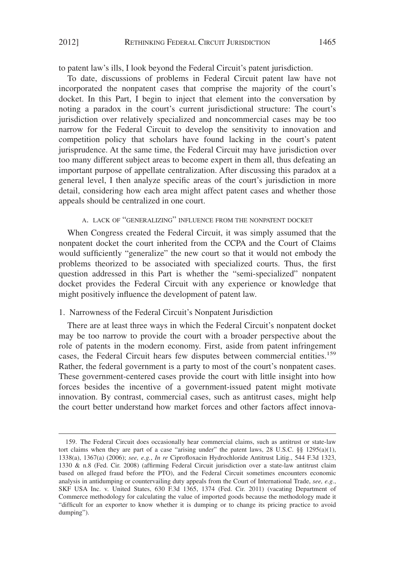to patent law's ills, I look beyond the Federal Circuit's patent jurisdiction.

To date, discussions of problems in Federal Circuit patent law have not incorporated the nonpatent cases that comprise the majority of the court's docket. In this Part, I begin to inject that element into the conversation by noting a paradox in the court's current jurisdictional structure: The court's jurisdiction over relatively specialized and noncommercial cases may be too narrow for the Federal Circuit to develop the sensitivity to innovation and competition policy that scholars have found lacking in the court's patent jurisprudence. At the same time, the Federal Circuit may have jurisdiction over too many different subject areas to become expert in them all, thus defeating an important purpose of appellate centralization. After discussing this paradox at a general level, I then analyze specific areas of the court's jurisdiction in more detail, considering how each area might affect patent cases and whether those appeals should be centralized in one court.

#### A. LACK OF "GENERALIZING" INFLUENCE FROM THE NONPATENT DOCKET

When Congress created the Federal Circuit, it was simply assumed that the nonpatent docket the court inherited from the CCPA and the Court of Claims would sufficiently "generalize" the new court so that it would not embody the problems theorized to be associated with specialized courts. Thus, the first question addressed in this Part is whether the "semi-specialized" nonpatent docket provides the Federal Circuit with any experience or knowledge that might positively influence the development of patent law.

#### 1. Narrowness of the Federal Circuit's Nonpatent Jurisdiction

There are at least three ways in which the Federal Circuit's nonpatent docket may be too narrow to provide the court with a broader perspective about the role of patents in the modern economy. First, aside from patent infringement cases, the Federal Circuit hears few disputes between commercial entities.<sup>159</sup> Rather, the federal government is a party to most of the court's nonpatent cases. These government-centered cases provide the court with little insight into how forces besides the incentive of a government-issued patent might motivate innovation. By contrast, commercial cases, such as antitrust cases, might help the court better understand how market forces and other factors affect innova-

<sup>159.</sup> The Federal Circuit does occasionally hear commercial claims, such as antitrust or state-law tort claims when they are part of a case "arising under" the patent laws, 28 U.S.C.  $\S$ § 1295(a)(1), 1338(a), 1367(a) (2006); *see, e.g.*, *In re* Ciprofloxacin Hydrochloride Antitrust Litig., 544 F.3d 1323, 1330 & n.8 (Fed. Cir. 2008) (affirming Federal Circuit jurisdiction over a state-law antitrust claim based on alleged fraud before the PTO), and the Federal Circuit sometimes encounters economic analysis in antidumping or countervailing duty appeals from the Court of International Trade, *see, e.g.*, SKF USA Inc. v. United States, 630 F.3d 1365, 1374 (Fed. Cir. 2011) (vacating Department of Commerce methodology for calculating the value of imported goods because the methodology made it "difficult for an exporter to know whether it is dumping or to change its pricing practice to avoid dumping").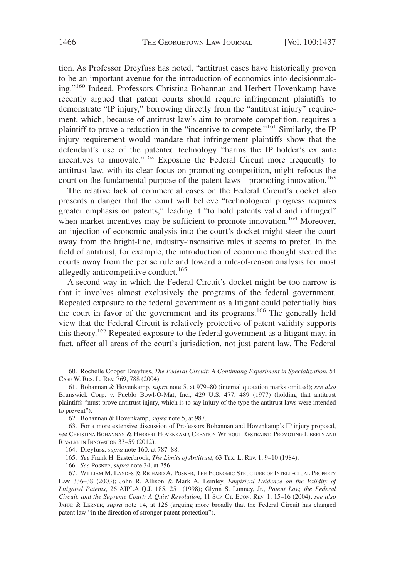tion. As Professor Dreyfuss has noted, "antitrust cases have historically proven to be an important avenue for the introduction of economics into decisionmaking."<sup>160</sup> Indeed, Professors Christina Bohannan and Herbert Hovenkamp have recently argued that patent courts should require infringement plaintiffs to demonstrate "IP injury," borrowing directly from the "antitrust injury" requirement, which, because of antitrust law's aim to promote competition, requires a plaintiff to prove a reduction in the "incentive to compete."<sup>161</sup> Similarly, the IP injury requirement would mandate that infringement plaintiffs show that the defendant's use of the patented technology "harms the IP holder's ex ante incentives to innovate."<sup>162</sup> Exposing the Federal Circuit more frequently to antitrust law, with its clear focus on promoting competition, might refocus the court on the fundamental purpose of the patent laws—promoting innovation.<sup>163</sup>

The relative lack of commercial cases on the Federal Circuit's docket also presents a danger that the court will believe "technological progress requires greater emphasis on patents," leading it "to hold patents valid and infringed" when market incentives may be sufficient to promote innovation.<sup>164</sup> Moreover, an injection of economic analysis into the court's docket might steer the court away from the bright-line, industry-insensitive rules it seems to prefer. In the field of antitrust, for example, the introduction of economic thought steered the courts away from the per se rule and toward a rule-of-reason analysis for most allegedly anticompetitive conduct.<sup>165</sup>

A second way in which the Federal Circuit's docket might be too narrow is that it involves almost exclusively the programs of the federal government. Repeated exposure to the federal government as a litigant could potentially bias the court in favor of the government and its programs.<sup>166</sup> The generally held view that the Federal Circuit is relatively protective of patent validity supports this theory.<sup>167</sup> Repeated exposure to the federal government as a litigant may, in fact, affect all areas of the court's jurisdiction, not just patent law. The Federal

<sup>160.</sup> Rochelle Cooper Dreyfuss, *The Federal Circuit: A Continuing Experiment in Specialization*, 54 CASE W. RES. L. REV. 769, 788 (2004).

<sup>161.</sup> Bohannan & Hovenkamp, *supra* note 5, at 979–80 (internal quotation marks omitted); *see also* Brunswick Corp. v. Pueblo Bowl-O-Mat, Inc., 429 U.S. 477, 489 (1977) (holding that antitrust plaintiffs "must prove antitrust injury, which is to say injury of the type the antitrust laws were intended to prevent").

<sup>162.</sup> Bohannan & Hovenkamp, *supra* note 5, at 987.

<sup>163.</sup> For a more extensive discussion of Professors Bohannan and Hovenkamp's IP injury proposal, see CHRISTINA BOHANNAN & HERBERT HOVENKAMP, CREATION WITHOUT RESTRAINT: PROMOTING LIBERTY AND RIVALRY IN INNOVATION 33–59 (2012).

<sup>164.</sup> Dreyfuss, *supra* note 160, at 787–88.

<sup>165.</sup> *See* Frank H. Easterbrook, *The Limits of Antitrust*, 63 TEX. L. REV. 1, 9–10 (1984).

<sup>166.</sup> *See* POSNER, *supra* note 34, at 256.

<sup>167.</sup> WILLIAM M. LANDES & RICHARD A. POSNER, THE ECONOMIC STRUCTURE OF INTELLECTUAL PROPERTY LAW 336–38 (2003); John R. Allison & Mark A. Lemley, *Empirical Evidence on the Validity of Litigated Patents*, 26 AIPLA Q.J. 185, 251 (1998); Glynn S. Lunney, Jr., *Patent Law, the Federal Circuit, and the Supreme Court: A Quiet Revolution*, 11 SUP. CT. ECON. REV. 1, 15–16 (2004); *see also* JAFFE & LERNER, *supra* note 14, at 126 (arguing more broadly that the Federal Circuit has changed patent law "in the direction of stronger patent protection").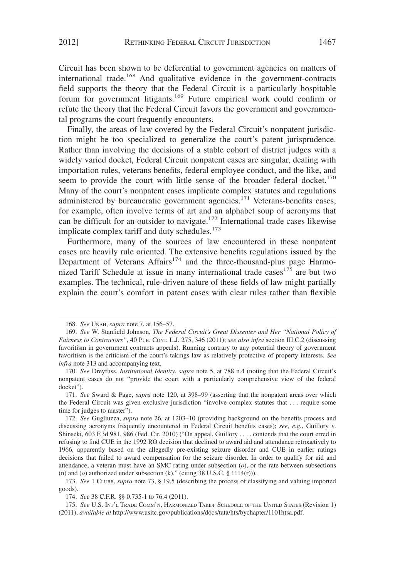Circuit has been shown to be deferential to government agencies on matters of international trade.<sup>168</sup> And qualitative evidence in the government-contracts field supports the theory that the Federal Circuit is a particularly hospitable forum for government litigants.<sup>169</sup> Future empirical work could confirm or refute the theory that the Federal Circuit favors the government and governmental programs the court frequently encounters.

Finally, the areas of law covered by the Federal Circuit's nonpatent jurisdiction might be too specialized to generalize the court's patent jurisprudence. Rather than involving the decisions of a stable cohort of district judges with a widely varied docket, Federal Circuit nonpatent cases are singular, dealing with importation rules, veterans benefits, federal employee conduct, and the like, and seem to provide the court with little sense of the broader federal docket.<sup>170</sup> Many of the court's nonpatent cases implicate complex statutes and regulations administered by bureaucratic government agencies.<sup>171</sup> Veterans-benefits cases, for example, often involve terms of art and an alphabet soup of acronyms that can be difficult for an outsider to navigate.<sup>172</sup> International trade cases likewise implicate complex tariff and duty schedules.<sup>173</sup>

Furthermore, many of the sources of law encountered in these nonpatent cases are heavily rule oriented. The extensive benefits regulations issued by the Department of Veterans  $A$ ffairs<sup>174</sup> and the three-thousand-plus page Harmonized Tariff Schedule at issue in many international trade cases $175$  are but two examples. The technical, rule-driven nature of these fields of law might partially explain the court's comfort in patent cases with clear rules rather than flexible

<sup>168.</sup> *See* UNAH, *supra* note 7, at 156–57.

<sup>169.</sup> *See* W. Stanfield Johnson, *The Federal Circuit's Great Dissenter and Her "National Policy of Fairness to Contractors"*, 40 PUB. CONT. L.J. 275, 346 (2011); *see also infra* section III.C.2 (discussing favoritism in government contracts appeals). Running contrary to any potential theory of government favoritism is the criticism of the court's takings law as relatively protective of property interests. *See infra* note 313 and accompanying text.

<sup>170.</sup> *See* Dreyfuss, *Institutional Identity*, *supra* note 5, at 788 n.4 (noting that the Federal Circuit's nonpatent cases do not "provide the court with a particularly comprehensive view of the federal docket").

<sup>171.</sup> *See* Sward & Page, *supra* note 120, at 398–99 (asserting that the nonpatent areas over which the Federal Circuit was given exclusive jurisdiction "involve complex statutes that . . . require some time for judges to master").

<sup>172.</sup> *See* Gugliuzza, *supra* note 26, at 1203–10 (providing background on the benefits process and discussing acronyms frequently encountered in Federal Circuit benefits cases); *see, e.g.*, Guillory v. Shinseki, 603 F.3d 981, 986 (Fed. Cir. 2010) ("On appeal, Guillory . . . . contends that the court erred in refusing to find CUE in the 1992 RO decision that declined to award aid and attendance retroactively to 1966, apparently based on the allegedly pre-existing seizure disorder and CUE in earlier ratings decisions that failed to award compensation for the seizure disorder. In order to qualify for aid and attendance, a veteran must have an SMC rating under subsection (*o*), or the rate between subsections (n) and  $(o)$  authorized under subsection (k)." (citing 38 U.S.C. § 1114(r))).

<sup>173.</sup> *See* 1 CLUBB, *supra* note 73, § 19.5 (describing the process of classifying and valuing imported goods).

<sup>174.</sup> *See* 38 C.F.R. §§ 0.735-1 to 76.4 (2011).

<sup>175.</sup> *See* U.S. INT'L TRADE COMM'N, HARMONIZED TARIFF SCHEDULE OF THE UNITED STATES (Revision 1) (2011), *available at* http://www.usitc.gov/publications/docs/tata/hts/bychapter/1101htsa.pdf.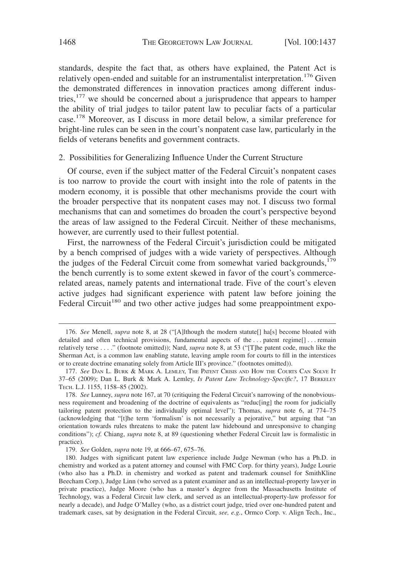standards, despite the fact that, as others have explained, the Patent Act is relatively open-ended and suitable for an instrumentalist interpretation.<sup>176</sup> Given the demonstrated differences in innovation practices among different industries, $177$  we should be concerned about a jurisprudence that appears to hamper the ability of trial judges to tailor patent law to peculiar facts of a particular case.178 Moreover, as I discuss in more detail below, a similar preference for bright-line rules can be seen in the court's nonpatent case law, particularly in the fields of veterans benefits and government contracts.

#### 2. Possibilities for Generalizing Influence Under the Current Structure

Of course, even if the subject matter of the Federal Circuit's nonpatent cases is too narrow to provide the court with insight into the role of patents in the modern economy, it is possible that other mechanisms provide the court with the broader perspective that its nonpatent cases may not. I discuss two formal mechanisms that can and sometimes do broaden the court's perspective beyond the areas of law assigned to the Federal Circuit. Neither of these mechanisms, however, are currently used to their fullest potential.

First, the narrowness of the Federal Circuit's jurisdiction could be mitigated by a bench comprised of judges with a wide variety of perspectives. Although the judges of the Federal Circuit come from somewhat varied backgrounds,<sup>179</sup> the bench currently is to some extent skewed in favor of the court's commercerelated areas, namely patents and international trade. Five of the court's eleven active judges had significant experience with patent law before joining the Federal Circuit<sup>180</sup> and two other active judges had some preappointment expo-

<sup>176.</sup> *See* Menell, *supra* note 8, at 28 ("[A]lthough the modern statute[] ha[s] become bloated with detailed and often technical provisions, fundamental aspects of the... patent regime[]... remain relatively terse . . . ." (footnote omitted)); Nard, *supra* note 8, at 53 ("[T]he patent code, much like the Sherman Act, is a common law enabling statute, leaving ample room for courts to fill in the interstices or to create doctrine emanating solely from Article III's province." (footnotes omitted)).

<sup>177.</sup> *See* DAN L. BURK & MARK A. LEMLEY, THE PATENT CRISIS AND HOW THE COURTS CAN SOLVE IT 37–65 (2009); Dan L. Burk & Mark A. Lemley, *Is Patent Law Technology-Specific?*, 17 BERKELEY TECH. L.J. 1155, 1158–85 (2002).

<sup>178.</sup> *See* Lunney, *supra* note 167, at 70 (critiquing the Federal Circuit's narrowing of the nonobviousness requirement and broadening of the doctrine of equivalents as "reduc[ing] the room for judicially tailoring patent protection to the individually optimal level"); Thomas, *supra* note 6, at 774–75 (acknowledging that "[t]he term 'formalism' is not necessarily a pejorative," but arguing that "an orientation towards rules threatens to make the patent law hidebound and unresponsive to changing conditions"); *cf.* Chiang, *supra* note 8, at 89 (questioning whether Federal Circuit law is formalistic in practice).

<sup>179.</sup> *See* Golden, *supra* note 19, at 666–67, 675–76.

<sup>180.</sup> Judges with significant patent law experience include Judge Newman (who has a Ph.D. in chemistry and worked as a patent attorney and counsel with FMC Corp. for thirty years), Judge Lourie (who also has a Ph.D. in chemistry and worked as patent and trademark counsel for SmithKline Beecham Corp.), Judge Linn (who served as a patent examiner and as an intellectual-property lawyer in private practice), Judge Moore (who has a master's degree from the Massachusetts Institute of Technology, was a Federal Circuit law clerk, and served as an intellectual-property-law professor for nearly a decade), and Judge O'Malley (who, as a district court judge, tried over one-hundred patent and trademark cases, sat by designation in the Federal Circuit, *see, e.g.*, Ormco Corp. v. Align Tech., Inc.,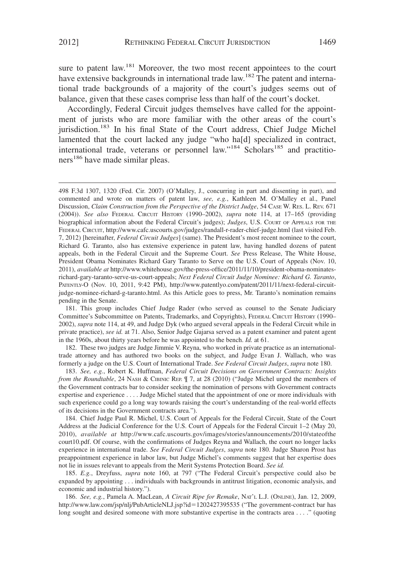sure to patent law.<sup>181</sup> Moreover, the two most recent appointees to the court have extensive backgrounds in international trade law.<sup>182</sup> The patent and international trade backgrounds of a majority of the court's judges seems out of balance, given that these cases comprise less than half of the court's docket.

Accordingly, Federal Circuit judges themselves have called for the appointment of jurists who are more familiar with the other areas of the court's jurisdiction.<sup>183</sup> In his final State of the Court address, Chief Judge Michel lamented that the court lacked any judge "who ha[d] specialized in contract, international trade, veterans or personnel law."<sup>184</sup> Scholars<sup>185</sup> and practitioners<sup>186</sup> have made similar pleas.

182. These two judges are Judge Jimmie V. Reyna, who worked in private practice as an internationaltrade attorney and has authored two books on the subject, and Judge Evan J. Wallach, who was formerly a judge on the U.S. Court of International Trade. *See Federal Circuit Judges*, *supra* note 180.

183. *See, e.g.*, Robert K. Huffman, *Federal Circuit Decisions on Government Contracts: Insights from the Roundtable*, 24 NASH & CIBINIC REP.  $\llbracket$  7, at 28 (2010) ("Judge Michel urged the members of the Government contracts bar to consider seeking the nomination of persons with Government contracts expertise and experience . . . . Judge Michel stated that the appointment of one or more individuals with such experience could go a long way towards raising the court's understanding of the real-world effects of its decisions in the Government contracts area.").

184. Chief Judge Paul R. Michel, U.S. Court of Appeals for the Federal Circuit, State of the Court Address at the Judicial Conference for the U.S. Court of Appeals for the Federal Circuit 1–2 (May 20, 2010), *available at* http://www.cafc.uscourts.gov/images/stories/announcements/2010/stateofthe court10.pdf. Of course, with the confirmations of Judges Reyna and Wallach, the court no longer lacks experience in international trade. *See Federal Circuit Judges*, *supra* note 180. Judge Sharon Prost has preappointment experience in labor law, but Judge Michel's comments suggest that her expertise does not lie in issues relevant to appeals from the Merit Systems Protection Board. *See id.*

185. *E.g.*, Dreyfuss, *supra* note 160, at 797 ("The Federal Circuit's perspective could also be expanded by appointing . . . individuals with backgrounds in antitrust litigation, economic analysis, and economic and industrial history.").

186. *See, e.g.*, Pamela A. MacLean, *A Circuit Ripe for Remake*, NAT'L L.J. (ONLINE), Jan. 12, 2009, http://www.law.com/jsp/nlj/PubArticleNLJ.jsp?id=1202427395535 ("The government-contract bar has long sought and desired someone with more substantive expertise in the contracts area . . . ." (quoting

<sup>498</sup> F.3d 1307, 1320 (Fed. Cir. 2007) (O'Malley, J., concurring in part and dissenting in part), and commented and wrote on matters of patent law, *see, e.g.*, Kathleen M. O'Malley et al., Panel Discussion, *Claim Construction from the Perspective of the District Judge*, 54 CASE W. RES. L. REV. 671 (2004)). *See also* FEDERAL CIRCUIT HISTORY (1990–2002), *supra* note 114, at 17–165 (providing biographical information about the Federal Circuit's judges); *Judges*, U.S. COURT OF APPEALS FOR THE FEDERAL CIRCUIT, http://www.cafc.uscourts.gov/judges/randall-r-rader-chief-judge.html (last visited Feb. 7, 2012) [hereinafter, *Federal Circuit Judges*] (same). The President's most recent nominee to the court, Richard G. Taranto, also has extensive experience in patent law, having handled dozens of patent appeals, both in the Federal Circuit and the Supreme Court. *See* Press Release, The White House, President Obama Nominates Richard Gary Taranto to Serve on the U.S. Court of Appeals (Nov. 10, 2011), *available at* http://www.whitehouse.gov/the-press-office/2011/11/10/president-obama-nominatesrichard-gary-taranto-serve-us-court-appeals; *Next Federal Circuit Judge Nominee: Richard G. Taranto*, PATENTLY-O (Nov. 10, 2011, 9:42 PM), http://www.patentlyo.com/patent/2011/11/next-federal-circuitjudge-nominee-richard-g-taranto.html. As this Article goes to press, Mr. Taranto's nomination remains pending in the Senate.

<sup>181.</sup> This group includes Chief Judge Rader (who served as counsel to the Senate Judiciary Committee's Subcommittee on Patents, Trademarks, and Copyrights), FEDERAL CIRCUIT HISTORY (1990– 2002), *supra* note 114, at 49, and Judge Dyk (who argued several appeals in the Federal Circuit while in private practice), *see id.* at 71. Also, Senior Judge Gajarsa served as a patent examiner and patent agent in the 1960s, about thirty years before he was appointed to the bench. *Id.* at 61.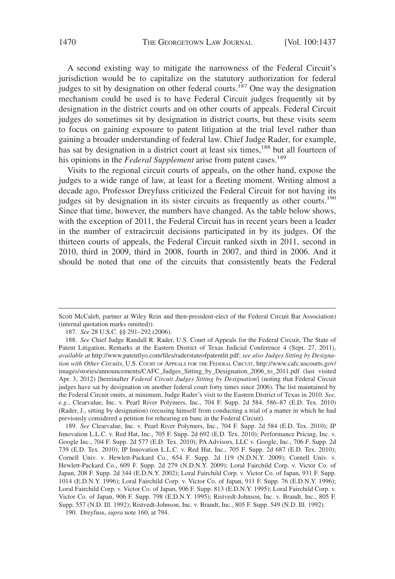A second existing way to mitigate the narrowness of the Federal Circuit's jurisdiction would be to capitalize on the statutory authorization for federal judges to sit by designation on other federal courts.<sup>187</sup> One way the designation mechanism could be used is to have Federal Circuit judges frequently sit by designation in the district courts and on other courts of appeals. Federal Circuit judges do sometimes sit by designation in district courts, but these visits seem to focus on gaining exposure to patent litigation at the trial level rather than gaining a broader understanding of federal law. Chief Judge Rader, for example, has sat by designation in a district court at least six times,<sup>188</sup> but all fourteen of his opinions in the *Federal Supplement* arise from patent cases.<sup>189</sup>

Visits to the regional circuit courts of appeals, on the other hand, expose the judges to a wide range of law, at least for a fleeting moment. Writing almost a decade ago, Professor Dreyfuss criticized the Federal Circuit for not having its judges sit by designation in its sister circuits as frequently as other courts.<sup>190</sup> Since that time, however, the numbers have changed. As the table below shows, with the exception of 2011, the Federal Circuit has in recent years been a leader in the number of extracircuit decisions participated in by its judges. Of the thirteen courts of appeals, the Federal Circuit ranked sixth in 2011, second in 2010, third in 2009, third in 2008, fourth in 2007, and third in 2006. And it should be noted that one of the circuits that consistently beats the Federal

189. *See* Clearvalue, Inc. v. Pearl River Polymers, Inc., 704 F. Supp. 2d 584 (E.D. Tex. 2010); IP Innovation L.L.C. v. Red Hat, Inc., 705 F. Supp. 2d 692 (E.D. Tex. 2010); Performance Pricing, Inc. v. Google Inc., 704 F. Supp. 2d 577 (E.D. Tex. 2010); PA Advisors, LLC v. Google, Inc., 706 F. Supp. 2d 739 (E.D. Tex. 2010); IP Innovation L.L.C. v. Red Hat, Inc., 705 F. Supp. 2d 687 (E.D. Tex. 2010); Cornell Univ. v. Hewlett-Packard Co., 654 F. Supp. 2d 119 (N.D.N.Y. 2009); Cornell Univ. v. Hewlett-Packard Co., 609 F. Supp. 2d 279 (N.D.N.Y. 2009); Loral Fairchild Corp. v. Victor Co. of Japan, 208 F. Supp. 2d 344 (E.D.N.Y. 2002); Loral Fairchild Corp. v. Victor Co. of Japan, 931 F. Supp. 1014 (E.D.N.Y. 1996); Loral Fairchild Corp. v. Victor Co. of Japan, 911 F. Supp. 76 (E.D.N.Y. 1996); Loral Fairchild Corp. v. Victor Co. of Japan, 906 F. Supp. 813 (E.D.N.Y. 1995); Loral Fairchild Corp. v. Victor Co. of Japan, 906 F. Supp. 798 (E.D.N.Y. 1995); Ristvedt-Johnson, Inc. v. Brandt, Inc., 805 F. Supp. 557 (N.D. Ill. 1992); Ristvedt-Johnson, Inc. v. Brandt, Inc., 805 F. Supp. 549 (N.D. Ill. 1992).

190. Dreyfuss, *supra* note 160, at 794.

Scott McCaleb, partner at Wiley Rein and then-president-elect of the Federal Circuit Bar Association) (internal quotation marks omitted)).

<sup>187.</sup> *See* 28 U.S.C. §§ 291–292 (2006).

<sup>188.</sup> *See* Chief Judge Randall R. Rader, U.S. Court of Appeals for the Federal Circuit, The State of Patent Litigation, Remarks at the Eastern District of Texas Judicial Conference 4 (Sept. 27, 2011), *available at* http://www.patentlyo.com/files/raderstateofpatentlit.pdf; *see also Judges Sitting by Designation with Other Circuits*, U.S. COURT OF APPEALS FOR THE FEDERAL CIRCUIT, http://www.cafc.uscourts.gov/ images/stories/announcements/CAFC\_Judges\_Sitting\_by\_Designation\_2006\_to\_2011.pdf (last visited Apr. 3, 2012) [hereinafter *Federal Circuit Judges Sitting by Designation*] (noting that Federal Circuit judges have sat by designation on another federal court forty times since 2006). The list maintained by the Federal Circuit omits, at minimum, Judge Rader's visit to the Eastern District of Texas in 2010. *See, e.g.*, Clearvalue, Inc. v. Pearl River Polymers, Inc., 704 F. Supp. 2d 584, 586–87 (E.D. Tex. 2010) (Rader, J., sitting by designation) (recusing himself from conducting a trial of a matter in which he had previously considered a petition for rehearing en banc in the Federal Circuit).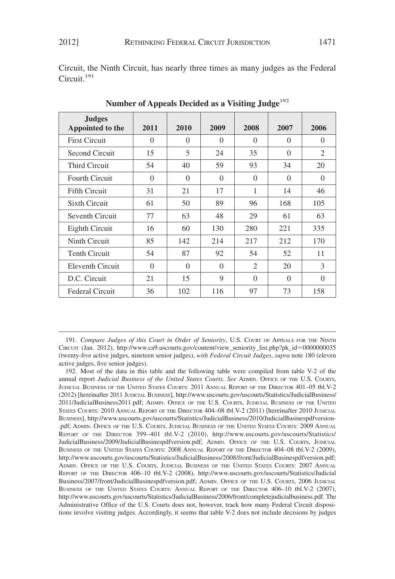Circuit, the Ninth Circuit, has nearly three times as many judges as the Federal Circuit.<sup>191</sup>

| <b>Judges</b><br>Appointed to the | 2011     | 2010     | 2009     | 2008           | 2007     | 2006     |
|-----------------------------------|----------|----------|----------|----------------|----------|----------|
| <b>First Circuit</b>              | $\Omega$ | $\Omega$ | $\Omega$ | $\Omega$       | $\Omega$ | $\Omega$ |
| Second Circuit                    | 15       | 5        | 24       | 35             | $\Omega$ | 2        |
| <b>Third Circuit</b>              | 54       | 40       | 59       | 93             | 34       | 20       |
| <b>Fourth Circuit</b>             | $\Omega$ | $\Omega$ | $\Omega$ | $\Omega$       | $\Omega$ | $\Omega$ |
| <b>Fifth Circuit</b>              | 31       | 21       | 17       | 1              | 14       | 46       |
| Sixth Circuit                     | 61       | 50       | 89       | 96             | 168      | 105      |
| Seventh Circuit                   | 77       | 63       | 48       | 29             | 61       | 63       |
| Eighth Circuit                    | 16       | 60       | 130      | 280            | 221      | 335      |
| Ninth Circuit                     | 85       | 142      | 214      | 217            | 212      | 170      |
| <b>Tenth Circuit</b>              | 54       | 87       | 92       | 54             | 52       | 11       |
| Eleventh Circuit                  | $\Omega$ | $\Omega$ | $\Omega$ | $\mathfrak{D}$ | 20       | 3        |
| D.C. Circuit                      | 21       | 15       | 9        | $\Omega$       | $\Omega$ | $\Omega$ |
| <b>Federal Circuit</b>            | 36       | 102      | 116      | 97             | 73       | 158      |

Number of Appeals Decided as a Visiting Judge<sup>192</sup>

191. *Compare Judges of this Court in Order of Seniority*, U.S. COURT OF APPEALS FOR THE NINTH CIRCUIT (Jan. 2012), http://www.ca9.uscourts.gov/content/view\_seniority\_list.php?pk\_id=0000000035 (twenty-five active judges, nineteen senior judges), *with Federal Circuit Judges*, *supra* note 180 (eleven active judges, five senior judges).

192. Most of the data in this table and the following table were compiled from table V-2 of the annual report *Judicial Business of the United States Courts*. *See* ADMIN. OFFICE OF THE U.S. COURTS, JUDICIAL BUSINESS OF THE UNITED STATES COURTS: 2011 ANNUAL REPORT OF THE DIRECTOR 401–05 tbl.V-2 (2012) [hereinafter 2011 JUDICIAL BUSINESS], http://www.uscourts.gov/uscourts/Statistics/JudicialBusiness/ 2011/JudicialBusiness2011.pdf; ADMIN. OFFICE OF THE U.S. COURTS, JUDICIAL BUSINESS OF THE UNITED STATES COURTS: 2010 ANNUAL REPORT OF THE DIRECTOR 404–08 tbl.V-2 (2011) [hereinafter 2010 JUDICIAL BUSINESS], http://www.uscourts.gov/uscourts/Statistics/JudicialBusiness/2010/JudicialBusinespdfversion- .pdf; ADMIN. OFFICE OF THE U.S. COURTS, JUDICIAL BUSINESS OF THE UNITED STATES COURTS: 2009 ANNUAL REPORT OF THE DIRECTOR 399–401 tbl.V-2 (2010), http://www.uscourts.gov/uscourts/Statistics/ JudicialBusiness/2009/JudicialBusinespdfversion.pdf; ADMIN. OFFICE OF THE U.S. COURTS, JUDICIAL BUSINESS OF THE UNITED STATES COURTS: 2008 ANNUAL REPORT OF THE DIRECTOR 404–08 tbl.V-2 (2009), http://www.uscourts.gov/uscourts/Statistics/JudicialBusiness/2008/front/JudicialBusinespdfversion.pdf; ADMIN. OFFICE OF THE U.S. COURTS, JUDICIAL BUSINESS OF THE UNITED STATES COURTS: 2007 ANNUAL REPORT OF THE DIRECTOR 406–10 tbl.V-2 (2008), http://www.uscourts.gov/uscourts/Statistics/Judicial Business/2007/front/JudicialBusinespdfversion.pdf; ADMIN. OFFICE OF THE U.S. COURTS, 2006 JUDICIAL BUSINESS OF THE UNITED STATES COURTS: ANNUAL REPORT OF THE DIRECTOR 406–10 tbl.V-2 (2007), http://www.uscourts.gov/uscourts/Statistics/JudicialBusiness/2006/front/completejudicialbusiness.pdf. The Administrative Office of the U.S. Courts does not, however, track how many Federal Circuit dispositions involve visiting judges. Accordingly, it seems that table V-2 does not include decisions by judges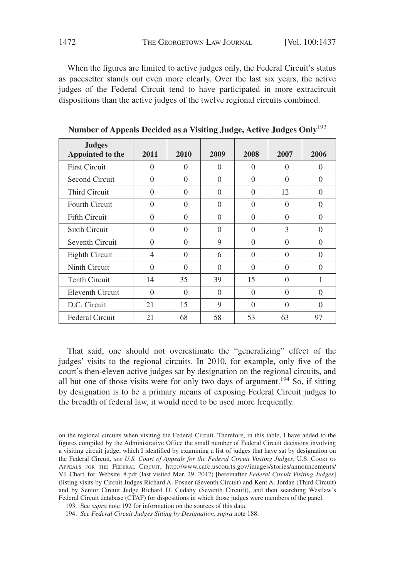When the figures are limited to active judges only, the Federal Circuit's status as pacesetter stands out even more clearly. Over the last six years, the active judges of the Federal Circuit tend to have participated in more extracircuit dispositions than the active judges of the twelve regional circuits combined.

| <b>Judges</b><br>Appointed to the | 2011           | 2010     | 2009     | 2008     | 2007     | 2006     |
|-----------------------------------|----------------|----------|----------|----------|----------|----------|
| <b>First Circuit</b>              | $\Omega$       | $\Omega$ | $\Omega$ | $\Omega$ | 0        | $\Omega$ |
| Second Circuit                    | $\Omega$       | $\Omega$ | $\Omega$ | 0        | $\Omega$ | $\Omega$ |
| <b>Third Circuit</b>              | $\Omega$       | $\Omega$ | $\Omega$ | $\Omega$ | 12       | $\Omega$ |
| <b>Fourth Circuit</b>             | $\Omega$       | $\Omega$ | $\Omega$ | $\Omega$ | $\Omega$ | $\Omega$ |
| <b>Fifth Circuit</b>              | $\Omega$       | $\Omega$ | $\Omega$ | $\Omega$ | $\Omega$ | $\Omega$ |
| <b>Sixth Circuit</b>              | $\Omega$       | $\Omega$ | $\Omega$ | $\Omega$ | 3        | $\Omega$ |
| Seventh Circuit                   | $\Omega$       | $\Omega$ | 9        | $\Omega$ | $\Omega$ | $\Omega$ |
| Eighth Circuit                    | $\overline{4}$ | $\Omega$ | 6        | $\Omega$ | $\Omega$ | $\Omega$ |
| Ninth Circuit                     | $\Omega$       | $\Omega$ | $\Omega$ | $\Omega$ | $\Omega$ | $\Omega$ |
| <b>Tenth Circuit</b>              | 14             | 35       | 39       | 15       | $\Omega$ |          |
| Eleventh Circuit                  | $\Omega$       | $\Omega$ | $\Omega$ | $\Omega$ | $\Omega$ | $\Omega$ |
| D.C. Circuit                      | 21             | 15       | 9        | $\Omega$ | $\Omega$ | $\Omega$ |
| <b>Federal Circuit</b>            | 21             | 68       | 58       | 53       | 63       | 97       |

**Number of Appeals Decided as a Visiting Judge, Active Judges Only**<sup>193</sup>

That said, one should not overestimate the "generalizing" effect of the judges' visits to the regional circuits. In 2010, for example, only five of the court's then-eleven active judges sat by designation on the regional circuits, and all but one of those visits were for only two days of argument.<sup>194</sup> So, if sitting by designation is to be a primary means of exposing Federal Circuit judges to the breadth of federal law, it would need to be used more frequently.

on the regional circuits when visiting the Federal Circuit. Therefore, in this table, I have added to the figures compiled by the Administrative Office the small number of Federal Circuit decisions involving a visiting circuit judge, which I identified by examining a list of judges that have sat by designation on the Federal Circuit, *see U.S. Court of Appeals for the Federal Circuit Visiting Judges*, U.S. COURT OF APPEALS FOR THE FEDERAL CIRCUIT, http://www.cafc.uscourts.gov/images/stories/announcements/ VJ\_Chart\_for\_Website\_8.pdf (last visited Mar. 29, 2012) [hereinafter *Federal Circuit Visiting Judges*] (listing visits by Circuit Judges Richard A. Posner (Seventh Circuit) and Kent A. Jordan (Third Circuit) and by Senior Circuit Judge Richard D. Cudahy (Seventh Circuit)), and then searching Westlaw's Federal Circuit database (CTAF) for dispositions in which those judges were members of the panel.

<sup>193.</sup> See *supra* note 192 for information on the sources of this data.

<sup>194.</sup> *See Federal Circuit Judges Sitting by Designation*, *supra* note 188.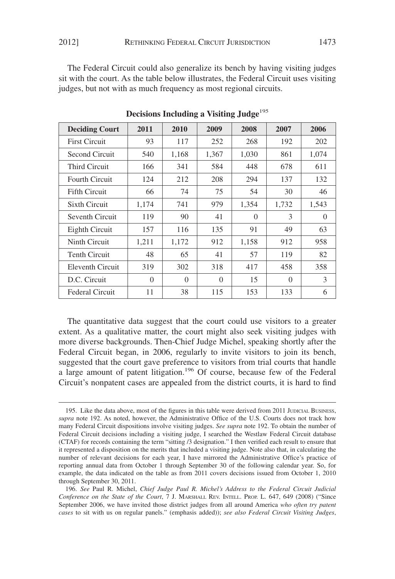The Federal Circuit could also generalize its bench by having visiting judges sit with the court. As the table below illustrates, the Federal Circuit uses visiting judges, but not with as much frequency as most regional circuits.

| <b>Deciding Court</b>  | 2011     | 2010     | 2009     | 2008     | 2007     | 2006     |
|------------------------|----------|----------|----------|----------|----------|----------|
| <b>First Circuit</b>   | 93       | 117      | 252      | 268      | 192      | 202      |
| Second Circuit         | 540      | 1,168    | 1,367    | 1,030    | 861      | 1,074    |
| Third Circuit          | 166      | 341      | 584      | 448      | 678      | 611      |
| <b>Fourth Circuit</b>  | 124      | 212      | 208      | 294      | 137      | 132      |
| <b>Fifth Circuit</b>   | 66       | 74       | 75       | 54       | 30       | 46       |
| Sixth Circuit          | 1,174    | 741      | 979      | 1,354    | 1,732    | 1,543    |
| Seventh Circuit        | 119      | 90       | 41       | $\Omega$ | 3        | $\Omega$ |
| Eighth Circuit         | 157      | 116      | 135      | 91       | 49       | 63       |
| Ninth Circuit          | 1,211    | 1,172    | 912      | 1,158    | 912      | 958      |
| Tenth Circuit          | 48       | 65       | 41       | 57       | 119      | 82       |
| Eleventh Circuit       | 319      | 302      | 318      | 417      | 458      | 358      |
| D.C. Circuit           | $\Omega$ | $\Omega$ | $\Omega$ | 15       | $\Omega$ | 3        |
| <b>Federal Circuit</b> | 11       | 38       | 115      | 153      | 133      | 6        |

**Decisions Including a Visiting Judge**<sup>195</sup>

The quantitative data suggest that the court could use visitors to a greater extent. As a qualitative matter, the court might also seek visiting judges with more diverse backgrounds. Then-Chief Judge Michel, speaking shortly after the Federal Circuit began, in 2006, regularly to invite visitors to join its bench, suggested that the court gave preference to visitors from trial courts that handle a large amount of patent litigation.<sup>196</sup> Of course, because few of the Federal Circuit's nonpatent cases are appealed from the district courts, it is hard to find

<sup>195.</sup> Like the data above, most of the figures in this table were derived from 2011 JUDICIAL BUSINESS, *supra* note 192. As noted, however, the Administrative Office of the U.S. Courts does not track how many Federal Circuit dispositions involve visiting judges. *See supra* note 192. To obtain the number of Federal Circuit decisions including a visiting judge, I searched the Westlaw Federal Circuit database (CTAF) for records containing the term "sitting /3 designation." I then verified each result to ensure that it represented a disposition on the merits that included a visiting judge. Note also that, in calculating the number of relevant decisions for each year, I have mirrored the Administrative Office's practice of reporting annual data from October 1 through September 30 of the following calendar year. So, for example, the data indicated on the table as from 2011 covers decisions issued from October 1, 2010 through September 30, 2011.

<sup>196.</sup> *See* Paul R. Michel, *Chief Judge Paul R. Michel's Address to the Federal Circuit Judicial Conference on the State of the Court*, 7 J. MARSHALL REV. INTELL. PROP. L. 647, 649 (2008) ("Since September 2006, we have invited those district judges from all around America *who often try patent cases* to sit with us on regular panels." (emphasis added)); *see also Federal Circuit Visiting Judges*,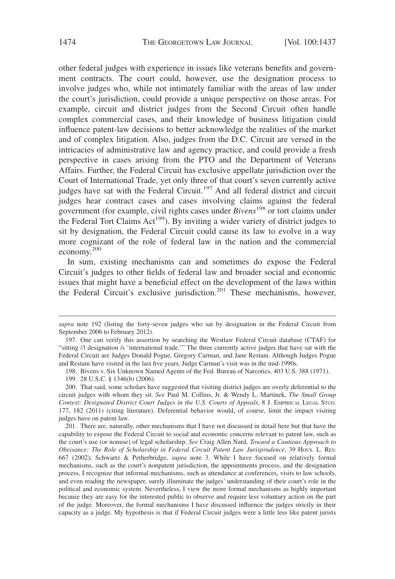other federal judges with experience in issues like veterans benefits and government contracts. The court could, however, use the designation process to involve judges who, while not intimately familiar with the areas of law under the court's jurisdiction, could provide a unique perspective on those areas. For example, circuit and district judges from the Second Circuit often handle complex commercial cases, and their knowledge of business litigation could influence patent-law decisions to better acknowledge the realities of the market and of complex litigation. Also, judges from the D.C. Circuit are versed in the intricacies of administrative law and agency practice, and could provide a fresh perspective in cases arising from the PTO and the Department of Veterans Affairs. Further, the Federal Circuit has exclusive appellate jurisdiction over the Court of International Trade, yet only three of that court's seven currently active judges have sat with the Federal Circuit.<sup>197</sup> And all federal district and circuit judges hear contract cases and cases involving claims against the federal government (for example, civil rights cases under *Bivens*<sup>198</sup> or tort claims under the Federal Tort Claims  $Act^{199}$ . By inviting a wider variety of district judges to sit by designation, the Federal Circuit could cause its law to evolve in a way more cognizant of the role of federal law in the nation and the commercial economy.<sup>200</sup>

In sum, existing mechanisms can and sometimes do expose the Federal Circuit's judges to other fields of federal law and broader social and economic issues that might have a beneficial effect on the development of the laws within the Federal Circuit's exclusive jurisdiction.<sup>201</sup> These mechanisms, however,

*supra* note 192 (listing the forty-seven judges who sat by designation in the Federal Circuit from September 2006 to February 2012).

<sup>197.</sup> One can verify this assertion by searching the Westlaw Federal Circuit database (CTAF) for "sitting /3 designation /s 'international trade.'" The three currently active judges that have sat with the Federal Circuit are Judges Donald Pogue, Gregory Carman, and Jane Restani. Although Judges Pogue and Restani have visited in the last five years, Judge Carman's visit was in the mid-1990s.

<sup>198.</sup> Bivens v. Six Unknown Named Agents of the Fed. Bureau of Narcotics, 403 U.S. 388 (1971).

<sup>199. 28</sup> U.S.C. § 1346(b) (2006).

<sup>200.</sup> That said, some scholars have suggested that visiting district judges are overly deferential to the circuit judges with whom they sit. *See* Paul M. Collins, Jr. & Wendy L. Martinek, *The Small Group Context: Designated District Court Judges in the U.S. Courts of Appeals*, 8 J. EMPIRICAL LEGAL STUD. 177, 182 (2011) (citing literature). Deferential behavior would, of course, limit the impact visiting judges have on patent law.

<sup>201.</sup> There are, naturally, other mechanisms that I have not discussed in detail here but that have the capability to expose the Federal Circuit to social and economic concerns relevant to patent law, such as the court's use (or nonuse) of legal scholarship. *See* Craig Allen Nard, *Toward a Cautious Approach to Obeisance: The Role of Scholarship in Federal Circuit Patent Law Jurisprudence*, 39 HOUS. L. REV. 667 (2002); Schwartz & Petherbridge, *supra* note 3. While I have focused on relatively formal mechanisms, such as the court's nonpatent jurisdiction, the appointments process, and the designation process, I recognize that informal mechanisms, such as attendance at conferences, visits to law schools, and even reading the newspaper, surely illuminate the judges' understanding of their court's role in the political and economic system. Nevertheless, I view the more formal mechanisms as highly important because they are easy for the interested public to observe and require less voluntary action on the part of the judge. Moreover, the formal mechanisms I have discussed influence the judges strictly in their capacity as a judge. My hypothesis is that if Federal Circuit judges were a little less like patent jurists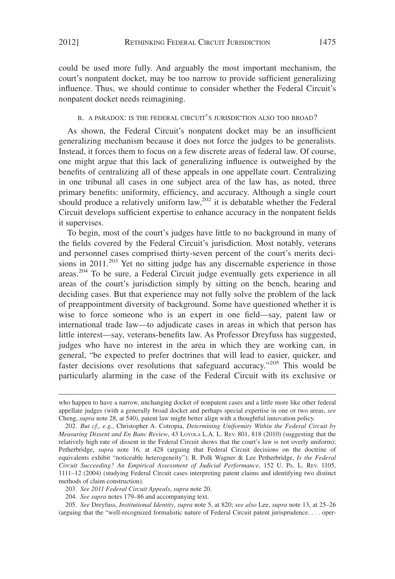could be used more fully. And arguably the most important mechanism, the court's nonpatent docket, may be too narrow to provide sufficient generalizing influence. Thus, we should continue to consider whether the Federal Circuit's nonpatent docket needs reimagining.

#### B. A PARADOX: IS THE FEDERAL CIRCUIT'S JURISDICTION ALSO TOO BROAD?

As shown, the Federal Circuit's nonpatent docket may be an insufficient generalizing mechanism because it does not force the judges to be generalists. Instead, it forces them to focus on a few discrete areas of federal law. Of course, one might argue that this lack of generalizing influence is outweighed by the benefits of centralizing all of these appeals in one appellate court. Centralizing in one tribunal all cases in one subject area of the law has, as noted, three primary benefits: uniformity, efficiency, and accuracy. Although a single court should produce a relatively uniform  $\text{law}^{202}$  it is debatable whether the Federal Circuit develops sufficient expertise to enhance accuracy in the nonpatent fields it supervises.

To begin, most of the court's judges have little to no background in many of the fields covered by the Federal Circuit's jurisdiction. Most notably, veterans and personnel cases comprised thirty-seven percent of the court's merits decisions in 2011.<sup>203</sup> Yet no sitting judge has any discernable experience in those areas.<sup>204</sup> To be sure, a Federal Circuit judge eventually gets experience in all areas of the court's jurisdiction simply by sitting on the bench, hearing and deciding cases. But that experience may not fully solve the problem of the lack of preappointment diversity of background. Some have questioned whether it is wise to force someone who is an expert in one field—say, patent law or international trade law—to adjudicate cases in areas in which that person has little interest—say, veterans-benefits law. As Professor Dreyfuss has suggested, judges who have no interest in the area in which they are working can, in general, "be expected to prefer doctrines that will lead to easier, quicker, and faster decisions over resolutions that safeguard accuracy."<sup>205</sup> This would be particularly alarming in the case of the Federal Circuit with its exclusive or

who happen to have a narrow, unchanging docket of nonpatent cases and a little more like other federal appellate judges (with a generally broad docket and perhaps special expertise in one or two areas, *see* Cheng, *supra* note 28, at 540), patent law might better align with a thoughtful innovation policy.

<sup>202.</sup> *But cf., e.g.*, Christopher A. Cotropia, *Determining Uniformity Within the Federal Circuit by Measuring Dissent and En Banc Review*, 43 LOYOLA L.A. L. REV. 801, 818 (2010) (suggesting that the relatively high rate of dissent in the Federal Circuit shows that the court's law is not overly uniform); Petherbridge, *supra* note 16, at 428 (arguing that Federal Circuit decisions on the doctrine of equivalents exhibit "noticeable heterogeneity"); R. Polk Wagner & Lee Petherbridge, *Is the Federal Circuit Succeeding? An Empirical Assessment of Judicial Performance*, 152 U. PA. L. REV. 1105, 1111–12 (2004) (studying Federal Circuit cases interpreting patent claims and identifying two distinct methods of claim construction).

<sup>203.</sup> *See 2011 Federal Circuit Appeals*, *supra* note 20.

<sup>204.</sup> *See supra* notes 179–86 and accompanying text.

<sup>205.</sup> *See* Dreyfuss, *Institutional Identity*, *supra* note 5, at 820; *see also* Lee, *supra* note 13, at 25–26 (arguing that the "well-recognized formalistic nature of Federal Circuit patent jurisprudence. . . . oper-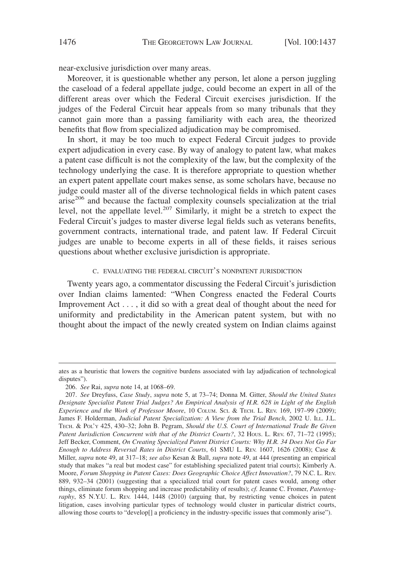near-exclusive jurisdiction over many areas.

Moreover, it is questionable whether any person, let alone a person juggling the caseload of a federal appellate judge, could become an expert in all of the different areas over which the Federal Circuit exercises jurisdiction. If the judges of the Federal Circuit hear appeals from so many tribunals that they cannot gain more than a passing familiarity with each area, the theorized benefits that flow from specialized adjudication may be compromised.

In short, it may be too much to expect Federal Circuit judges to provide expert adjudication in every case. By way of analogy to patent law, what makes a patent case difficult is not the complexity of the law, but the complexity of the technology underlying the case. It is therefore appropriate to question whether an expert patent appellate court makes sense, as some scholars have, because no judge could master all of the diverse technological fields in which patent cases arise<sup>206</sup> and because the factual complexity counsels specialization at the trial level, not the appellate level.<sup>207</sup> Similarly, it might be a stretch to expect the Federal Circuit's judges to master diverse legal fields such as veterans benefits, government contracts, international trade, and patent law. If Federal Circuit judges are unable to become experts in all of these fields, it raises serious questions about whether exclusive jurisdiction is appropriate.

#### C. EVALUATING THE FEDERAL CIRCUIT'S NONPATENT JURISDICTION

Twenty years ago, a commentator discussing the Federal Circuit's jurisdiction over Indian claims lamented: "When Congress enacted the Federal Courts Improvement Act . . . , it did so with a great deal of thought about the need for uniformity and predictability in the American patent system, but with no thought about the impact of the newly created system on Indian claims against

ates as a heuristic that lowers the cognitive burdens associated with lay adjudication of technological disputes").

<sup>206.</sup> *See* Rai, *supra* note 14, at 1068–69.

<sup>207.</sup> *See* Dreyfuss, *Case Study*, *supra* note 5, at 73–74; Donna M. Gitter, *Should the United States Designate Specialist Patent Trial Judges? An Empirical Analysis of H.R. 628 in Light of the English Experience and the Work of Professor Moore*, 10 COLUM. SCI.&TECH. L. REV. 169, 197–99 (2009); James F. Holderman, *Judicial Patent Specialization: A View from the Trial Bench*, 2002 U. ILL. J.L. TECH.&POL'Y 425, 430–32; John B. Pegram, *Should the U.S. Court of International Trade Be Given Patent Jurisdiction Concurrent with that of the District Courts?*, 32 Hous. L. REV. 67, 71–72 (1995); Jeff Becker, Comment, *On Creating Specialized Patent District Courts: Why H.R. 34 Does Not Go Far Enough to Address Reversal Rates in District Courts*, 61 SMU L. REV. 1607, 1626 (2008); Case & Miller, *supra* note 49, at 317–18; *see also* Kesan & Ball, *supra* note 49, at 444 (presenting an empirical study that makes "a real but modest case" for establishing specialized patent trial courts); Kimberly A. Moore, *Forum Shopping in Patent Cases: Does Geographic Choice Affect Innovation?*, 79 N.C. L. REV. 889, 932–34 (2001) (suggesting that a specialized trial court for patent cases would, among other things, eliminate forum shopping and increase predictability of results); *cf.* Jeanne C. Fromer, *Patentography*, 85 N.Y.U. L. REV. 1444, 1448 (2010) (arguing that, by restricting venue choices in patent litigation, cases involving particular types of technology would cluster in particular district courts, allowing those courts to "develop[] a proficiency in the industry-specific issues that commonly arise").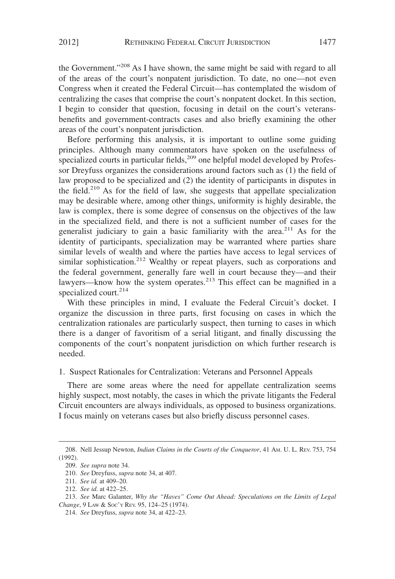the Government."208 As I have shown, the same might be said with regard to all of the areas of the court's nonpatent jurisdiction. To date, no one—not even Congress when it created the Federal Circuit—has contemplated the wisdom of centralizing the cases that comprise the court's nonpatent docket. In this section, I begin to consider that question, focusing in detail on the court's veteransbenefits and government-contracts cases and also briefly examining the other areas of the court's nonpatent jurisdiction.

Before performing this analysis, it is important to outline some guiding principles. Although many commentators have spoken on the usefulness of specialized courts in particular fields, $209$  one helpful model developed by Professor Dreyfuss organizes the considerations around factors such as (1) the field of law proposed to be specialized and (2) the identity of participants in disputes in the field.<sup>210</sup> As for the field of law, she suggests that appellate specialization may be desirable where, among other things, uniformity is highly desirable, the law is complex, there is some degree of consensus on the objectives of the law in the specialized field, and there is not a sufficient number of cases for the generalist judiciary to gain a basic familiarity with the area.<sup>211</sup> As for the identity of participants, specialization may be warranted where parties share similar levels of wealth and where the parties have access to legal services of similar sophistication.<sup>212</sup> Wealthy or repeat players, such as corporations and the federal government, generally fare well in court because they—and their lawyers—know how the system operates.<sup>213</sup> This effect can be magnified in a specialized court.<sup>214</sup>

With these principles in mind, I evaluate the Federal Circuit's docket. I organize the discussion in three parts, first focusing on cases in which the centralization rationales are particularly suspect, then turning to cases in which there is a danger of favoritism of a serial litigant, and finally discussing the components of the court's nonpatent jurisdiction on which further research is needed.

#### 1. Suspect Rationales for Centralization: Veterans and Personnel Appeals

There are some areas where the need for appellate centralization seems highly suspect, most notably, the cases in which the private litigants the Federal Circuit encounters are always individuals, as opposed to business organizations. I focus mainly on veterans cases but also briefly discuss personnel cases.

<sup>208.</sup> Nell Jessup Newton, *Indian Claims in the Courts of the Conqueror*, 41 AM. U. L. REV. 753, 754 (1992).

<sup>209.</sup> *See supra* note 34.

<sup>210.</sup> *See* Dreyfuss, *supra* note 34, at 407.

<sup>211.</sup> *See id.* at 409–20.

<sup>212.</sup> *See id.* at 422–25.

<sup>213.</sup> *See* Marc Galanter, *Why the "Haves" Come Out Ahead: Speculations on the Limits of Legal Change*,9LAW & SOC'Y REV. 95, 124–25 (1974).

<sup>214.</sup> *See* Dreyfuss, *supra* note 34, at 422–23.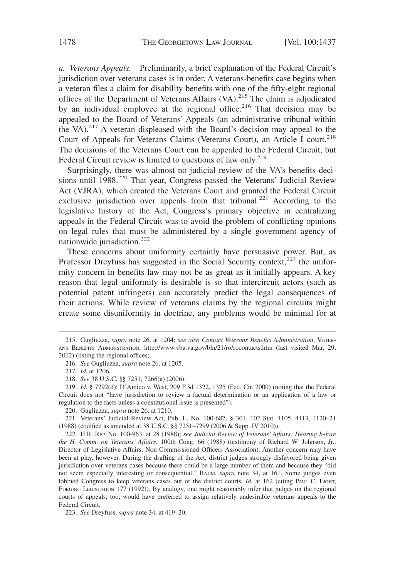*a. Veterans Appeals.* Preliminarily, a brief explanation of the Federal Circuit's jurisdiction over veterans cases is in order. A veterans-benefits case begins when a veteran files a claim for disability benefits with one of the fifty-eight regional offices of the Department of Veterans Affairs (VA).<sup>215</sup> The claim is adjudicated by an individual employee at the regional office.<sup>216</sup> That decision may be appealed to the Board of Veterans' Appeals (an administrative tribunal within the VA).<sup>217</sup> A veteran displeased with the Board's decision may appeal to the Court of Appeals for Veterans Claims (Veterans Court), an Article I court.<sup>218</sup> The decisions of the Veterans Court can be appealed to the Federal Circuit, but Federal Circuit review is limited to questions of law only.<sup>219</sup>

Surprisingly, there was almost no judicial review of the VA's benefits decisions until 1988.<sup>220</sup> That year, Congress passed the Veterans' Judicial Review Act (VJRA), which created the Veterans Court and granted the Federal Circuit exclusive jurisdiction over appeals from that tribunal.<sup>221</sup> According to the legislative history of the Act, Congress's primary objective in centralizing appeals in the Federal Circuit was to avoid the problem of conflicting opinions on legal rules that must be administered by a single government agency of nationwide jurisdiction.<sup>222</sup>

These concerns about uniformity certainly have persuasive power. But, as Professor Dreyfuss has suggested in the Social Security context,<sup>223</sup> the uniformity concern in benefits law may not be as great as it initially appears. A key reason that legal uniformity is desirable is so that intercircuit actors (such as potential patent infringers) can accurately predict the legal consequences of their actions. While review of veterans claims by the regional circuits might create some disuniformity in doctrine, any problems would be minimal for at

<sup>215.</sup> Gugliuzza, *supra* note 26, at 1204; *see also Contact Veterans Benefits Administration*, VETER-ANS BENEFITS ADMINISTRATION, http://www.vba.va.gov/bln/21/ro/rocontacts.htm (last visited Mar. 29, 2012) (listing the regional offices).

<sup>216.</sup> *See* Gugliuzza, *supra* note 26, at 1205.

<sup>217.</sup> *Id.* at 1206.

<sup>218.</sup> *See* 38 U.S.C. §§ 7251, 7266(a) (2006).

<sup>219.</sup> *Id.* § 7292(d); D'Amico v. West, 209 F.3d 1322, 1325 (Fed. Cir. 2000) (noting that the Federal Circuit does not "have jurisdiction to review a factual determination or an application of a law or regulation to the facts unless a constitutional issue is presented").

<sup>220.</sup> Gugliuzza, *supra* note 26, at 1210.

<sup>221.</sup> Veterans' Judicial Review Act, Pub. L. No. 100-687, § 301, 102 Stat. 4105, 4113, 4120–21 (1988) (codified as amended at 38 U.S.C. §§ 7251–7299 (2006 & Supp. IV 2010)).

<sup>222.</sup> H.R. REP. NO. 100-963, at 28 (1988); *see Judicial Review of Veterans' Affairs: Hearing before the H. Comm. on Veterans' Affairs*, 100th Cong. 66 (1988) (testimony of Richard W. Johnson, Jr., Director of Legislative Affairs, Non Commissioned Officers Association). Another concern may have been at play, however. During the drafting of the Act, district judges strongly disfavored being given jurisdiction over veterans cases because there could be a large number of them and because they "did not seem especially interesting or consequential." BAUM, *supra* note 34, at 161. Some judges even lobbied Congress to keep veterans cases out of the district courts. *Id.* at 162 (citing PAUL C. LIGHT, FORGING LEGISLATION 177 (1992)). By analogy, one might reasonably infer that judges on the regional courts of appeals, too, would have preferred to assign relatively undesirable veterans appeals to the Federal Circuit.

<sup>223.</sup> *See* Dreyfuss, *supra* note 34, at 419–20.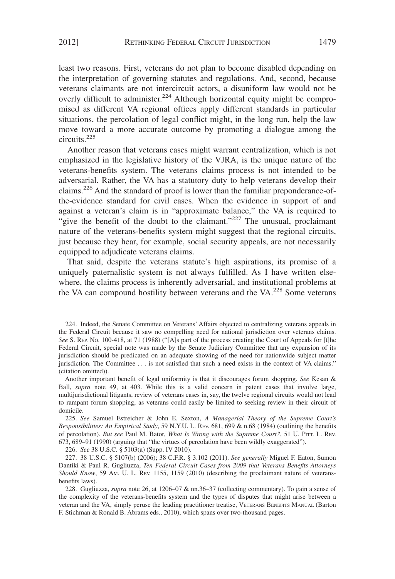least two reasons. First, veterans do not plan to become disabled depending on the interpretation of governing statutes and regulations. And, second, because veterans claimants are not intercircuit actors, a disuniform law would not be overly difficult to administer.<sup>224</sup> Although horizontal equity might be compromised as different VA regional offices apply different standards in particular situations, the percolation of legal conflict might, in the long run, help the law move toward a more accurate outcome by promoting a dialogue among the circuits.225

Another reason that veterans cases might warrant centralization, which is not emphasized in the legislative history of the VJRA, is the unique nature of the veterans-benefits system. The veterans claims process is not intended to be adversarial. Rather, the VA has a statutory duty to help veterans develop their claims.226 And the standard of proof is lower than the familiar preponderance-ofthe-evidence standard for civil cases. When the evidence in support of and against a veteran's claim is in "approximate balance," the VA is required to "give the benefit of the doubt to the claimant."<sup>227</sup> The unusual, proclaimant nature of the veterans-benefits system might suggest that the regional circuits, just because they hear, for example, social security appeals, are not necessarily equipped to adjudicate veterans claims.

That said, despite the veterans statute's high aspirations, its promise of a uniquely paternalistic system is not always fulfilled. As I have written elsewhere, the claims process is inherently adversarial, and institutional problems at the VA can compound hostility between veterans and the VA.<sup>228</sup> Some veterans

226. *See* 38 U.S.C. § 5103(a) (Supp. IV 2010).

<sup>224.</sup> Indeed, the Senate Committee on Veterans' Affairs objected to centralizing veterans appeals in the Federal Circuit because it saw no compelling need for national jurisdiction over veterans claims. See S. REP. No. 100-418, at 71 (1988) ("[A]s part of the process creating the Court of Appeals for [t]he Federal Circuit, special note was made by the Senate Judiciary Committee that any expansion of its jurisdiction should be predicated on an adequate showing of the need for nationwide subject matter jurisdiction. The Committee . . . is not satisfied that such a need exists in the context of VA claims." (citation omitted)).

Another important benefit of legal uniformity is that it discourages forum shopping. *See* Kesan & Ball, *supra* note 49, at 403. While this is a valid concern in patent cases that involve large, multijurisdictional litigants, review of veterans cases in, say, the twelve regional circuits would not lead to rampant forum shopping, as veterans could easily be limited to seeking review in their circuit of domicile.

<sup>225.</sup> *See* Samuel Estreicher & John E. Sexton, *A Managerial Theory of the Supreme Court's Responsibilities: An Empirical Study*, 59 N.Y.U. L. REV. 681, 699 & n.68 (1984) (outlining the benefits of percolation). *But see* Paul M. Bator, *What Is Wrong with the Supreme Court?*, 51 U. PITT. L. REV. 673, 689–91 (1990) (arguing that "the virtues of percolation have been wildly exaggerated").

<sup>227. 38</sup> U.S.C. § 5107(b) (2006); 38 C.F.R. § 3.102 (2011). *See generally* Miguel F. Eaton, Sumon Dantiki & Paul R. Gugliuzza, *Ten Federal Circuit Cases from 2009 that Veterans Benefits Attorneys Should Know*, 59 AM. U. L. REV. 1155, 1159 (2010) (describing the proclaimant nature of veteransbenefits laws).

<sup>228.</sup> Gugliuzza, *supra* note 26, at 1206–07 & nn.36–37 (collecting commentary). To gain a sense of the complexity of the veterans-benefits system and the types of disputes that might arise between a veteran and the VA, simply peruse the leading practitioner treatise, VETERANS BENEFITS MANUAL (Barton F. Stichman & Ronald B. Abrams eds., 2010), which spans over two-thousand pages.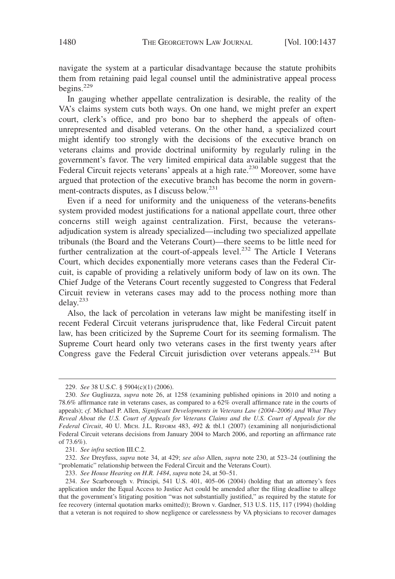navigate the system at a particular disadvantage because the statute prohibits them from retaining paid legal counsel until the administrative appeal process begins. $229$ 

In gauging whether appellate centralization is desirable, the reality of the VA's claims system cuts both ways. On one hand, we might prefer an expert court, clerk's office, and pro bono bar to shepherd the appeals of oftenunrepresented and disabled veterans. On the other hand, a specialized court might identify too strongly with the decisions of the executive branch on veterans claims and provide doctrinal uniformity by regularly ruling in the government's favor. The very limited empirical data available suggest that the Federal Circuit rejects veterans' appeals at a high rate.<sup>230</sup> Moreover, some have argued that protection of the executive branch has become the norm in government-contracts disputes, as I discuss below.231

Even if a need for uniformity and the uniqueness of the veterans-benefits system provided modest justifications for a national appellate court, three other concerns still weigh against centralization. First, because the veteransadjudication system is already specialized—including two specialized appellate tribunals (the Board and the Veterans Court)—there seems to be little need for further centralization at the court-of-appeals level.<sup>232</sup> The Article I Veterans Court, which decides exponentially more veterans cases than the Federal Circuit, is capable of providing a relatively uniform body of law on its own. The Chief Judge of the Veterans Court recently suggested to Congress that Federal Circuit review in veterans cases may add to the process nothing more than delay.233

Also, the lack of percolation in veterans law might be manifesting itself in recent Federal Circuit veterans jurisprudence that, like Federal Circuit patent law, has been criticized by the Supreme Court for its seeming formalism. The Supreme Court heard only two veterans cases in the first twenty years after Congress gave the Federal Circuit jurisdiction over veterans appeals.<sup>234</sup> But

231. *See infra* section III.C.2.

232. *See* Dreyfuss, *supra* note 34, at 429; *see also* Allen, *supra* note 230, at 523–24 (outlining the "problematic" relationship between the Federal Circuit and the Veterans Court).

<sup>229.</sup> *See* 38 U.S.C. § 5904(c)(1) (2006).

<sup>230.</sup> *See* Gugliuzza, *supra* note 26, at 1258 (examining published opinions in 2010 and noting a 78.6% affirmance rate in veterans cases, as compared to a 62% overall affirmance rate in the courts of appeals); *cf.* Michael P. Allen, *Significant Developments in Veterans Law (2004–2006) and What They Reveal About the U.S. Court of Appeals for Veterans Claims and the U.S. Court of Appeals for the Federal Circuit*, 40 U. MICH. J.L. REFORM 483, 492 & tbl.1 (2007) (examining all nonjurisdictional Federal Circuit veterans decisions from January 2004 to March 2006, and reporting an affirmance rate of 73.6%).

<sup>233.</sup> *See House Hearing on H.R. 1484*, *supra* note 24, at 50–51.

<sup>234.</sup> *See* Scarborough v. Principi, 541 U.S. 401, 405–06 (2004) (holding that an attorney's fees application under the Equal Access to Justice Act could be amended after the filing deadline to allege that the government's litigating position "was not substantially justified," as required by the statute for fee recovery (internal quotation marks omitted)); Brown v. Gardner, 513 U.S. 115, 117 (1994) (holding that a veteran is not required to show negligence or carelessness by VA physicians to recover damages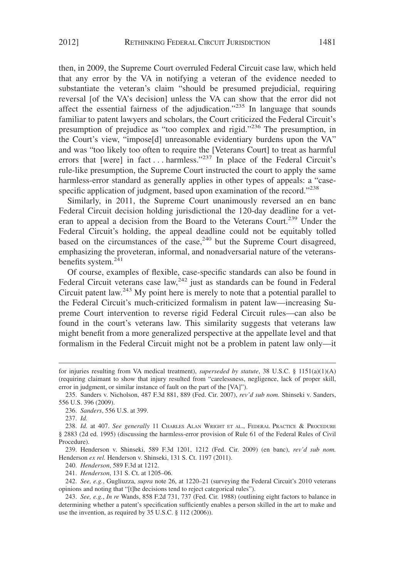then, in 2009, the Supreme Court overruled Federal Circuit case law, which held that any error by the VA in notifying a veteran of the evidence needed to substantiate the veteran's claim "should be presumed prejudicial, requiring reversal [of the VA's decision] unless the VA can show that the error did not affect the essential fairness of the adjudication."<sup>235</sup> In language that sounds familiar to patent lawyers and scholars, the Court criticized the Federal Circuit's presumption of prejudice as "too complex and rigid."<sup>236</sup> The presumption, in the Court's view, "impose[d] unreasonable evidentiary burdens upon the VA" and was "too likely too often to require the [Veterans Court] to treat as harmful errors that [were] in fact... harmless."<sup>237</sup> In place of the Federal Circuit's rule-like presumption, the Supreme Court instructed the court to apply the same harmless-error standard as generally applies in other types of appeals: a "casespecific application of judgment, based upon examination of the record."<sup>238</sup>

Similarly, in 2011, the Supreme Court unanimously reversed an en banc Federal Circuit decision holding jurisdictional the 120-day deadline for a veteran to appeal a decision from the Board to the Veterans Court.<sup>239</sup> Under the Federal Circuit's holding, the appeal deadline could not be equitably tolled based on the circumstances of the case, $240$  but the Supreme Court disagreed, emphasizing the proveteran, informal, and nonadversarial nature of the veteransbenefits system.<sup>241</sup>

Of course, examples of flexible, case-specific standards can also be found in Federal Circuit veterans case law,  $242$  just as standards can be found in Federal Circuit patent law.<sup>243</sup> My point here is merely to note that a potential parallel to the Federal Circuit's much-criticized formalism in patent law—increasing Supreme Court intervention to reverse rigid Federal Circuit rules—can also be found in the court's veterans law. This similarity suggests that veterans law might benefit from a more generalized perspective at the appellate level and that formalism in the Federal Circuit might not be a problem in patent law only—it

for injuries resulting from VA medical treatment), *superseded by statute*, 38 U.S.C. § 1151(a)(1)(A) (requiring claimant to show that injury resulted from "carelessness, negligence, lack of proper skill, error in judgment, or similar instance of fault on the part of the [VA]").

<sup>235.</sup> Sanders v. Nicholson, 487 F.3d 881, 889 (Fed. Cir. 2007), *rev'd sub nom.* Shinseki v. Sanders, 556 U.S. 396 (2009).

<sup>236.</sup> *Sanders*, 556 U.S. at 399.

<sup>237.</sup> *Id.*

<sup>238.</sup> *Id.* at 407. *See generally* 11 CHARLES ALAN WRIGHT ET AL., FEDERAL PRACTICE & PROCEDURE § 2883 (2d ed. 1995) (discussing the harmless-error provision of Rule 61 of the Federal Rules of Civil Procedure).

<sup>239.</sup> Henderson v. Shinseki, 589 F.3d 1201, 1212 (Fed. Cir. 2009) (en banc), *rev'd sub nom.* Henderson *ex rel.* Henderson v. Shinseki, 131 S. Ct. 1197 (2011).

<sup>240.</sup> *Henderson*, 589 F.3d at 1212.

<sup>241.</sup> *Henderson*, 131 S. Ct. at 1205–06.

<sup>242.</sup> *See, e.g.*, Gugliuzza, *supra* note 26, at 1220–21 (surveying the Federal Circuit's 2010 veterans opinions and noting that "[t]he decisions tend to reject categorical rules").

<sup>243.</sup> *See, e.g.*, *In re* Wands, 858 F.2d 731, 737 (Fed. Cir. 1988) (outlining eight factors to balance in determining whether a patent's specification sufficiently enables a person skilled in the art to make and use the invention, as required by 35 U.S.C. § 112 (2006)).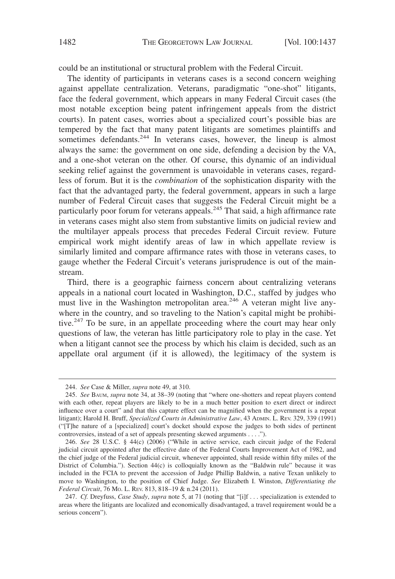could be an institutional or structural problem with the Federal Circuit.

The identity of participants in veterans cases is a second concern weighing against appellate centralization. Veterans, paradigmatic "one-shot" litigants, face the federal government, which appears in many Federal Circuit cases (the most notable exception being patent infringement appeals from the district courts). In patent cases, worries about a specialized court's possible bias are tempered by the fact that many patent litigants are sometimes plaintiffs and sometimes defendants.<sup>244</sup> In veterans cases, however, the lineup is almost always the same: the government on one side, defending a decision by the VA, and a one-shot veteran on the other. Of course, this dynamic of an individual seeking relief against the government is unavoidable in veterans cases, regardless of forum. But it is the *combination* of the sophistication disparity with the fact that the advantaged party, the federal government, appears in such a large number of Federal Circuit cases that suggests the Federal Circuit might be a particularly poor forum for veterans appeals.<sup>245</sup> That said, a high affirmance rate in veterans cases might also stem from substantive limits on judicial review and the multilayer appeals process that precedes Federal Circuit review. Future empirical work might identify areas of law in which appellate review is similarly limited and compare affirmance rates with those in veterans cases, to gauge whether the Federal Circuit's veterans jurisprudence is out of the mainstream.

Third, there is a geographic fairness concern about centralizing veterans appeals in a national court located in Washington, D.C., staffed by judges who must live in the Washington metropolitan area.<sup>246</sup> A veteran might live anywhere in the country, and so traveling to the Nation's capital might be prohibitive.<sup>247</sup> To be sure, in an appellate proceeding where the court may hear only questions of law, the veteran has little participatory role to play in the case. Yet when a litigant cannot see the process by which his claim is decided, such as an appellate oral argument (if it is allowed), the legitimacy of the system is

<sup>244.</sup> *See* Case & Miller, *supra* note 49, at 310.

<sup>245.</sup> *See* BAUM, *supra* note 34, at 38–39 (noting that "where one-shotters and repeat players contend with each other, repeat players are likely to be in a much better position to exert direct or indirect influence over a court" and that this capture effect can be magnified when the government is a repeat litigant); Harold H. Bruff, *Specialized Courts in Administrative Law*, 43 ADMIN. L. REV. 329, 339 (1991) ("[T]he nature of a [specialized] court's docket should expose the judges to both sides of pertinent controversies, instead of a set of appeals presenting skewed arguments . . . .").

<sup>246.</sup> *See* 28 U.S.C. § 44(c) (2006) ("While in active service, each circuit judge of the Federal judicial circuit appointed after the effective date of the Federal Courts Improvement Act of 1982, and the chief judge of the Federal judicial circuit, whenever appointed, shall reside within fifty miles of the District of Columbia."). Section 44(c) is colloquially known as the "Baldwin rule" because it was included in the FCIA to prevent the accession of Judge Phillip Baldwin, a native Texan unlikely to move to Washington, to the position of Chief Judge. *See* Elizabeth I. Winston, *Differentiating the Federal Circuit*, 76 MO. L. REV. 813, 818–19 & n.24 (2011).

<sup>247.</sup> *Cf.* Dreyfuss, *Case Study*, *supra* note 5, at 71 (noting that "[i]f . . . specialization is extended to areas where the litigants are localized and economically disadvantaged, a travel requirement would be a serious concern").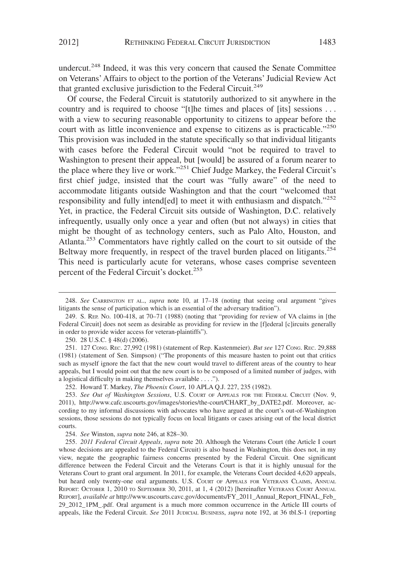undercut.<sup>248</sup> Indeed, it was this very concern that caused the Senate Committee on Veterans' Affairs to object to the portion of the Veterans' Judicial Review Act that granted exclusive jurisdiction to the Federal Circuit.<sup>249</sup>

Of course, the Federal Circuit is statutorily authorized to sit anywhere in the country and is required to choose "[t]he times and places of [its] sessions ... with a view to securing reasonable opportunity to citizens to appear before the court with as little inconvenience and expense to citizens as is practicable."250 This provision was included in the statute specifically so that individual litigants with cases before the Federal Circuit would "not be required to travel to Washington to present their appeal, but [would] be assured of a forum nearer to the place where they live or work."<sup>251</sup> Chief Judge Markey, the Federal Circuit's first chief judge, insisted that the court was "fully aware" of the need to accommodate litigants outside Washington and that the court "welcomed that responsibility and fully intend[ed] to meet it with enthusiasm and dispatch."<sup>252</sup> Yet, in practice, the Federal Circuit sits outside of Washington, D.C. relatively infrequently, usually only once a year and often (but not always) in cities that might be thought of as technology centers, such as Palo Alto, Houston, and Atlanta.<sup>253</sup> Commentators have rightly called on the court to sit outside of the Beltway more frequently, in respect of the travel burden placed on litigants.<sup>254</sup> This need is particularly acute for veterans, whose cases comprise seventeen percent of the Federal Circuit's docket.<sup>255</sup>

<sup>248.</sup> *See* CARRINGTON ET AL., *supra* note 10, at 17–18 (noting that seeing oral argument "gives litigants the sense of participation which is an essential of the adversary tradition").

<sup>249.</sup> S. REP. NO. 100-418, at 70–71 (1988) (noting that "providing for review of VA claims in [the Federal Circuit] does not seem as desirable as providing for review in the [f]ederal [c]ircuits generally in order to provide wider access for veteran-plaintiffs").

<sup>250. 28</sup> U.S.C. § 48(d) (2006).

<sup>251. 127</sup> CONG. REC. 27,992 (1981) (statement of Rep. Kastenmeier). *But see* 127 CONG. REC. 29,888 (1981) (statement of Sen. Simpson) ("The proponents of this measure hasten to point out that critics such as myself ignore the fact that the new court would travel to different areas of the country to hear appeals, but I would point out that the new court is to be composed of a limited number of judges, with a logistical difficulty in making themselves available . . . .").

<sup>252.</sup> Howard T. Markey, *The Phoenix Court*, 10 APLA Q.J. 227, 235 (1982).

<sup>253.</sup> *See Out of Washington Sessions*, U.S. COURT OF APPEALS FOR THE FEDERAL CIRCUIT (Nov. 9, 2011), http://www.cafc.uscourts.gov/images/stories/the-court/CHART\_by\_DATE2.pdf. Moreover, according to my informal discussions with advocates who have argued at the court's out-of-Washington sessions, those sessions do not typically focus on local litigants or cases arising out of the local district courts.

<sup>254.</sup> *See* Winston, *supra* note 246, at 828–30.

<sup>255.</sup> *2011 Federal Circuit Appeals*, *supra* note 20. Although the Veterans Court (the Article I court whose decisions are appealed to the Federal Circuit) is also based in Washington, this does not, in my view, negate the geographic fairness concerns presented by the Federal Circuit. One significant difference between the Federal Circuit and the Veterans Court is that it is highly unusual for the Veterans Court to grant oral argument. In 2011, for example, the Veterans Court decided 4,620 appeals, but heard only twenty-one oral arguments. U.S. COURT OF APPEALS FOR VETERANS CLAIMS, ANNUAL REPORT: OCTOBER 1, 2010 TO SEPTEMBER 30, 2011, at 1, 4 (2012) [hereinafter VETERANS COURT ANNUAL REPORT], *available at* http://www.uscourts.cavc.gov/documents/FY\_2011\_Annual\_Report\_FINAL\_Feb\_ 29\_2012\_1PM\_.pdf. Oral argument is a much more common occurrence in the Article III courts of appeals, like the Federal Circuit. *See* 2011 JUDICIAL BUSINESS, *supra* note 192, at 36 tbl.S-1 (reporting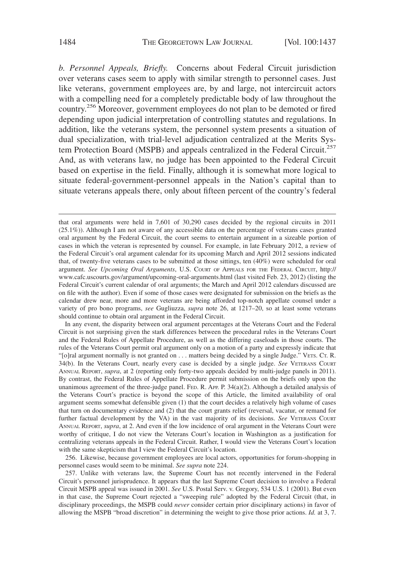*b. Personnel Appeals, Briefly.* Concerns about Federal Circuit jurisdiction over veterans cases seem to apply with similar strength to personnel cases. Just like veterans, government employees are, by and large, not intercircuit actors with a compelling need for a completely predictable body of law throughout the country.256 Moreover, government employees do not plan to be demoted or fired depending upon judicial interpretation of controlling statutes and regulations. In addition, like the veterans system, the personnel system presents a situation of dual specialization, with trial-level adjudication centralized at the Merits System Protection Board (MSPB) and appeals centralized in the Federal Circuit.<sup>257</sup> And, as with veterans law, no judge has been appointed to the Federal Circuit based on expertise in the field. Finally, although it is somewhat more logical to situate federal-government-personnel appeals in the Nation's capital than to situate veterans appeals there, only about fifteen percent of the country's federal

In any event, the disparity between oral argument percentages at the Veterans Court and the Federal Circuit is not surprising given the stark differences between the procedural rules in the Veterans Court and the Federal Rules of Appellate Procedure, as well as the differing caseloads in those courts. The rules of the Veterans Court permit oral argument only on a motion of a party and expressly indicate that "[o]ral argument normally is not granted on . . . matters being decided by a single Judge." VETS. CT. R. 34(b). In the Veterans Court, nearly every case is decided by a single judge. See VETERANS COURT ANNUAL REPORT, *supra*, at 2 (reporting only forty-two appeals decided by multi-judge panels in 2011). By contrast, the Federal Rules of Appellate Procedure permit submission on the briefs only upon the unanimous agreement of the three-judge panel. FED. R. APP. P. 34(a)(2). Although a detailed analysis of the Veterans Court's practice is beyond the scope of this Article, the limited availability of oral argument seems somewhat defensible given (1) that the court decides a relatively high volume of cases that turn on documentary evidence and (2) that the court grants relief (reversal, vacatur, or remand for further factual development by the VA) in the vast majority of its decisions. *See* VETERANS COURT ANNUAL REPORT, *supra*, at 2. And even if the low incidence of oral argument in the Veterans Court were worthy of critique, I do not view the Veterans Court's location in Washington as a justification for centralizing veterans appeals in the Federal Circuit. Rather, I would view the Veterans Court's location with the same skepticism that I view the Federal Circuit's location.

256. Likewise, because government employees are local actors, opportunities for forum-shopping in personnel cases would seem to be minimal. *See supra* note 224.

257. Unlike with veterans law, the Supreme Court has not recently intervened in the Federal Circuit's personnel jurisprudence. It appears that the last Supreme Court decision to involve a Federal Circuit MSPB appeal was issued in 2001. *See* U.S. Postal Serv. v. Gregory, 534 U.S. 1 (2001). But even in that case, the Supreme Court rejected a "sweeping rule" adopted by the Federal Circuit (that, in disciplinary proceedings, the MSPB could *never* consider certain prior disciplinary actions) in favor of allowing the MSPB "broad discretion" in determining the weight to give those prior actions. *Id.* at 3, 7.

that oral arguments were held in 7,601 of 30,290 cases decided by the regional circuits in 2011 (25.1%)). Although I am not aware of any accessible data on the percentage of veterans cases granted oral argument by the Federal Circuit, the court seems to entertain argument in a sizeable portion of cases in which the veteran is represented by counsel. For example, in late February 2012, a review of the Federal Circuit's oral argument calendar for its upcoming March and April 2012 sessions indicated that, of twenty-five veterans cases to be submitted at those sittings, ten (40%) were scheduled for oral argument. *See Upcoming Oral Arguments*, U.S. COURT OF APPEALS FOR THE FEDERAL CIRCUIT, http:// www.cafc.uscourts.gov/argument/upcoming-oral-arguments.html (last visited Feb. 23, 2012) (listing the Federal Circuit's current calendar of oral arguments; the March and April 2012 calendars discussed are on file with the author). Even if some of those cases were designated for submission on the briefs as the calendar drew near, more and more veterans are being afforded top-notch appellate counsel under a variety of pro bono programs, *see* Gugliuzza, *supra* note 26, at 1217–20, so at least some veterans should continue to obtain oral argument in the Federal Circuit.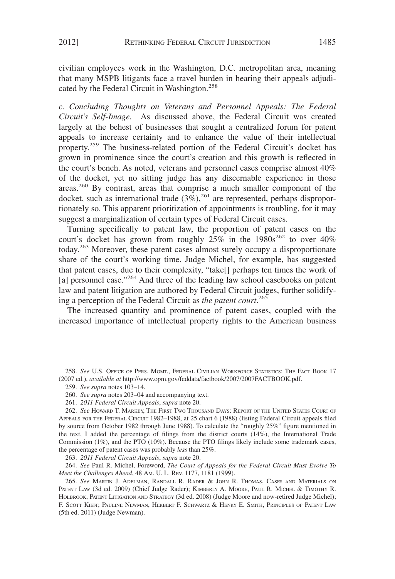civilian employees work in the Washington, D.C. metropolitan area, meaning that many MSPB litigants face a travel burden in hearing their appeals adjudicated by the Federal Circuit in Washington.<sup>258</sup>

*c. Concluding Thoughts on Veterans and Personnel Appeals: The Federal Circuit's Self-Image.* As discussed above, the Federal Circuit was created largely at the behest of businesses that sought a centralized forum for patent appeals to increase certainty and to enhance the value of their intellectual property.<sup>259</sup> The business-related portion of the Federal Circuit's docket has grown in prominence since the court's creation and this growth is reflected in the court's bench. As noted, veterans and personnel cases comprise almost 40% of the docket, yet no sitting judge has any discernable experience in those areas.<sup>260</sup> By contrast, areas that comprise a much smaller component of the docket, such as international trade  $(3\%),^{261}$  are represented, perhaps disproportionately so. This apparent prioritization of appointments is troubling, for it may suggest a marginalization of certain types of Federal Circuit cases.

Turning specifically to patent law, the proportion of patent cases on the court's docket has grown from roughly  $25\%$  in the  $1980s^{262}$  to over  $40\%$ today.263 Moreover, these patent cases almost surely occupy a disproportionate share of the court's working time. Judge Michel, for example, has suggested that patent cases, due to their complexity, "take[] perhaps ten times the work of [a] personnel case."<sup>264</sup> And three of the leading law school casebooks on patent law and patent litigation are authored by Federal Circuit judges, further solidifying a perception of the Federal Circuit as *the patent court*. 265

The increased quantity and prominence of patent cases, coupled with the increased importance of intellectual property rights to the American business

263. *2011 Federal Circuit Appeals*, *supra* note 20.

264. *See* Paul R. Michel, Foreword, *The Court of Appeals for the Federal Circuit Must Evolve To Meet the Challenges Ahead*, 48 AM. U. L. REV. 1177, 1181 (1999).

<sup>258.</sup> *See* U.S. OFFICE OF PERS. MGMT., FEDERAL CIVILIAN WORKFORCE STATISTICS: THE FACT BOOK 17 (2007 ed.), *available at* http://www.opm.gov/feddata/factbook/2007/2007FACTBOOK.pdf.

<sup>259.</sup> *See supra* notes 103–14.

<sup>260.</sup> *See supra* notes 203–04 and accompanying text.

<sup>261.</sup> *2011 Federal Circuit Appeals*, *supra* note 20.

<sup>262.</sup> *See* HOWARD T. MARKEY, THE FIRST TWO THOUSAND DAYS: REPORT OF THE UNITED STATES COURT OF APPEALS FOR THE FEDERAL CIRCUIT 1982–1988, at 25 chart 6 (1988) (listing Federal Circuit appeals filed by source from October 1982 through June 1988). To calculate the "roughly 25%" figure mentioned in the text, I added the percentage of filings from the district courts (14%), the International Trade Commission (1%), and the PTO (10%). Because the PTO filings likely include some trademark cases, the percentage of patent cases was probably *less* than 25%.

<sup>265.</sup> *See* MARTIN J. ADELMAN, RANDALL R. RADER & JOHN R. THOMAS, CASES AND MATERIALS ON PATENT LAW (3d ed. 2009) (Chief Judge Rader); KIMBERLY A. MOORE, PAUL R. MICHEL & TIMOTHY R. HOLBROOK, PATENT LITIGATION AND STRATEGY (3d ed. 2008) (Judge Moore and now-retired Judge Michel); F. SCOTT KIEFF, PAULINE NEWMAN, HERBERT F. SCHWARTZ & HENRY E. SMITH, PRINCIPLES OF PATENT LAW (5th ed. 2011) (Judge Newman).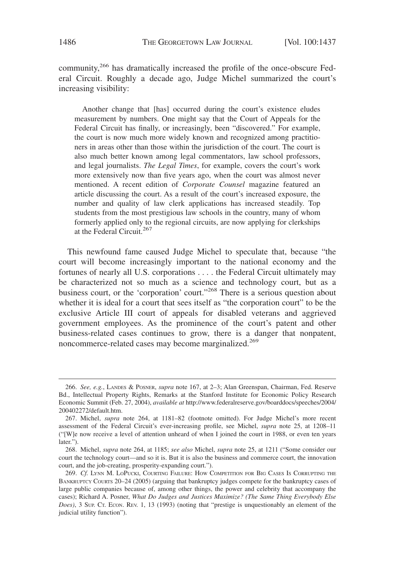community,266 has dramatically increased the profile of the once-obscure Federal Circuit. Roughly a decade ago, Judge Michel summarized the court's increasing visibility:

Another change that [has] occurred during the court's existence eludes measurement by numbers. One might say that the Court of Appeals for the Federal Circuit has finally, or increasingly, been "discovered." For example, the court is now much more widely known and recognized among practitioners in areas other than those within the jurisdiction of the court. The court is also much better known among legal commentators, law school professors, and legal journalists. *The Legal Times*, for example, covers the court's work more extensively now than five years ago, when the court was almost never mentioned. A recent edition of *Corporate Counsel* magazine featured an article discussing the court. As a result of the court's increased exposure, the number and quality of law clerk applications has increased steadily. Top students from the most prestigious law schools in the country, many of whom formerly applied only to the regional circuits, are now applying for clerkships at the Federal Circuit.<sup>267</sup>

This newfound fame caused Judge Michel to speculate that, because "the court will become increasingly important to the national economy and the fortunes of nearly all U.S. corporations . . . . the Federal Circuit ultimately may be characterized not so much as a science and technology court, but as a business court, or the 'corporation' court."<sup>268</sup> There is a serious question about whether it is ideal for a court that sees itself as "the corporation court" to be the exclusive Article III court of appeals for disabled veterans and aggrieved government employees. As the prominence of the court's patent and other business-related cases continues to grow, there is a danger that nonpatent, noncommerce-related cases may become marginalized.<sup>269</sup>

<sup>266.</sup> *See, e.g.*, LANDES & POSNER, *supra* note 167, at 2–3; Alan Greenspan, Chairman, Fed. Reserve Bd., Intellectual Property Rights, Remarks at the Stanford Institute for Economic Policy Research Economic Summit (Feb. 27, 2004), *available at* http://www.federalreserve.gov/boarddocs/speeches/2004/ 200402272/default.htm.

<sup>267.</sup> Michel, *supra* note 264, at 1181–82 (footnote omitted). For Judge Michel's more recent assessment of the Federal Circuit's ever-increasing profile, see Michel, *supra* note 25, at 1208–11 ("[W]e now receive a level of attention unheard of when I joined the court in 1988, or even ten years later.").

<sup>268.</sup> Michel, *supra* note 264, at 1185; *see also* Michel, *supra* note 25, at 1211 ("Some consider our court the technology court—and so it is. But it is also the business and commerce court, the innovation court, and the job-creating, prosperity-expanding court.").

<sup>269.</sup> *Cf.* LYNN M. LOPUCKI, COURTING FAILURE: HOW COMPETITION FOR BIG CASES IS CORRUPTING THE BANKRUPTCY COURTS 20-24 (2005) (arguing that bankruptcy judges compete for the bankruptcy cases of large public companies because of, among other things, the power and celebrity that accompany the cases); Richard A. Posner, *What Do Judges and Justices Maximize? (The Same Thing Everybody Else Does*), 3 SUP. CT. ECON. REV. 1, 13 (1993) (noting that "prestige is unquestionably an element of the judicial utility function").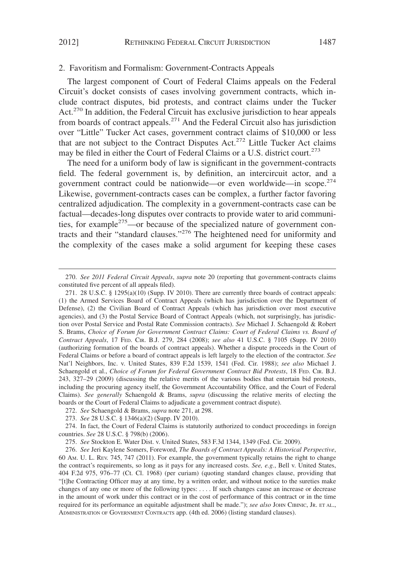#### 2. Favoritism and Formalism: Government-Contracts Appeals

The largest component of Court of Federal Claims appeals on the Federal Circuit's docket consists of cases involving government contracts, which include contract disputes, bid protests, and contract claims under the Tucker Act.<sup>270</sup> In addition, the Federal Circuit has exclusive jurisdiction to hear appeals from boards of contract appeals.<sup>271</sup> And the Federal Circuit also has jurisdiction over "Little" Tucker Act cases, government contract claims of \$10,000 or less that are not subject to the Contract Disputes Act.<sup>272</sup> Little Tucker Act claims may be filed in either the Court of Federal Claims or a U.S. district court.<sup>273</sup>

The need for a uniform body of law is significant in the government-contracts field. The federal government is, by definition, an intercircuit actor, and a government contract could be nationwide—or even worldwide—in scope.<sup>274</sup> Likewise, government-contracts cases can be complex, a further factor favoring centralized adjudication. The complexity in a government-contracts case can be factual—decades-long disputes over contracts to provide water to arid communities, for example<sup>275</sup>—or because of the specialized nature of government contracts and their "standard clauses."276 The heightened need for uniformity and the complexity of the cases make a solid argument for keeping these cases

274. In fact, the Court of Federal Claims is statutorily authorized to conduct proceedings in foreign countries. *See* 28 U.S.C. § 798(b) (2006).

275. *See* Stockton E. Water Dist. v. United States, 583 F.3d 1344, 1349 (Fed. Cir. 2009).

<sup>270.</sup> *See 2011 Federal Circuit Appeals*, *supra* note 20 (reporting that government-contracts claims constituted five percent of all appeals filed).

<sup>271. 28</sup> U.S.C. § 1295(a)(10) (Supp. IV 2010). There are currently three boards of contract appeals: (1) the Armed Services Board of Contract Appeals (which has jurisdiction over the Department of Defense), (2) the Civilian Board of Contract Appeals (which has jurisdiction over most executive agencies), and (3) the Postal Service Board of Contract Appeals (which, not surprisingly, has jurisdiction over Postal Service and Postal Rate Commission contracts). *See* Michael J. Schaengold & Robert S. Brams, *Choice of Forum for Government Contract Claims: Court of Federal Claims vs. Board of Contract Appeals*, 17 FED. CIR. B.J. 279, 284 (2008); *see also* 41 U.S.C. § 7105 (Supp. IV 2010) (authorizing formation of the boards of contract appeals). Whether a dispute proceeds in the Court of Federal Claims or before a board of contract appeals is left largely to the election of the contractor. *See* Nat'l Neighbors, Inc. v. United States, 839 F.2d 1539, 1541 (Fed. Cir. 1988); *see also* Michael J. Schaengold et al., *Choice of Forum for Federal Government Contract Bid Protests*, 18 FED. CIR. B.J. 243, 327–29 (2009) (discussing the relative merits of the various bodies that entertain bid protests, including the procuring agency itself, the Government Accountability Office, and the Court of Federal Claims). *See generally* Schaengold & Brams, *supra* (discussing the relative merits of electing the boards or the Court of Federal Claims to adjudicate a government contract dispute).

<sup>272.</sup> *See* Schaengold & Brams, *supra* note 271, at 298.

<sup>273.</sup> *See* 28 U.S.C. § 1346(a)(2) (Supp. IV 2010).

<sup>276.</sup> *See* Jeri Kaylene Somers, Foreword, *The Boards of Contract Appeals: A Historical Perspective*, 60 AM. U. L. REV. 745, 747 (2011). For example, the government typically retains the right to change the contract's requirements, so long as it pays for any increased costs. *See, e.g.*, Bell v. United States, 404 F.2d 975, 976–77 (Ct. Cl. 1968) (per curiam) (quoting standard changes clause, providing that "[t]he Contracting Officer may at any time, by a written order, and without notice to the sureties make changes of any one or more of the following types: . . . . If such changes cause an increase or decrease in the amount of work under this contract or in the cost of performance of this contract or in the time required for its performance an equitable adjustment shall be made."); *see also* JOHN CIBINIC, JR. ET AL., ADMINISTRATION OF GOVERNMENT CONTRACTS app. (4th ed. 2006) (listing standard clauses).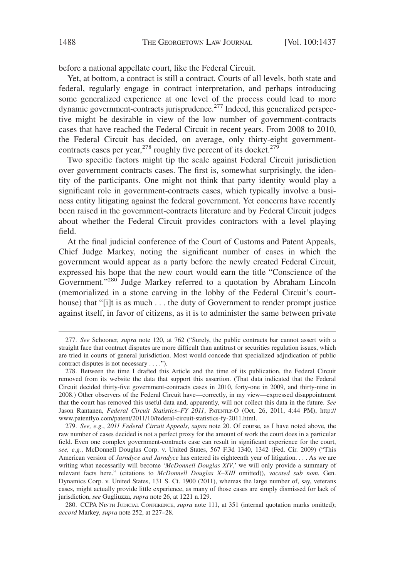before a national appellate court, like the Federal Circuit.

Yet, at bottom, a contract is still a contract. Courts of all levels, both state and federal, regularly engage in contract interpretation, and perhaps introducing some generalized experience at one level of the process could lead to more dynamic government-contracts jurisprudence.<sup>277</sup> Indeed, this generalized perspective might be desirable in view of the low number of government-contracts cases that have reached the Federal Circuit in recent years. From 2008 to 2010, the Federal Circuit has decided, on average, only thirty-eight governmentcontracts cases per year,<sup>278</sup> roughly five percent of its docket.<sup>279</sup>

Two specific factors might tip the scale against Federal Circuit jurisdiction over government contracts cases. The first is, somewhat surprisingly, the identity of the participants. One might not think that party identity would play a significant role in government-contracts cases, which typically involve a business entity litigating against the federal government. Yet concerns have recently been raised in the government-contracts literature and by Federal Circuit judges about whether the Federal Circuit provides contractors with a level playing field.

At the final judicial conference of the Court of Customs and Patent Appeals, Chief Judge Markey, noting the significant number of cases in which the government would appear as a party before the newly created Federal Circuit, expressed his hope that the new court would earn the title "Conscience of the Government."<sup>280</sup> Judge Markey referred to a quotation by Abraham Lincoln (memorialized in a stone carving in the lobby of the Federal Circuit's courthouse) that "[i]t is as much . . . the duty of Government to render prompt justice against itself, in favor of citizens, as it is to administer the same between private

279. *See, e.g.*, *2011 Federal Circuit Appeals*, *supra* note 20. Of course, as I have noted above, the raw number of cases decided is not a perfect proxy for the amount of work the court does in a particular field. Even one complex government-contracts case can result in significant experience for the court, *see, e.g.*, McDonnell Douglas Corp. v. United States, 567 F.3d 1340, 1342 (Fed. Cir. 2009) ("This American version of *Jarndyce and Jarndyce* has entered its eighteenth year of litigation. . . . As we are writing what necessarily will become '*McDonnell Douglas XIV*,' we will only provide a summary of relevant facts here." (citations to *McDonnell Douglas X–XIII* omitted)), *vacated sub nom.* Gen. Dynamics Corp. v. United States, 131 S. Ct. 1900 (2011), whereas the large number of, say, veterans cases, might actually provide little experience, as many of those cases are simply dismissed for lack of jurisdiction, *see* Gugliuzza, *supra* note 26, at 1221 n.129.

280. CCPA NINTH JUDICIAL CONFERENCE, *supra* note 111, at 351 (internal quotation marks omitted); *accord* Markey, *supra* note 252, at 227–28.

<sup>277.</sup> *See* Schooner, *supra* note 120, at 762 ("Surely, the public contracts bar cannot assert with a straight face that contract disputes are more difficult than antitrust or securities regulation issues, which are tried in courts of general jurisdiction. Most would concede that specialized adjudication of public contract disputes is not necessary . . . .").

<sup>278.</sup> Between the time I drafted this Article and the time of its publication, the Federal Circuit removed from its website the data that support this assertion. (That data indicated that the Federal Circuit decided thirty-five government-contracts cases in 2010, forty-one in 2009, and thirty-nine in 2008.) Other observers of the Federal Circuit have—correctly, in my view—expressed disappointment that the court has removed this useful data and, apparently, will not collect this data in the future. *See* Jason Rantanen, *Federal Circuit Statistics–FY 2011*, PATENTLY-O (Oct. 26, 2011, 4:44 PM), http:// www.patentlyo.com/patent/2011/10/federal-circuit-statistics-fy-2011.html.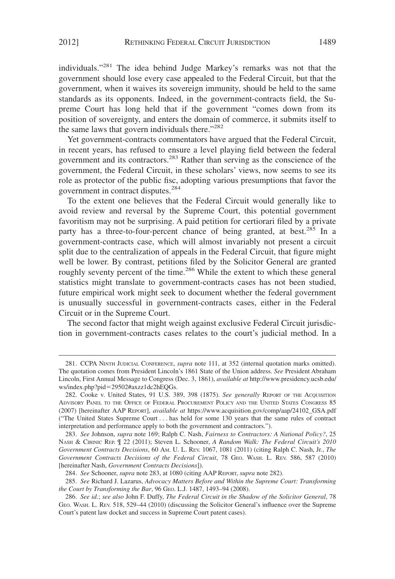individuals."<sup>281</sup> The idea behind Judge Markey's remarks was not that the government should lose every case appealed to the Federal Circuit, but that the government, when it waives its sovereign immunity, should be held to the same standards as its opponents. Indeed, in the government-contracts field, the Supreme Court has long held that if the government "comes down from its position of sovereignty, and enters the domain of commerce, it submits itself to the same laws that govern individuals there."<sup>282</sup>

Yet government-contracts commentators have argued that the Federal Circuit, in recent years, has refused to ensure a level playing field between the federal government and its contractors.283 Rather than serving as the conscience of the government, the Federal Circuit, in these scholars' views, now seems to see its role as protector of the public fisc, adopting various presumptions that favor the government in contract disputes.<sup>284</sup>

To the extent one believes that the Federal Circuit would generally like to avoid review and reversal by the Supreme Court, this potential government favoritism may not be surprising. A paid petition for certiorari filed by a private party has a three-to-four-percent chance of being granted, at best.<sup>285</sup> In a government-contracts case, which will almost invariably not present a circuit split due to the centralization of appeals in the Federal Circuit, that figure might well be lower. By contrast, petitions filed by the Solicitor General are granted roughly seventy percent of the time.<sup>286</sup> While the extent to which these general statistics might translate to government-contracts cases has not been studied, future empirical work might seek to document whether the federal government is unusually successful in government-contracts cases, either in the Federal Circuit or in the Supreme Court.

The second factor that might weigh against exclusive Federal Circuit jurisdiction in government-contracts cases relates to the court's judicial method. In a

<sup>281.</sup> CCPA NINTH JUDICIAL CONFERENCE, *supra* note 111, at 352 (internal quotation marks omitted). The quotation comes from President Lincoln's 1861 State of the Union address. *See* President Abraham Lincoln, First Annual Message to Congress (Dec. 3, 1861), *available at* http://www.presidency.ucsb.edu/ ws/index.php?pid=29502#axzz1dc2hEQGs.

<sup>282.</sup> Cooke v. United States, 91 U.S. 389, 398 (1875). *See generally* REPORT OF THE ACQUISITION ADVISORY PANEL TO THE OFFICE OF FEDERAL PROCUREMENT POLICY AND THE UNITED STATES CONGRESS 85 (2007) [hereinafter AAP REPORT], *available at* https://www.acquisition.gov/comp/aap/24102\_GSA.pdf ("The United States Supreme Court . . . has held for some 130 years that the same rules of contract interpretation and performance apply to both the government and contractors.").

<sup>283.</sup> *See* Johnson, *supra* note 169; Ralph C. Nash, *Fairness to Contractors: A National Policy?*, 25 NASH & CIBINIC REP. ¶ 22 (2011); Steven L. Schooner, *A Random Walk: The Federal Circuit's 2010 Government Contracts Decisions*, 60 AM. U. L. REV. 1067, 1081 (2011) (citing Ralph C. Nash, Jr., *The Government Contracts Decisions of the Federal Circuit*, 78 GEO. WASH. L. REV. 586, 587 (2010) [hereinafter Nash, *Government Contracts Decisions*]).

<sup>284.</sup> *See* Schooner, *supra* note 283, at 1080 (citing AAP REPORT, *supra* note 282).

<sup>285.</sup> *See* Richard J. Lazarus, *Advocacy Matters Before and Within the Supreme Court: Transforming the Court by Transforming the Bar*, 96 GEO. L.J. 1487, 1493–94 (2008).

<sup>286.</sup> *See id.*; *see also* John F. Duffy, *The Federal Circuit in the Shadow of the Solicitor General*, 78 GEO. WASH. L. REV. 518, 529–44 (2010) (discussing the Solicitor General's influence over the Supreme Court's patent law docket and success in Supreme Court patent cases).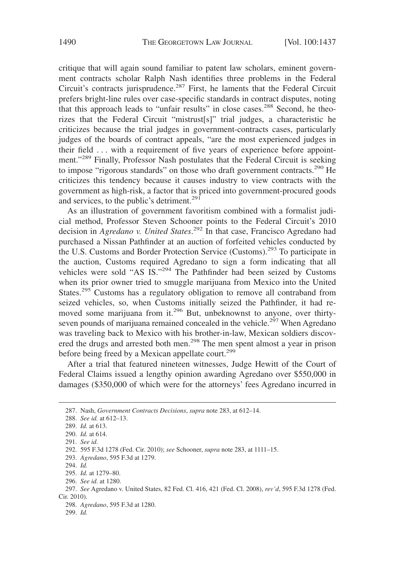critique that will again sound familiar to patent law scholars, eminent government contracts scholar Ralph Nash identifies three problems in the Federal Circuit's contracts jurisprudence.<sup>287</sup> First, he laments that the Federal Circuit prefers bright-line rules over case-specific standards in contract disputes, noting that this approach leads to "unfair results" in close cases.<sup>288</sup> Second, he theorizes that the Federal Circuit "mistrust[s]" trial judges, a characteristic he criticizes because the trial judges in government-contracts cases, particularly judges of the boards of contract appeals, "are the most experienced judges in their field . . . with a requirement of five years of experience before appointment."<sup>289</sup> Finally, Professor Nash postulates that the Federal Circuit is seeking to impose "rigorous standards" on those who draft government contracts.<sup>290</sup> He criticizes this tendency because it causes industry to view contracts with the government as high-risk, a factor that is priced into government-procured goods and services, to the public's detriment.<sup>291</sup>

As an illustration of government favoritism combined with a formalist judicial method, Professor Steven Schooner points to the Federal Circuit's 2010 decision in *Agredano v. United States*. <sup>292</sup> In that case, Francisco Agredano had purchased a Nissan Pathfinder at an auction of forfeited vehicles conducted by the U.S. Customs and Border Protection Service (Customs).<sup>293</sup> To participate in the auction, Customs required Agredano to sign a form indicating that all vehicles were sold "AS IS."294 The Pathfinder had been seized by Customs when its prior owner tried to smuggle marijuana from Mexico into the United States.<sup>295</sup> Customs has a regulatory obligation to remove all contraband from seized vehicles, so, when Customs initially seized the Pathfinder, it had removed some marijuana from it.<sup>296</sup> But, unbeknownst to anyone, over thirtyseven pounds of marijuana remained concealed in the vehicle.<sup>297</sup> When Agredano was traveling back to Mexico with his brother-in-law, Mexican soldiers discovered the drugs and arrested both men.<sup>298</sup> The men spent almost a year in prison before being freed by a Mexican appellate court.<sup>299</sup>

After a trial that featured nineteen witnesses, Judge Hewitt of the Court of Federal Claims issued a lengthy opinion awarding Agredano over \$550,000 in damages (\$350,000 of which were for the attorneys' fees Agredano incurred in

<sup>287.</sup> Nash, *Government Contracts Decisions*, *supra* note 283, at 612–14.

<sup>288.</sup> *See id.* at 612–13.

<sup>289.</sup> *Id.* at 613.

<sup>290.</sup> *Id.* at 614.

<sup>291.</sup> *See id.*

<sup>292. 595</sup> F.3d 1278 (Fed. Cir. 2010); *see* Schooner, *supra* note 283, at 1111–15.

<sup>293.</sup> *Agredano*, 595 F.3d at 1279.

<sup>294.</sup> *Id.*

<sup>295.</sup> *Id.* at 1279–80.

<sup>296.</sup> *See id.* at 1280.

<sup>297.</sup> *See* Agredano v. United States, 82 Fed. Cl. 416, 421 (Fed. Cl. 2008), *rev'd*, 595 F.3d 1278 (Fed. Cir. 2010).

<sup>298.</sup> *Agredano*, 595 F.3d at 1280.

<sup>299.</sup> *Id.*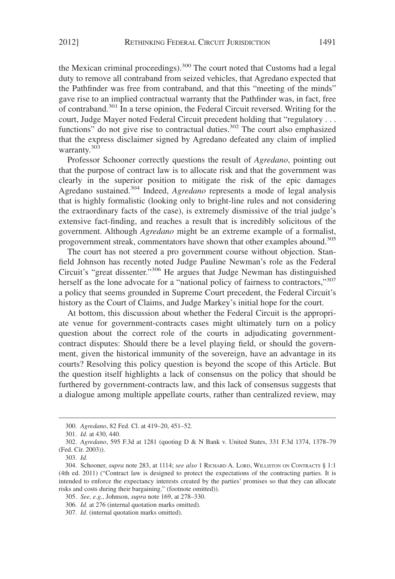the Mexican criminal proceedings).<sup>300</sup> The court noted that Customs had a legal duty to remove all contraband from seized vehicles, that Agredano expected that the Pathfinder was free from contraband, and that this "meeting of the minds" gave rise to an implied contractual warranty that the Pathfinder was, in fact, free of contraband.<sup>301</sup> In a terse opinion, the Federal Circuit reversed. Writing for the court, Judge Mayer noted Federal Circuit precedent holding that "regulatory . . . functions" do not give rise to contractual duties.<sup>302</sup> The court also emphasized that the express disclaimer signed by Agredano defeated any claim of implied warranty.<sup>303</sup>

Professor Schooner correctly questions the result of *Agredano*, pointing out that the purpose of contract law is to allocate risk and that the government was clearly in the superior position to mitigate the risk of the epic damages Agredano sustained.<sup>304</sup> Indeed, *Agredano* represents a mode of legal analysis that is highly formalistic (looking only to bright-line rules and not considering the extraordinary facts of the case), is extremely dismissive of the trial judge's extensive fact-finding, and reaches a result that is incredibly solicitous of the government. Although *Agredano* might be an extreme example of a formalist, progovernment streak, commentators have shown that other examples abound.<sup>305</sup>

The court has not steered a pro government course without objection. Stanfield Johnson has recently noted Judge Pauline Newman's role as the Federal Circuit's "great dissenter."<sup>306</sup> He argues that Judge Newman has distinguished herself as the lone advocate for a "national policy of fairness to contractors,"<sup>307</sup> a policy that seems grounded in Supreme Court precedent, the Federal Circuit's history as the Court of Claims, and Judge Markey's initial hope for the court.

At bottom, this discussion about whether the Federal Circuit is the appropriate venue for government-contracts cases might ultimately turn on a policy question about the correct role of the courts in adjudicating governmentcontract disputes: Should there be a level playing field, or should the government, given the historical immunity of the sovereign, have an advantage in its courts? Resolving this policy question is beyond the scope of this Article. But the question itself highlights a lack of consensus on the policy that should be furthered by government-contracts law, and this lack of consensus suggests that a dialogue among multiple appellate courts, rather than centralized review, may

<sup>300.</sup> *Agredano*, 82 Fed. Cl. at 419–20, 451–52.

<sup>301.</sup> *Id.* at 430, 440.

<sup>302.</sup> *Agredano*, 595 F.3d at 1281 (quotingD&N Bank v. United States, 331 F.3d 1374, 1378–79 (Fed. Cir. 2003)).

<sup>303.</sup> *Id.*

<sup>304.</sup> Schooner, *supra* note 283, at 1114; *see also* 1 RICHARD A. LORD, WILLISTON ON CONTRACTS § 1:1 (4th ed. 2011) ("Contract law is designed to protect the expectations of the contracting parties. It is intended to enforce the expectancy interests created by the parties' promises so that they can allocate risks and costs during their bargaining." (footnote omitted)).

<sup>305.</sup> *See, e.g.*, Johnson, *supra* note 169, at 278–330.

<sup>306.</sup> *Id.* at 276 (internal quotation marks omitted).

<sup>307.</sup> *Id*. (internal quotation marks omitted).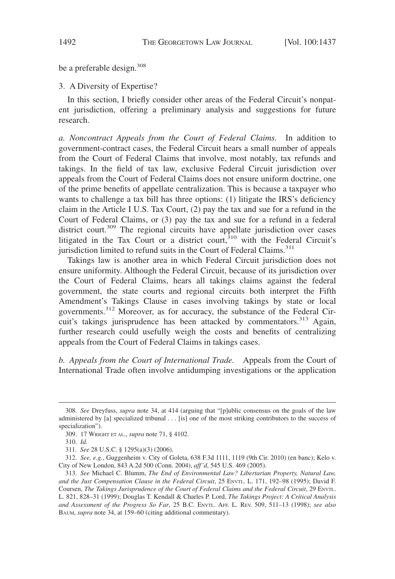be a preferable design.<sup>308</sup>

3. A Diversity of Expertise?

In this section, I briefly consider other areas of the Federal Circuit's nonpatent jurisdiction, offering a preliminary analysis and suggestions for future research.

*a. Noncontract Appeals from the Court of Federal Claims.* In addition to government-contract cases, the Federal Circuit hears a small number of appeals from the Court of Federal Claims that involve, most notably, tax refunds and takings. In the field of tax law, exclusive Federal Circuit jurisdiction over appeals from the Court of Federal Claims does not ensure uniform doctrine, one of the prime benefits of appellate centralization. This is because a taxpayer who wants to challenge a tax bill has three options: (1) litigate the IRS's deficiency claim in the Article I U.S. Tax Court, (2) pay the tax and sue for a refund in the Court of Federal Claims, or (3) pay the tax and sue for a refund in a federal district court.<sup>309</sup> The regional circuits have appellate jurisdiction over cases litigated in the Tax Court or a district court, $310$  with the Federal Circuit's jurisdiction limited to refund suits in the Court of Federal Claims.<sup>311</sup>

Takings law is another area in which Federal Circuit jurisdiction does not ensure uniformity. Although the Federal Circuit, because of its jurisdiction over the Court of Federal Claims, hears all takings claims against the federal government, the state courts and regional circuits both interpret the Fifth Amendment's Takings Clause in cases involving takings by state or local governments.<sup>312</sup> Moreover, as for accuracy, the substance of the Federal Circuit's takings jurisprudence has been attacked by commentators.<sup>313</sup> Again, further research could usefully weigh the costs and benefits of centralizing appeals from the Court of Federal Claims in takings cases.

*b. Appeals from the Court of International Trade.* Appeals from the Court of International Trade often involve antidumping investigations or the application

<sup>308.</sup> *See* Dreyfuss, *supra* note 34, at 414 (arguing that "[p]ublic consensus on the goals of the law administered by [a] specialized tribunal . . . [is] one of the most striking contributors to the success of specialization").

<sup>309. 17</sup> WRIGHT ET AL., *supra* note 71, § 4102.

<sup>310.</sup> *Id.*

<sup>311.</sup> *See* 28 U.S.C. § 1295(a)(3) (2006).

<sup>312.</sup> *See, e.g.*, Guggenheim v. City of Goleta, 638 F.3d 1111, 1119 (9th Cir. 2010) (en banc); Kelo v. City of New London, 843 A.2d 500 (Conn. 2004), *aff'd*, 545 U.S. 469 (2005).

<sup>313.</sup> *See* Michael C. Blumm, *The End of Environmental Law? Libertarian Property, Natural Law, and the Just Compensation Clause in the Federal Circuit*, 25 ENVTL. L. 171, 192–98 (1995); David F. Coursen, *The Takings Jurisprudence of the Court of Federal Claims and the Federal Circuit*, 29 ENVTL. L. 821, 828–31 (1999); Douglas T. Kendall & Charles P. Lord, *The Takings Project: A Critical Analysis and Assessment of the Progress So Far*, 25 B.C. ENVTL. AFF. L. REV. 509, 511–13 (1998); *see also* BAUM, *supra* note 34, at 159–60 (citing additional commentary).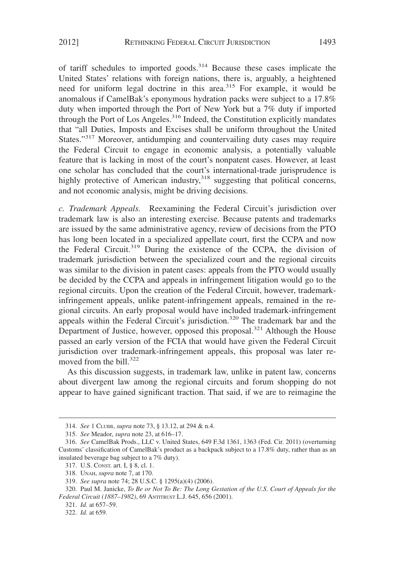of tariff schedules to imported goods.<sup>314</sup> Because these cases implicate the United States' relations with foreign nations, there is, arguably, a heightened need for uniform legal doctrine in this area.<sup>315</sup> For example, it would be anomalous if CamelBak's eponymous hydration packs were subject to a 17.8% duty when imported through the Port of New York but a 7% duty if imported through the Port of Los Angeles. $316$  Indeed, the Constitution explicitly mandates that "all Duties, Imposts and Excises shall be uniform throughout the United States."<sup>317</sup> Moreover, antidumping and countervailing duty cases may require the Federal Circuit to engage in economic analysis, a potentially valuable feature that is lacking in most of the court's nonpatent cases. However, at least one scholar has concluded that the court's international-trade jurisprudence is highly protective of American industry, $318$  suggesting that political concerns, and not economic analysis, might be driving decisions.

*c. Trademark Appeals.* Reexamining the Federal Circuit's jurisdiction over trademark law is also an interesting exercise. Because patents and trademarks are issued by the same administrative agency, review of decisions from the PTO has long been located in a specialized appellate court, first the CCPA and now the Federal Circuit.<sup>319</sup> During the existence of the CCPA, the division of trademark jurisdiction between the specialized court and the regional circuits was similar to the division in patent cases: appeals from the PTO would usually be decided by the CCPA and appeals in infringement litigation would go to the regional circuits. Upon the creation of the Federal Circuit, however, trademarkinfringement appeals, unlike patent-infringement appeals, remained in the regional circuits. An early proposal would have included trademark-infringement appeals within the Federal Circuit's jurisdiction.<sup>320</sup> The trademark bar and the Department of Justice, however, opposed this proposal.<sup>321</sup> Although the House passed an early version of the FCIA that would have given the Federal Circuit jurisdiction over trademark-infringement appeals, this proposal was later removed from the bill. $322$ 

As this discussion suggests, in trademark law, unlike in patent law, concerns about divergent law among the regional circuits and forum shopping do not appear to have gained significant traction. That said, if we are to reimagine the

<sup>314.</sup> *See* 1 CLUBB, *supra* note 73, § 13.12, at 294 & n.4.

<sup>315.</sup> *See* Meador, *supra* note 23, at 616–17.

<sup>316.</sup> *See* CamelBak Prods., LLC v. United States, 649 F.3d 1361, 1363 (Fed. Cir. 2011) (overturning Customs' classification of CamelBak's product as a backpack subject to a 17.8% duty, rather than as an insulated beverage bag subject to a 7% duty).

<sup>317.</sup> U.S. CONST. art. I, § 8, cl. 1.

<sup>318.</sup> UNAH, *supra* note 7, at 170.

<sup>319.</sup> *See supra* note 74; 28 U.S.C. § 1295(a)(4) (2006).

<sup>320.</sup> Paul M. Janicke, *To Be or Not To Be: The Long Gestation of the U.S. Court of Appeals for the Federal Circuit (1887–1982)*, 69 ANTITRUST L.J. 645, 656 (2001).

<sup>321.</sup> *Id.* at 657–59.

<sup>322.</sup> *Id.* at 659.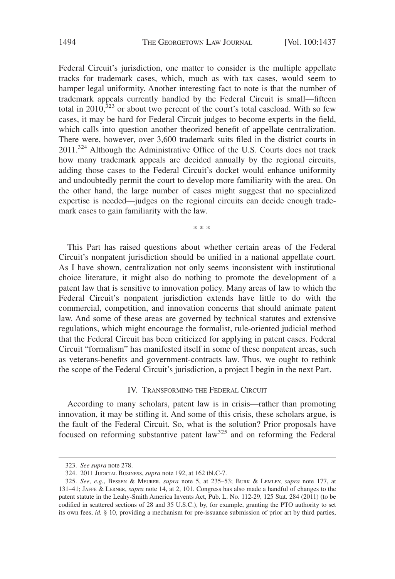Federal Circuit's jurisdiction, one matter to consider is the multiple appellate tracks for trademark cases, which, much as with tax cases, would seem to hamper legal uniformity. Another interesting fact to note is that the number of trademark appeals currently handled by the Federal Circuit is small—fifteen total in 2010, $^{323}$  or about two percent of the court's total caseload. With so few cases, it may be hard for Federal Circuit judges to become experts in the field, which calls into question another theorized benefit of appellate centralization. There were, however, over 3,600 trademark suits filed in the district courts in 2011.<sup>324</sup> Although the Administrative Office of the U.S. Courts does not track how many trademark appeals are decided annually by the regional circuits, adding those cases to the Federal Circuit's docket would enhance uniformity and undoubtedly permit the court to develop more familiarity with the area. On the other hand, the large number of cases might suggest that no specialized expertise is needed—judges on the regional circuits can decide enough trademark cases to gain familiarity with the law.

\*\*\*

This Part has raised questions about whether certain areas of the Federal Circuit's nonpatent jurisdiction should be unified in a national appellate court. As I have shown, centralization not only seems inconsistent with institutional choice literature, it might also do nothing to promote the development of a patent law that is sensitive to innovation policy. Many areas of law to which the Federal Circuit's nonpatent jurisdiction extends have little to do with the commercial, competition, and innovation concerns that should animate patent law. And some of these areas are governed by technical statutes and extensive regulations, which might encourage the formalist, rule-oriented judicial method that the Federal Circuit has been criticized for applying in patent cases. Federal Circuit "formalism" has manifested itself in some of these nonpatent areas, such as veterans-benefits and government-contracts law. Thus, we ought to rethink the scope of the Federal Circuit's jurisdiction, a project I begin in the next Part.

#### IV. TRANSFORMING THE FEDERAL CIRCUIT

According to many scholars, patent law is in crisis—rather than promoting innovation, it may be stifling it. And some of this crisis, these scholars argue, is the fault of the Federal Circuit. So, what is the solution? Prior proposals have focused on reforming substantive patent law<sup>325</sup> and on reforming the Federal

<sup>323.</sup> *See supra* note 278.

<sup>324. 2011</sup> JUDICIAL BUSINESS, *supra* note 192, at 162 tbl.C-7.

<sup>325.</sup> *See, e.g.*, BESSEN & MEURER, *supra* note 5, at 235–53; BURK & LEMLEY, *supra* note 177, at 131–41; JAFFE & LERNER, *supra* note 14, at 2, 101. Congress has also made a handful of changes to the patent statute in the Leahy-Smith America Invents Act, Pub. L. No. 112-29, 125 Stat. 284 (2011) (to be codified in scattered sections of 28 and 35 U.S.C.), by, for example, granting the PTO authority to set its own fees, *id.* § 10, providing a mechanism for pre-issuance submission of prior art by third parties,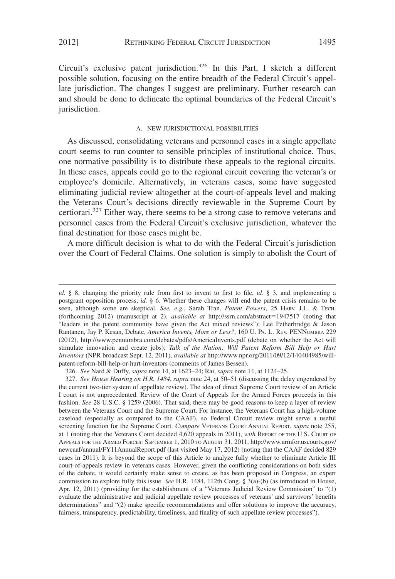Circuit's exclusive patent jurisdiction.<sup>326</sup> In this Part, I sketch a different possible solution, focusing on the entire breadth of the Federal Circuit's appellate jurisdiction. The changes I suggest are preliminary. Further research can and should be done to delineate the optimal boundaries of the Federal Circuit's jurisdiction.

#### A. NEW JURISDICTIONAL POSSIBILITIES

As discussed, consolidating veterans and personnel cases in a single appellate court seems to run counter to sensible principles of institutional choice. Thus, one normative possibility is to distribute these appeals to the regional circuits. In these cases, appeals could go to the regional circuit covering the veteran's or employee's domicile. Alternatively, in veterans cases, some have suggested eliminating judicial review altogether at the court-of-appeals level and making the Veterans Court's decisions directly reviewable in the Supreme Court by certiorari.<sup>327</sup> Either way, there seems to be a strong case to remove veterans and personnel cases from the Federal Circuit's exclusive jurisdiction, whatever the final destination for those cases might be.

A more difficult decision is what to do with the Federal Circuit's jurisdiction over the Court of Federal Claims. One solution is simply to abolish the Court of

326. *See* Nard & Duffy, *supra* note 14, at 1623–24; Rai, *supra* note 14, at 1124–25.

*id.* § 8, changing the priority rule from first to invent to first to file, *id.* § 3, and implementing a postgrant opposition process, *id.* § 6. Whether these changes will end the patent crisis remains to be seen, although some are skeptical. *See, e.g.*, Sarah Tran, *Patent Powers*, 25 HARV. J.L. & TECH. (forthcoming 2012) (manuscript at 2), *available at* http://ssrn.com/abstract=1947517 (noting that "leaders in the patent community have given the Act mixed reviews"); Lee Petherbridge & Jason Rantanen, Jay P. Kesan, Debate, *America Invents, More or Less?*, 160 U. PA. L. REV. PENNUMBRA 229 (2012), http://www.pennumbra.com/debates/pdfs/AmericaInvents.pdf (debate on whether the Act will stimulate innovation and create jobs); *Talk of the Nation: Will Patent Reform Bill Help or Hurt Inventors* (NPR broadcast Sept. 12, 2011), *available at* http://www.npr.org/2011/09/12/140404985/willpatent-reform-bill-help-or-hurt-inventors (comments of James Bessen).

<sup>327.</sup> *See House Hearing on H.R. 1484*, *supra* note 24, at 50–51 (discussing the delay engendered by the current two-tier system of appellate review). The idea of direct Supreme Court review of an Article I court is not unprecedented. Review of the Court of Appeals for the Armed Forces proceeds in this fashion. *See* 28 U.S.C. § 1259 (2006). That said, there may be good reasons to keep a layer of review between the Veterans Court and the Supreme Court. For instance, the Veterans Court has a high-volume caseload (especially as compared to the CAAF), so Federal Circuit review might serve a useful screening function for the Supreme Court. *Compare* VETERANS COURT ANNUAL REPORT, *supra* note 255, at 1 (noting that the Veterans Court decided 4,620 appeals in 2011), *with* REPORT OF THE U.S. COURT OF APPEALS FOR THE ARMED FORCES: SEPTEMBER 1, 2010 TO AUGUST 31, 2011, http://www.armfor.uscourts.gov/ newcaaf/annual/FY11AnnualReport.pdf (last visited May 17, 2012) (noting that the CAAF decided 829 cases in 2011). It is beyond the scope of this Article to analyze fully whether to eliminate Article III court-of-appeals review in veterans cases. However, given the conflicting considerations on both sides of the debate, it would certainly make sense to create, as has been proposed in Congress, an expert commission to explore fully this issue. *See* H.R. 1484, 112th Cong. § 3(a)-(b) (as introduced in House, Apr. 12, 2011) (providing for the establishment of a "Veterans Judicial Review Commission" to "(1) evaluate the administrative and judicial appellate review processes of veterans' and survivors' benefits determinations" and "(2) make specific recommendations and offer solutions to improve the accuracy, fairness, transparency, predictability, timeliness, and finality of such appellate review processes").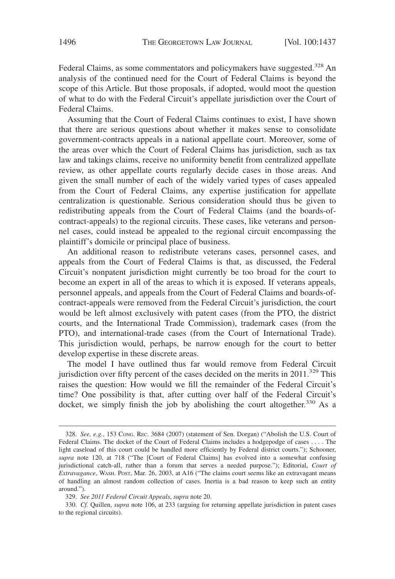Federal Claims, as some commentators and policymakers have suggested.<sup>328</sup> An analysis of the continued need for the Court of Federal Claims is beyond the scope of this Article. But those proposals, if adopted, would moot the question of what to do with the Federal Circuit's appellate jurisdiction over the Court of Federal Claims.

Assuming that the Court of Federal Claims continues to exist, I have shown that there are serious questions about whether it makes sense to consolidate government-contracts appeals in a national appellate court. Moreover, some of the areas over which the Court of Federal Claims has jurisdiction, such as tax law and takings claims, receive no uniformity benefit from centralized appellate review, as other appellate courts regularly decide cases in those areas. And given the small number of each of the widely varied types of cases appealed from the Court of Federal Claims, any expertise justification for appellate centralization is questionable. Serious consideration should thus be given to redistributing appeals from the Court of Federal Claims (and the boards-ofcontract-appeals) to the regional circuits. These cases, like veterans and personnel cases, could instead be appealed to the regional circuit encompassing the plaintiff's domicile or principal place of business.

An additional reason to redistribute veterans cases, personnel cases, and appeals from the Court of Federal Claims is that, as discussed, the Federal Circuit's nonpatent jurisdiction might currently be too broad for the court to become an expert in all of the areas to which it is exposed. If veterans appeals, personnel appeals, and appeals from the Court of Federal Claims and boards-ofcontract-appeals were removed from the Federal Circuit's jurisdiction, the court would be left almost exclusively with patent cases (from the PTO, the district courts, and the International Trade Commission), trademark cases (from the PTO), and international-trade cases (from the Court of International Trade). This jurisdiction would, perhaps, be narrow enough for the court to better develop expertise in these discrete areas.

The model I have outlined thus far would remove from Federal Circuit jurisdiction over fifty percent of the cases decided on the merits in  $2011.^{329}$  This raises the question: How would we fill the remainder of the Federal Circuit's time? One possibility is that, after cutting over half of the Federal Circuit's docket, we simply finish the job by abolishing the court altogether. $330$  As a

329. *See 2011 Federal Circuit Appeals*, *supra* note 20.

330. *Cf.* Quillen, *supra* note 106, at 233 (arguing for returning appellate jurisdiction in patent cases to the regional circuits).

<sup>328.</sup> *See, e.g.*, 153 CONG. REC. 3684 (2007) (statement of Sen. Dorgan) ("Abolish the U.S. Court of Federal Claims. The docket of the Court of Federal Claims includes a hodgepodge of cases . . . . The light caseload of this court could be handled more efficiently by Federal district courts."); Schooner, *supra* note 120, at 718 ("The [Court of Federal Claims] has evolved into a somewhat confusing jurisdictional catch-all, rather than a forum that serves a needed purpose."); Editorial, *Court of Extravagance*, WASH. POST, Mar. 26, 2003, at A16 ("The claims court seems like an extravagant means of handling an almost random collection of cases. Inertia is a bad reason to keep such an entity around.").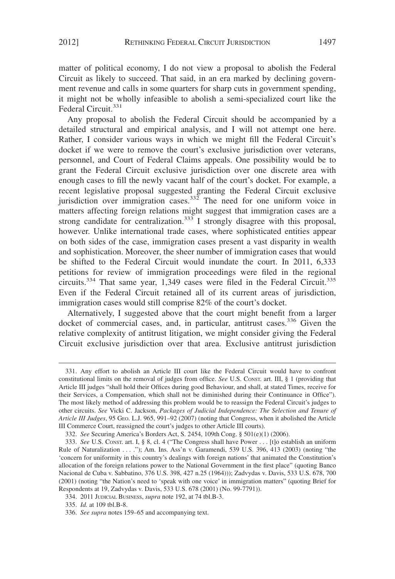matter of political economy, I do not view a proposal to abolish the Federal Circuit as likely to succeed. That said, in an era marked by declining government revenue and calls in some quarters for sharp cuts in government spending, it might not be wholly infeasible to abolish a semi-specialized court like the Federal Circuit.<sup>331</sup>

Any proposal to abolish the Federal Circuit should be accompanied by a detailed structural and empirical analysis, and I will not attempt one here. Rather, I consider various ways in which we might fill the Federal Circuit's docket if we were to remove the court's exclusive jurisdiction over veterans, personnel, and Court of Federal Claims appeals. One possibility would be to grant the Federal Circuit exclusive jurisdiction over one discrete area with enough cases to fill the newly vacant half of the court's docket. For example, a recent legislative proposal suggested granting the Federal Circuit exclusive jurisdiction over immigration cases.<sup>332</sup> The need for one uniform voice in matters affecting foreign relations might suggest that immigration cases are a strong candidate for centralization.<sup>333</sup> I strongly disagree with this proposal, however. Unlike international trade cases, where sophisticated entities appear on both sides of the case, immigration cases present a vast disparity in wealth and sophistication. Moreover, the sheer number of immigration cases that would be shifted to the Federal Circuit would inundate the court. In 2011, 6,333 petitions for review of immigration proceedings were filed in the regional circuits.<sup>334</sup> That same year, 1,349 cases were filed in the Federal Circuit.<sup>335</sup> Even if the Federal Circuit retained all of its current areas of jurisdiction, immigration cases would still comprise 82% of the court's docket.

Alternatively, I suggested above that the court might benefit from a larger docket of commercial cases, and, in particular, antitrust cases.<sup>336</sup> Given the relative complexity of antitrust litigation, we might consider giving the Federal Circuit exclusive jurisdiction over that area. Exclusive antitrust jurisdiction

<sup>331.</sup> Any effort to abolish an Article III court like the Federal Circuit would have to confront constitutional limits on the removal of judges from office. *See* U.S. CONST. art. III, § 1 (providing that Article III judges "shall hold their Offices during good Behaviour, and shall, at stated Times, receive for their Services, a Compensation, which shall not be diminished during their Continuance in Office"). The most likely method of addressing this problem would be to reassign the Federal Circuit's judges to other circuits. *See* Vicki C. Jackson, *Packages of Judicial Independence: The Selection and Tenure of Article III Judges*, 95 GEO. L.J. 965, 991–92 (2007) (noting that Congress, when it abolished the Article III Commerce Court, reassigned the court's judges to other Article III courts).

<sup>332.</sup> *See* Securing America's Borders Act, S. 2454, 109th Cong. § 501(e)(1) (2006).

<sup>333.</sup> *See* U.S. CONST. art. I, § 8, cl. 4 ("The Congress shall have Power . . . [t]o establish an uniform Rule of Naturalization . . . ."); Am. Ins. Ass'n v. Garamendi, 539 U.S. 396, 413 (2003) (noting "the 'concern for uniformity in this country's dealings with foreign nations' that animated the Constitution's allocation of the foreign relations power to the National Government in the first place" (quoting Banco Nacional de Cuba v. Sabbatino, 376 U.S. 398, 427 n.25 (1964))); Zadvydas v. Davis, 533 U.S. 678, 700 (2001) (noting "the Nation's need to 'speak with one voice' in immigration matters" (quoting Brief for Respondents at 19, Zadvydas v. Davis, 533 U.S. 678 (2001) (No. 99-7791)).

<sup>334. 2011</sup> JUDICIAL BUSINESS, *supra* note 192, at 74 tbl.B-3.

<sup>335.</sup> *Id.* at 109 tbl.B-8.

<sup>336.</sup> *See supra* notes 159–65 and accompanying text.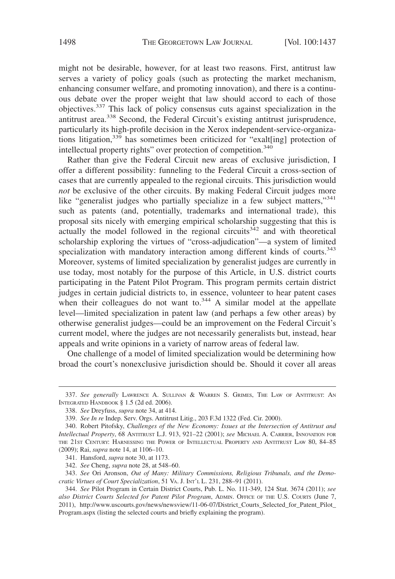might not be desirable, however, for at least two reasons. First, antitrust law serves a variety of policy goals (such as protecting the market mechanism, enhancing consumer welfare, and promoting innovation), and there is a continuous debate over the proper weight that law should accord to each of those objectives.<sup>337</sup> This lack of policy consensus cuts against specialization in the antitrust area.<sup>338</sup> Second, the Federal Circuit's existing antitrust jurisprudence, particularly its high-profile decision in the Xerox independent-service-organizations litigation,<sup>339</sup> has sometimes been criticized for "exalt[ing] protection of intellectual property rights" over protection of competition.<sup>340</sup>

Rather than give the Federal Circuit new areas of exclusive jurisdiction, I offer a different possibility: funneling to the Federal Circuit a cross-section of cases that are currently appealed to the regional circuits. This jurisdiction would *not* be exclusive of the other circuits. By making Federal Circuit judges more like "generalist judges who partially specialize in a few subject matters,"<sup>341</sup> such as patents (and, potentially, trademarks and international trade), this proposal sits nicely with emerging empirical scholarship suggesting that this is actually the model followed in the regional circuits<sup> $342$ </sup> and with theoretical scholarship exploring the virtues of "cross-adjudication"—a system of limited specialization with mandatory interaction among different kinds of courts.<sup>343</sup> Moreover, systems of limited specialization by generalist judges are currently in use today, most notably for the purpose of this Article, in U.S. district courts participating in the Patent Pilot Program. This program permits certain district judges in certain judicial districts to, in essence, volunteer to hear patent cases when their colleagues do not want to. $344$  A similar model at the appellate level—limited specialization in patent law (and perhaps a few other areas) by otherwise generalist judges—could be an improvement on the Federal Circuit's current model, where the judges are not necessarily generalists but, instead, hear appeals and write opinions in a variety of narrow areas of federal law.

One challenge of a model of limited specialization would be determining how broad the court's nonexclusive jurisdiction should be. Should it cover all areas

<sup>337.</sup> *See generally* LAWRENCE A. SULLIVAN & WARREN S. GRIMES, THE LAW OF ANTITRUST: AN INTEGRATED HANDBOOK § 1.5 (2d ed. 2006).

<sup>338.</sup> *See* Dreyfuss, *supra* note 34, at 414.

<sup>339.</sup> *See In re* Indep. Serv. Orgs. Antitrust Litig., 203 F.3d 1322 (Fed. Cir. 2000).

<sup>340.</sup> Robert Pitofsky, *Challenges of the New Economy: Issues at the Intersection of Antitrust and Intellectual Property*, 68 ANTITRUST L.J. 913, 921–22 (2001); *see* MICHAEL A. CARRIER, INNOVATION FOR THE 21ST CENTURY: HARNESSING THE POWER OF INTELLECTUAL PROPERTY AND ANTITRUST LAW 80, 84–85 (2009); Rai, *supra* note 14, at 1106–10.

<sup>341.</sup> Hansford, *supra* note 30, at 1173.

<sup>342.</sup> *See* Cheng, *supra* note 28, at 548–60.

<sup>343.</sup> *See* Ori Aronson, *Out of Many: Military Commissions, Religious Tribunals, and the Democratic Virtues of Court Specialization*, 51 VA. J. INT'L L. 231, 288–91 (2011).

<sup>344.</sup> *See* Pilot Program in Certain District Courts, Pub. L. No. 111-349, 124 Stat. 3674 (2011); *see also District Courts Selected for Patent Pilot Program*, ADMIN. OFFICE OF THE U.S. COURTS (June 7, 2011), http://www.uscourts.gov/news/newsview/11-06-07/District\_Courts\_Selected\_for\_Patent\_Pilot\_ Program.aspx (listing the selected courts and briefly explaining the program).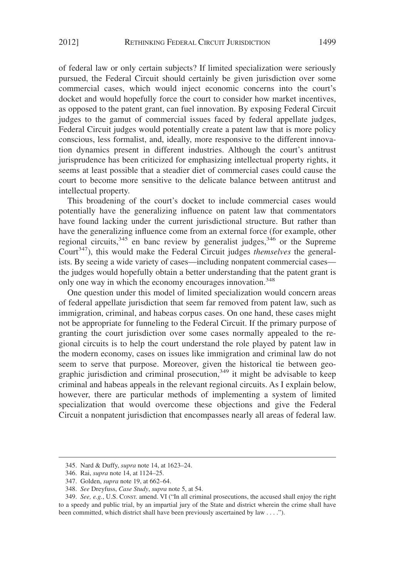of federal law or only certain subjects? If limited specialization were seriously pursued, the Federal Circuit should certainly be given jurisdiction over some commercial cases, which would inject economic concerns into the court's docket and would hopefully force the court to consider how market incentives, as opposed to the patent grant, can fuel innovation. By exposing Federal Circuit judges to the gamut of commercial issues faced by federal appellate judges, Federal Circuit judges would potentially create a patent law that is more policy conscious, less formalist, and, ideally, more responsive to the different innovation dynamics present in different industries. Although the court's antitrust jurisprudence has been criticized for emphasizing intellectual property rights, it seems at least possible that a steadier diet of commercial cases could cause the court to become more sensitive to the delicate balance between antitrust and intellectual property.

This broadening of the court's docket to include commercial cases would potentially have the generalizing influence on patent law that commentators have found lacking under the current jurisdictional structure. But rather than have the generalizing influence come from an external force (for example, other regional circuits,  $345$  en banc review by generalist judges,  $346$  or the Supreme Court<sup>347</sup>), this would make the Federal Circuit judges *themselves* the generalists. By seeing a wide variety of cases—including nonpatent commercial cases the judges would hopefully obtain a better understanding that the patent grant is only one way in which the economy encourages innovation.<sup>348</sup>

One question under this model of limited specialization would concern areas of federal appellate jurisdiction that seem far removed from patent law, such as immigration, criminal, and habeas corpus cases. On one hand, these cases might not be appropriate for funneling to the Federal Circuit. If the primary purpose of granting the court jurisdiction over some cases normally appealed to the regional circuits is to help the court understand the role played by patent law in the modern economy, cases on issues like immigration and criminal law do not seem to serve that purpose. Moreover, given the historical tie between geographic jurisdiction and criminal prosecution,<sup>349</sup> it might be advisable to keep criminal and habeas appeals in the relevant regional circuits. As I explain below, however, there are particular methods of implementing a system of limited specialization that would overcome these objections and give the Federal Circuit a nonpatent jurisdiction that encompasses nearly all areas of federal law.

<sup>345.</sup> Nard & Duffy, *supra* note 14, at 1623–24.

<sup>346.</sup> Rai, *supra* note 14, at 1124–25.

<sup>347.</sup> Golden, *supra* note 19, at 662–64.

<sup>348.</sup> *See* Dreyfuss, *Case Study*, *supra* note 5, at 54.

<sup>349.</sup> *See, e.g.*, U.S. CONST. amend. VI ("In all criminal prosecutions, the accused shall enjoy the right to a speedy and public trial, by an impartial jury of the State and district wherein the crime shall have been committed, which district shall have been previously ascertained by law . . . .").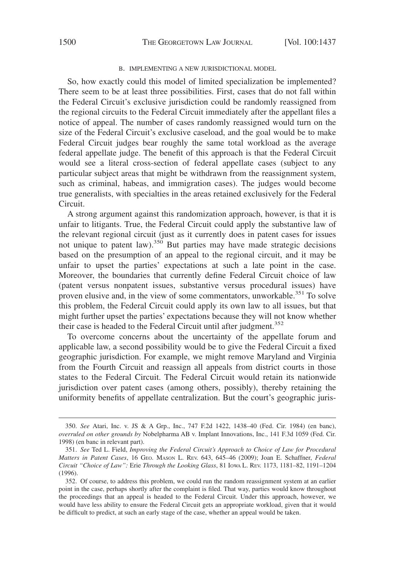#### B. IMPLEMENTING A NEW JURISDICTIONAL MODEL

So, how exactly could this model of limited specialization be implemented? There seem to be at least three possibilities. First, cases that do not fall within the Federal Circuit's exclusive jurisdiction could be randomly reassigned from the regional circuits to the Federal Circuit immediately after the appellant files a notice of appeal. The number of cases randomly reassigned would turn on the size of the Federal Circuit's exclusive caseload, and the goal would be to make Federal Circuit judges bear roughly the same total workload as the average federal appellate judge. The benefit of this approach is that the Federal Circuit would see a literal cross-section of federal appellate cases (subject to any particular subject areas that might be withdrawn from the reassignment system, such as criminal, habeas, and immigration cases). The judges would become true generalists, with specialties in the areas retained exclusively for the Federal Circuit.

A strong argument against this randomization approach, however, is that it is unfair to litigants. True, the Federal Circuit could apply the substantive law of the relevant regional circuit (just as it currently does in patent cases for issues not unique to patent law).<sup>350</sup> But parties may have made strategic decisions based on the presumption of an appeal to the regional circuit, and it may be unfair to upset the parties' expectations at such a late point in the case. Moreover, the boundaries that currently define Federal Circuit choice of law (patent versus nonpatent issues, substantive versus procedural issues) have proven elusive and, in the view of some commentators, unworkable.<sup>351</sup> To solve this problem, the Federal Circuit could apply its own law to all issues, but that might further upset the parties' expectations because they will not know whether their case is headed to the Federal Circuit until after judgment.<sup>352</sup>

To overcome concerns about the uncertainty of the appellate forum and applicable law, a second possibility would be to give the Federal Circuit a fixed geographic jurisdiction. For example, we might remove Maryland and Virginia from the Fourth Circuit and reassign all appeals from district courts in those states to the Federal Circuit. The Federal Circuit would retain its nationwide jurisdiction over patent cases (among others, possibly), thereby retaining the uniformity benefits of appellate centralization. But the court's geographic juris-

<sup>350.</sup> *See* Atari, Inc. v. JS & A Grp., Inc., 747 F.2d 1422, 1438–40 (Fed. Cir. 1984) (en banc), *overruled on other grounds by* Nobelpharma AB v. Implant Innovations, Inc., 141 F.3d 1059 (Fed. Cir. 1998) (en banc in relevant part).

<sup>351.</sup> *See* Ted L. Field, *Improving the Federal Circuit's Approach to Choice of Law for Procedural Matters in Patent Cases*, 16 GEO. MASON L. REV. 643, 645–46 (2009); Joan E. Schaffner, *Federal Circuit "Choice of Law":* Erie *Through the Looking Glass*, 81 IOWA L. REV. 1173, 1181–82, 1191–1204 (1996).

<sup>352.</sup> Of course, to address this problem, we could run the random reassignment system at an earlier point in the case, perhaps shortly after the complaint is filed. That way, parties would know throughout the proceedings that an appeal is headed to the Federal Circuit. Under this approach, however, we would have less ability to ensure the Federal Circuit gets an appropriate workload, given that it would be difficult to predict, at such an early stage of the case, whether an appeal would be taken.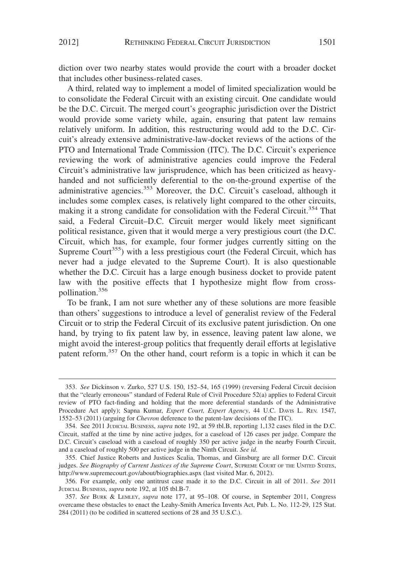diction over two nearby states would provide the court with a broader docket that includes other business-related cases.

A third, related way to implement a model of limited specialization would be to consolidate the Federal Circuit with an existing circuit. One candidate would be the D.C. Circuit. The merged court's geographic jurisdiction over the District would provide some variety while, again, ensuring that patent law remains relatively uniform. In addition, this restructuring would add to the D.C. Circuit's already extensive administrative-law-docket reviews of the actions of the PTO and International Trade Commission (ITC). The D.C. Circuit's experience reviewing the work of administrative agencies could improve the Federal Circuit's administrative law jurisprudence, which has been criticized as heavyhanded and not sufficiently deferential to the on-the-ground expertise of the administrative agencies.<sup>353</sup> Moreover, the D.C. Circuit's caseload, although it includes some complex cases, is relatively light compared to the other circuits, making it a strong candidate for consolidation with the Federal Circuit.<sup>354</sup> That said, a Federal Circuit–D.C. Circuit merger would likely meet significant political resistance, given that it would merge a very prestigious court (the D.C. Circuit, which has, for example, four former judges currently sitting on the Supreme Court<sup>355</sup>) with a less prestigious court (the Federal Circuit, which has never had a judge elevated to the Supreme Court). It is also questionable whether the D.C. Circuit has a large enough business docket to provide patent law with the positive effects that I hypothesize might flow from crosspollination.<sup>356</sup>

To be frank, I am not sure whether any of these solutions are more feasible than others' suggestions to introduce a level of generalist review of the Federal Circuit or to strip the Federal Circuit of its exclusive patent jurisdiction. On one hand, by trying to fix patent law by, in essence, leaving patent law alone, we might avoid the interest-group politics that frequently derail efforts at legislative patent reform.<sup>357</sup> On the other hand, court reform is a topic in which it can be

<sup>353.</sup> *See* Dickinson v. Zurko, 527 U.S. 150, 152–54, 165 (1999) (reversing Federal Circuit decision that the "clearly erroneous" standard of Federal Rule of Civil Procedure 52(a) applies to Federal Circuit review of PTO fact-finding and holding that the more deferential standards of the Administrative Procedure Act apply); Sapna Kumar, *Expert Court, Expert Agency*, 44 U.C. DAVIS L. REV. 1547, 1552–53 (2011) (arguing for *Chevron* deference to the patent-law decisions of the ITC).

<sup>354.</sup> See 2011 JUDICIAL BUSINESS, *supra* note 192, at 59 tbl.B, reporting 1,132 cases filed in the D.C. Circuit, staffed at the time by nine active judges, for a caseload of 126 cases per judge. Compare the D.C. Circuit's caseload with a caseload of roughly 350 per active judge in the nearby Fourth Circuit, and a caseload of roughly 500 per active judge in the Ninth Circuit. *See id.*

<sup>355.</sup> Chief Justice Roberts and Justices Scalia, Thomas, and Ginsburg are all former D.C. Circuit judges. *See Biography of Current Justices of the Supreme Court*, SUPREME COURT OF THE UNITED STATES, http://www.supremecourt.gov/about/biographies.aspx (last visited Mar. 6, 2012).

<sup>356.</sup> For example, only one antitrust case made it to the D.C. Circuit in all of 2011. *See* 2011 JUDICIAL BUSINESS, *supra* note 192, at 105 tbl.B-7.

<sup>357.</sup> *See* BURK & LEMLEY, *supra* note 177, at 95–108. Of course, in September 2011, Congress overcame these obstacles to enact the Leahy-Smith America Invents Act, Pub. L. No. 112-29, 125 Stat. 284 (2011) (to be codified in scattered sections of 28 and 35 U.S.C.).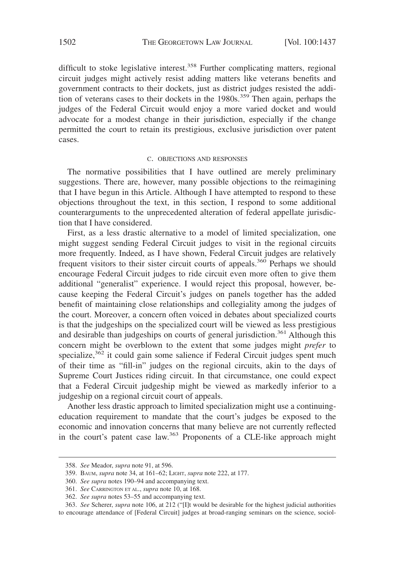difficult to stoke legislative interest.<sup>358</sup> Further complicating matters, regional circuit judges might actively resist adding matters like veterans benefits and government contracts to their dockets, just as district judges resisted the addition of veterans cases to their dockets in the 1980s.<sup>359</sup> Then again, perhaps the judges of the Federal Circuit would enjoy a more varied docket and would advocate for a modest change in their jurisdiction, especially if the change permitted the court to retain its prestigious, exclusive jurisdiction over patent cases.

#### C. OBJECTIONS AND RESPONSES

The normative possibilities that I have outlined are merely preliminary suggestions. There are, however, many possible objections to the reimagining that I have begun in this Article. Although I have attempted to respond to these objections throughout the text, in this section, I respond to some additional counterarguments to the unprecedented alteration of federal appellate jurisdiction that I have considered.

First, as a less drastic alternative to a model of limited specialization, one might suggest sending Federal Circuit judges to visit in the regional circuits more frequently. Indeed, as I have shown, Federal Circuit judges are relatively frequent visitors to their sister circuit courts of appeals.<sup>360</sup> Perhaps we should encourage Federal Circuit judges to ride circuit even more often to give them additional "generalist" experience. I would reject this proposal, however, because keeping the Federal Circuit's judges on panels together has the added benefit of maintaining close relationships and collegiality among the judges of the court. Moreover, a concern often voiced in debates about specialized courts is that the judgeships on the specialized court will be viewed as less prestigious and desirable than judgeships on courts of general jurisdiction.<sup>361</sup> Although this concern might be overblown to the extent that some judges might *prefer* to specialize,<sup>362</sup> it could gain some salience if Federal Circuit judges spent much of their time as "fill-in" judges on the regional circuits, akin to the days of Supreme Court Justices riding circuit. In that circumstance, one could expect that a Federal Circuit judgeship might be viewed as markedly inferior to a judgeship on a regional circuit court of appeals.

Another less drastic approach to limited specialization might use a continuingeducation requirement to mandate that the court's judges be exposed to the economic and innovation concerns that many believe are not currently reflected in the court's patent case law.<sup>363</sup> Proponents of a CLE-like approach might

<sup>358.</sup> *See* Meador, *supra* note 91, at 596.

<sup>359.</sup> BAUM, *supra* note 34, at 161–62; LIGHT, *supra* note 222, at 177.

<sup>360.</sup> *See supra* notes 190–94 and accompanying text.

<sup>361.</sup> *See* CARRINGTON ET AL., *supra* note 10, at 168.

<sup>362.</sup> *See supra* notes 53–55 and accompanying text.

<sup>363.</sup> *See* Scherer, *supra* note 106, at 212 ("[I]t would be desirable for the highest judicial authorities to encourage attendance of [Federal Circuit] judges at broad-ranging seminars on the science, sociol-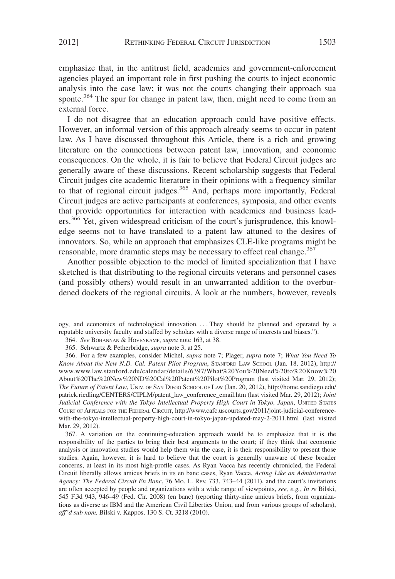emphasize that, in the antitrust field, academics and government-enforcement agencies played an important role in first pushing the courts to inject economic analysis into the case law; it was not the courts changing their approach sua sponte.<sup>364</sup> The spur for change in patent law, then, might need to come from an external force.

I do not disagree that an education approach could have positive effects. However, an informal version of this approach already seems to occur in patent law. As I have discussed throughout this Article, there is a rich and growing literature on the connections between patent law, innovation, and economic consequences. On the whole, it is fair to believe that Federal Circuit judges are generally aware of these discussions. Recent scholarship suggests that Federal Circuit judges cite academic literature in their opinions with a frequency similar to that of regional circuit judges.<sup>365</sup> And, perhaps more importantly, Federal Circuit judges are active participants at conferences, symposia, and other events that provide opportunities for interaction with academics and business leaders.<sup>366</sup> Yet, given widespread criticism of the court's jurisprudence, this knowledge seems not to have translated to a patent law attuned to the desires of innovators. So, while an approach that emphasizes CLE-like programs might be reasonable, more dramatic steps may be necessary to effect real change.<sup>367</sup>

Another possible objection to the model of limited specialization that I have sketched is that distributing to the regional circuits veterans and personnel cases (and possibly others) would result in an unwarranted addition to the overburdened dockets of the regional circuits. A look at the numbers, however, reveals

ogy, and economics of technological innovation.... They should be planned and operated by a reputable university faculty and staffed by scholars with a diverse range of interests and biases.").

<sup>364.</sup> *See* BOHANNAN & HOVENKAMP, *supra* note 163, at 38.

<sup>365.</sup> Schwartz & Petherbridge, *supra* note 3, at 25.

<sup>366.</sup> For a few examples, consider Michel, *supra* note 7; Plager, *supra* note 7; *What You Need To Know About the New N.D. Cal. Patent Pilot Program*, STANFORD LAW SCHOOL (Jan. 18, 2012), http:// www.www.law.stanford.edu/calendar/details/6397/What%20You%20Need%20to%20Know%20 About%20The%20New%20ND%20Cal%20Patent%20Pilot%20Program (last visited Mar. 29, 2012); *The Future of Patent Law*, UNIV. OF SAN DIEGO SCHOOL OF LAW (Jan. 20, 2012), http://home.sandiego.edu/ patrick.riedling/CENTERS/CIPLM/patent\_law\_conference\_email.htm (last visited Mar. 29, 2012); *Joint Judicial Conference with the Tokyo Intellectual Property High Court in Tokyo, Japan*, UNITED STATES COURT OF APPEALS FOR THE FEDERAL CIRCUIT, http://www.cafc.uscourts.gov/2011/joint-judicial-conferencewith-the-tokyo-intellectual-property-high-court-in-tokyo-japan-updated-may-2-2011.html (last visited Mar. 29, 2012).

<sup>367.</sup> A variation on the continuing-education approach would be to emphasize that it is the responsibility of the parties to bring their best arguments to the court; if they think that economic analysis or innovation studies would help them win the case, it is their responsibility to present those studies. Again, however, it is hard to believe that the court is generally unaware of these broader concerns, at least in its most high-profile cases. As Ryan Vacca has recently chronicled, the Federal Circuit liberally allows amicus briefs in its en banc cases, Ryan Vacca, *Acting Like an Administrative Agency: The Federal Circuit En Banc*, 76 MO. L. REV. 733, 743–44 (2011), and the court's invitations are often accepted by people and organizations with a wide range of viewpoints, *see, e.g.*, *In re* Bilski, 545 F.3d 943, 946–49 (Fed. Cir. 2008) (en banc) (reporting thirty-nine amicus briefs, from organizations as diverse as IBM and the American Civil Liberties Union, and from various groups of scholars), *aff'd sub nom.* Bilski v. Kappos, 130 S. Ct. 3218 (2010).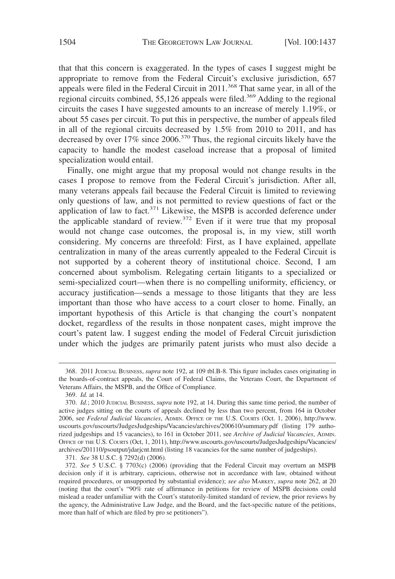that that this concern is exaggerated. In the types of cases I suggest might be appropriate to remove from the Federal Circuit's exclusive jurisdiction, 657 appeals were filed in the Federal Circuit in 2011.<sup>368</sup> That same year, in all of the regional circuits combined, 55,126 appeals were filed.<sup>369</sup> Adding to the regional circuits the cases I have suggested amounts to an increase of merely 1.19%, or about 55 cases per circuit. To put this in perspective, the number of appeals filed in all of the regional circuits decreased by 1.5% from 2010 to 2011, and has decreased by over 17% since 2006.370 Thus, the regional circuits likely have the capacity to handle the modest caseload increase that a proposal of limited specialization would entail.

Finally, one might argue that my proposal would not change results in the cases I propose to remove from the Federal Circuit's jurisdiction. After all, many veterans appeals fail because the Federal Circuit is limited to reviewing only questions of law, and is not permitted to review questions of fact or the application of law to fact.<sup>371</sup> Likewise, the MSPB is accorded deference under the applicable standard of review.<sup>372</sup> Even if it were true that my proposal would not change case outcomes, the proposal is, in my view, still worth considering. My concerns are threefold: First, as I have explained, appellate centralization in many of the areas currently appealed to the Federal Circuit is not supported by a coherent theory of institutional choice. Second, I am concerned about symbolism. Relegating certain litigants to a specialized or semi-specialized court—when there is no compelling uniformity, efficiency, or accuracy justification—sends a message to those litigants that they are less important than those who have access to a court closer to home. Finally, an important hypothesis of this Article is that changing the court's nonpatent docket, regardless of the results in those nonpatent cases, might improve the court's patent law. I suggest ending the model of Federal Circuit jurisdiction under which the judges are primarily patent jurists who must also decide a

<sup>368. 2011</sup> JUDICIAL BUSINESS, *supra* note 192, at 109 tbl.B-8. This figure includes cases originating in the boards-of-contract appeals, the Court of Federal Claims, the Veterans Court, the Department of Veterans Affairs, the MSPB, and the Office of Compliance.

<sup>369.</sup> *Id.* at 14.

<sup>370.</sup> *Id.*; 2010 JUDICIAL BUSINESS, *supra* note 192, at 14. During this same time period, the number of active judges sitting on the courts of appeals declined by less than two percent, from 164 in October 2006, see *Federal Judicial Vacancies*, ADMIN. OFFICE OF THE U.S. COURTS (Oct. 1, 2006), http://www. uscourts.gov/uscourts/JudgesJudgeships/Vacancies/archives/200610/summary.pdf (listing 179 authorized judgeships and 15 vacancies), to 161 in October 2011, see *Archive of Judicial Vacancies*, ADMIN. OFFICE OF THE U.S. COURTS (Oct, 1, 2011), http://www.uscourts.gov/uscourts/JudgesJudgeships/Vacancies/ archives/201110/psoutput/jdarjcnt.html (listing 18 vacancies for the same number of judgeships).

<sup>371.</sup> *See* 38 U.S.C. § 7292(d) (2006).

<sup>372.</sup> *See* 5 U.S.C. § 7703(c) (2006) (providing that the Federal Circuit may overturn an MSPB decision only if it is arbitrary, capricious, otherwise not in accordance with law, obtained without required procedures, or unsupported by substantial evidence); *see also* MARKEY, *supra* note 262, at 20 (noting that the court's "90% rate of affirmance in petitions for review of MSPB decisions could mislead a reader unfamiliar with the Court's statutorily-limited standard of review, the prior reviews by the agency, the Administrative Law Judge, and the Board, and the fact-specific nature of the petitions, more than half of which are filed by pro se petitioners").